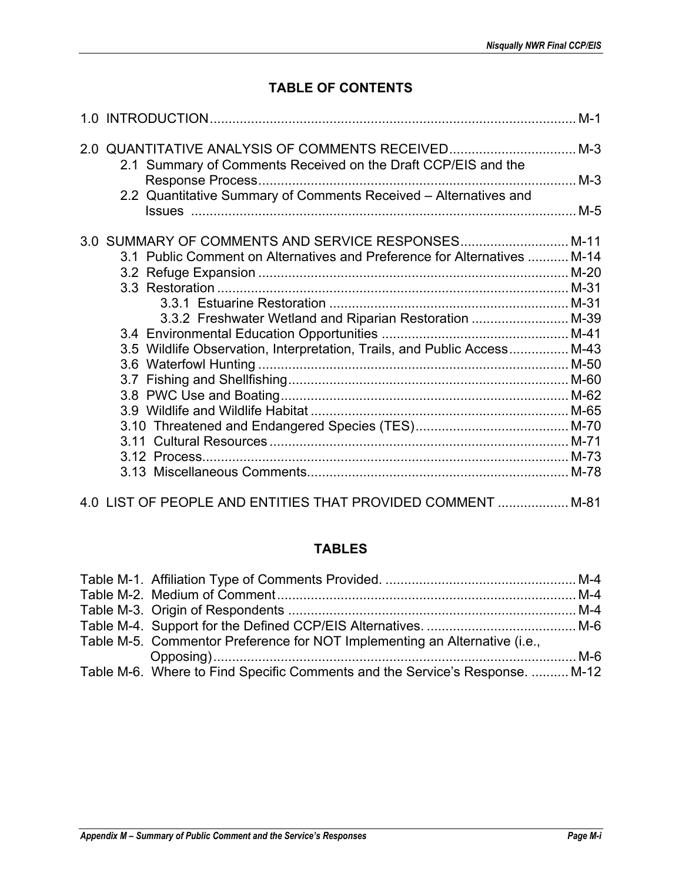# **TABLE OF CONTENTS**

| 2.1 Summary of Comments Received on the Draft CCP/EIS and the            |  |
|--------------------------------------------------------------------------|--|
| 2.2 Quantitative Summary of Comments Received - Alternatives and         |  |
| 3.0 SUMMARY OF COMMENTS AND SERVICE RESPONSES M-11                       |  |
| 3.1 Public Comment on Alternatives and Preference for Alternatives  M-14 |  |
|                                                                          |  |
|                                                                          |  |
|                                                                          |  |
| 3.3.2 Freshwater Wetland and Riparian Restoration  M-39                  |  |
|                                                                          |  |
| 3.5 Wildlife Observation, Interpretation, Trails, and Public Access M-43 |  |
|                                                                          |  |
|                                                                          |  |
|                                                                          |  |
|                                                                          |  |
|                                                                          |  |
|                                                                          |  |
|                                                                          |  |
|                                                                          |  |
| 4.0 LIST OF PEOPLE AND ENTITIES THAT PROVIDED COMMENT  M-81              |  |

## **TABLES**

| Table M-5. Commentor Preference for NOT Implementing an Alternative (i.e.,   |  |
|------------------------------------------------------------------------------|--|
|                                                                              |  |
| Table M-6. Where to Find Specific Comments and the Service's Response.  M-12 |  |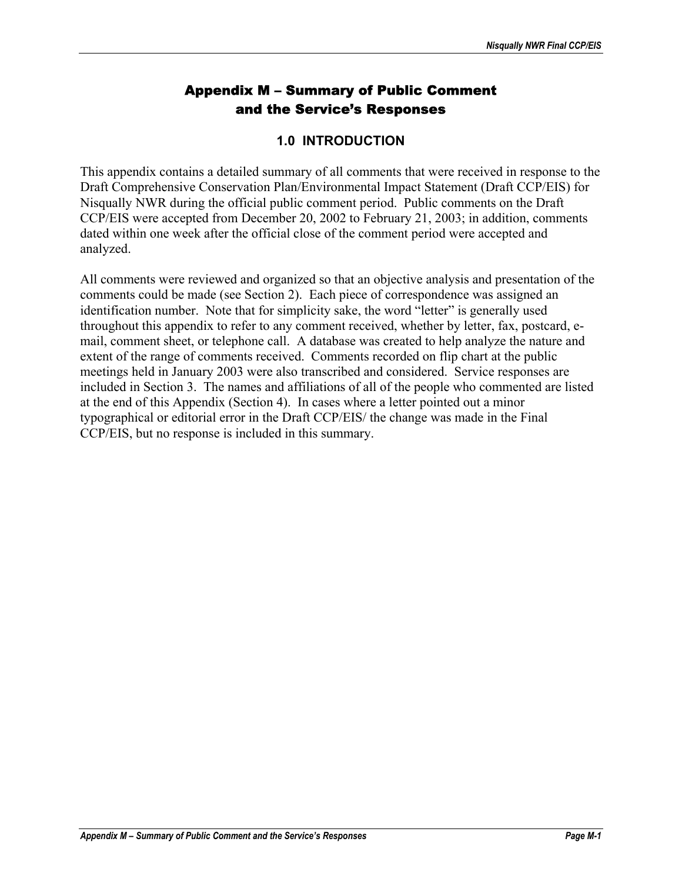# Appendix M – Summary of Public Comment and the Service's Responses

## **1.0 INTRODUCTION**

This appendix contains a detailed summary of all comments that were received in response to the Draft Comprehensive Conservation Plan/Environmental Impact Statement (Draft CCP/EIS) for Nisqually NWR during the official public comment period. Public comments on the Draft CCP/EIS were accepted from December 20, 2002 to February 21, 2003; in addition, comments dated within one week after the official close of the comment period were accepted and analyzed.

All comments were reviewed and organized so that an objective analysis and presentation of the comments could be made (see Section 2). Each piece of correspondence was assigned an identification number. Note that for simplicity sake, the word "letter" is generally used throughout this appendix to refer to any comment received, whether by letter, fax, postcard, email, comment sheet, or telephone call. A database was created to help analyze the nature and extent of the range of comments received. Comments recorded on flip chart at the public meetings held in January 2003 were also transcribed and considered. Service responses are included in Section 3. The names and affiliations of all of the people who commented are listed at the end of this Appendix (Section 4). In cases where a letter pointed out a minor typographical or editorial error in the Draft CCP/EIS/ the change was made in the Final CCP/EIS, but no response is included in this summary.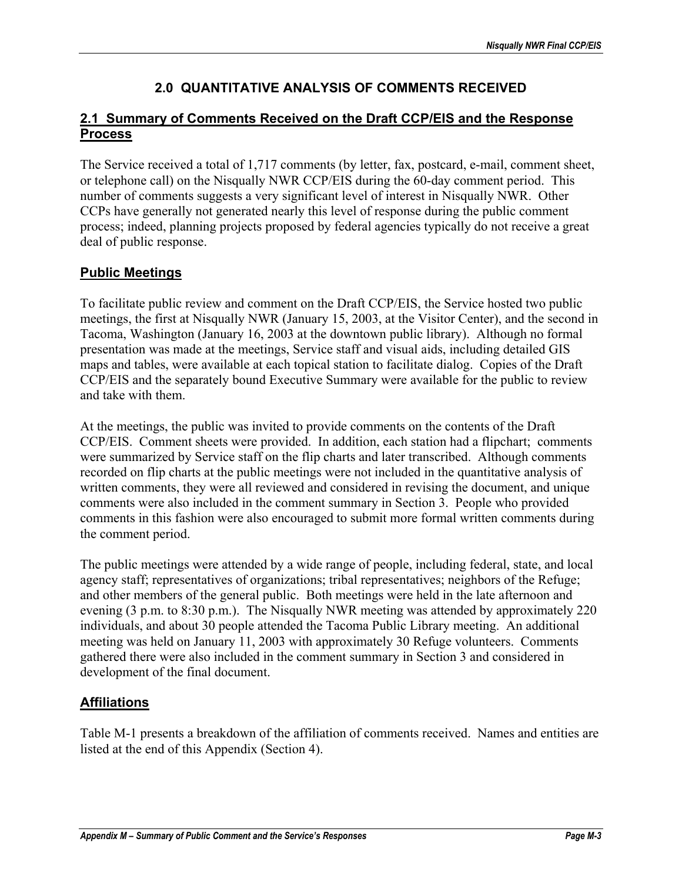# **2.0 QUANTITATIVE ANALYSIS OF COMMENTS RECEIVED**

## **2.1 Summary of Comments Received on the Draft CCP/EIS and the Response Process**

The Service received a total of 1,717 comments (by letter, fax, postcard, e-mail, comment sheet, or telephone call) on the Nisqually NWR CCP/EIS during the 60-day comment period. This number of comments suggests a very significant level of interest in Nisqually NWR. Other CCPs have generally not generated nearly this level of response during the public comment process; indeed, planning projects proposed by federal agencies typically do not receive a great deal of public response.

## **Public Meetings**

To facilitate public review and comment on the Draft CCP/EIS, the Service hosted two public meetings, the first at Nisqually NWR (January 15, 2003, at the Visitor Center), and the second in Tacoma, Washington (January 16, 2003 at the downtown public library). Although no formal presentation was made at the meetings, Service staff and visual aids, including detailed GIS maps and tables, were available at each topical station to facilitate dialog. Copies of the Draft CCP/EIS and the separately bound Executive Summary were available for the public to review and take with them.

At the meetings, the public was invited to provide comments on the contents of the Draft CCP/EIS. Comment sheets were provided. In addition, each station had a flipchart; comments were summarized by Service staff on the flip charts and later transcribed. Although comments recorded on flip charts at the public meetings were not included in the quantitative analysis of written comments, they were all reviewed and considered in revising the document, and unique comments were also included in the comment summary in Section 3. People who provided comments in this fashion were also encouraged to submit more formal written comments during the comment period.

The public meetings were attended by a wide range of people, including federal, state, and local agency staff; representatives of organizations; tribal representatives; neighbors of the Refuge; and other members of the general public. Both meetings were held in the late afternoon and evening (3 p.m. to 8:30 p.m.). The Nisqually NWR meeting was attended by approximately 220 individuals, and about 30 people attended the Tacoma Public Library meeting. An additional meeting was held on January 11, 2003 with approximately 30 Refuge volunteers. Comments gathered there were also included in the comment summary in Section 3 and considered in development of the final document.

## **Affiliations**

Table M-1 presents a breakdown of the affiliation of comments received. Names and entities are listed at the end of this Appendix (Section 4).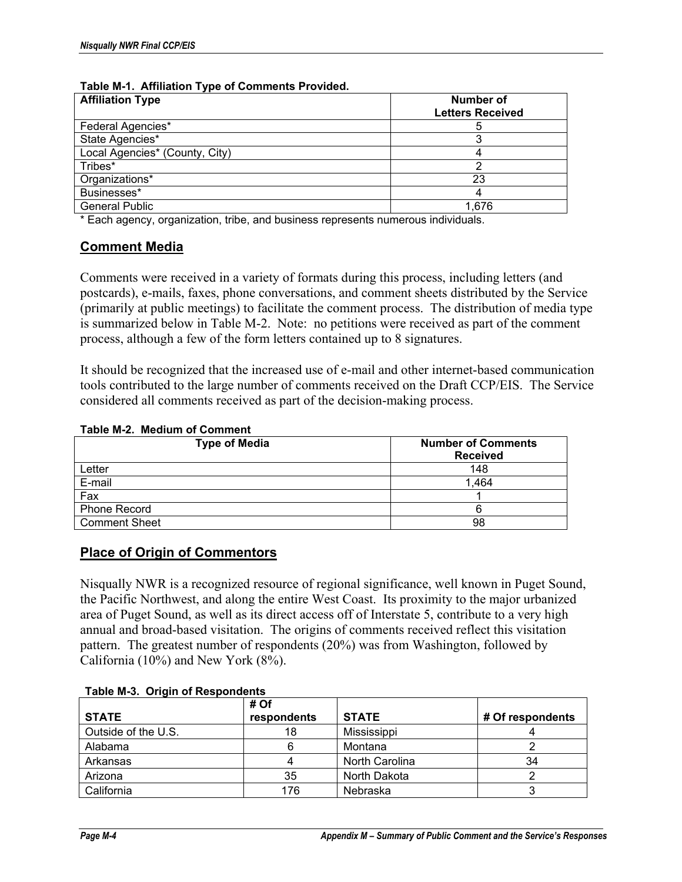| <b>Affiliation Type</b>        | Number of<br><b>Letters Received</b> |
|--------------------------------|--------------------------------------|
| Federal Agencies*              |                                      |
| State Agencies*                |                                      |
| Local Agencies* (County, City) |                                      |
| Tribes*                        |                                      |
| Organizations*                 | 23                                   |
| Businesses*                    |                                      |
| <b>General Public</b>          | 1.676                                |

#### **Table M-1. Affiliation Type of Comments Provided.**

\* Each agency, organization, tribe, and business represents numerous individuals.

## **Comment Media**

Comments were received in a variety of formats during this process, including letters (and postcards), e-mails, faxes, phone conversations, and comment sheets distributed by the Service (primarily at public meetings) to facilitate the comment process. The distribution of media type is summarized below in Table M-2. Note: no petitions were received as part of the comment process, although a few of the form letters contained up to 8 signatures.

It should be recognized that the increased use of e-mail and other internet-based communication tools contributed to the large number of comments received on the Draft CCP/EIS. The Service considered all comments received as part of the decision-making process.

#### **Table M-2. Medium of Comment**

| <b>Type of Media</b> | <b>Number of Comments</b> |  |
|----------------------|---------------------------|--|
|                      | <b>Received</b>           |  |
| Letter               | 148                       |  |
| E-mail               | 1,464                     |  |
| Fax                  |                           |  |
| <b>Phone Record</b>  |                           |  |
| <b>Comment Sheet</b> | 98                        |  |

### **Place of Origin of Commentors**

Nisqually NWR is a recognized resource of regional significance, well known in Puget Sound, the Pacific Northwest, and along the entire West Coast. Its proximity to the major urbanized area of Puget Sound, as well as its direct access off of Interstate 5, contribute to a very high annual and broad-based visitation. The origins of comments received reflect this visitation pattern. The greatest number of respondents (20%) was from Washington, followed by California (10%) and New York (8%).

| rable m-J. Urigin Uritespondents |                     |                |                  |
|----------------------------------|---------------------|----------------|------------------|
| <b>STATE</b>                     | # Of<br>respondents | <b>STATE</b>   | # Of respondents |
| Outside of the U.S.              | 18                  | Mississippi    |                  |
| Alabama                          |                     | Montana        |                  |
| Arkansas                         |                     | North Carolina | 34               |
| Arizona                          | 35                  | North Dakota   |                  |
| California                       | 176                 | Nebraska       |                  |

#### **Table M-3. Origin of Respondents**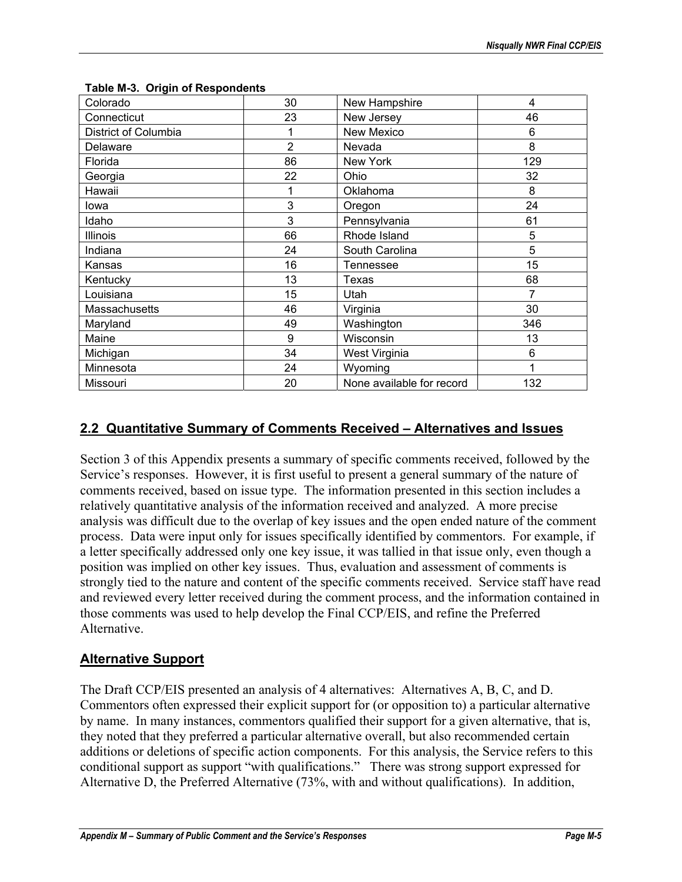| Colorado             | 30 | New Hampshire             | 4   |
|----------------------|----|---------------------------|-----|
| Connecticut          | 23 | New Jersey                | 46  |
| District of Columbia |    | New Mexico                | 6   |
| Delaware             | 2  | Nevada                    | 8   |
| Florida              | 86 | New York                  | 129 |
| Georgia              | 22 | Ohio                      | 32  |
| Hawaii               |    | Oklahoma                  | 8   |
| lowa                 | 3  | Oregon                    | 24  |
| Idaho                | 3  | Pennsylvania              | 61  |
| <b>Illinois</b>      | 66 | Rhode Island              | 5   |
| Indiana              | 24 | South Carolina            | 5   |
| Kansas               | 16 | Tennessee                 | 15  |
| Kentucky             | 13 | Texas                     | 68  |
| Louisiana            | 15 | Utah                      | 7   |
| Massachusetts        | 46 | Virginia                  | 30  |
| Maryland             | 49 | Washington                | 346 |
| Maine                | 9  | Wisconsin                 | 13  |
| Michigan             | 34 | West Virginia             | 6   |
| Minnesota            | 24 | Wyoming                   | 1   |
| Missouri             | 20 | None available for record | 132 |

#### **Table M-3. Origin of Respondents**

## **2.2 Quantitative Summary of Comments Received – Alternatives and Issues**

Section 3 of this Appendix presents a summary of specific comments received, followed by the Service's responses. However, it is first useful to present a general summary of the nature of comments received, based on issue type. The information presented in this section includes a relatively quantitative analysis of the information received and analyzed. A more precise analysis was difficult due to the overlap of key issues and the open ended nature of the comment process. Data were input only for issues specifically identified by commentors. For example, if a letter specifically addressed only one key issue, it was tallied in that issue only, even though a position was implied on other key issues. Thus, evaluation and assessment of comments is strongly tied to the nature and content of the specific comments received. Service staff have read and reviewed every letter received during the comment process, and the information contained in those comments was used to help develop the Final CCP/EIS, and refine the Preferred Alternative.

### **Alternative Support**

The Draft CCP/EIS presented an analysis of 4 alternatives: Alternatives A, B, C, and D. Commentors often expressed their explicit support for (or opposition to) a particular alternative by name. In many instances, commentors qualified their support for a given alternative, that is, they noted that they preferred a particular alternative overall, but also recommended certain additions or deletions of specific action components. For this analysis, the Service refers to this conditional support as support "with qualifications." There was strong support expressed for Alternative D, the Preferred Alternative (73%, with and without qualifications). In addition,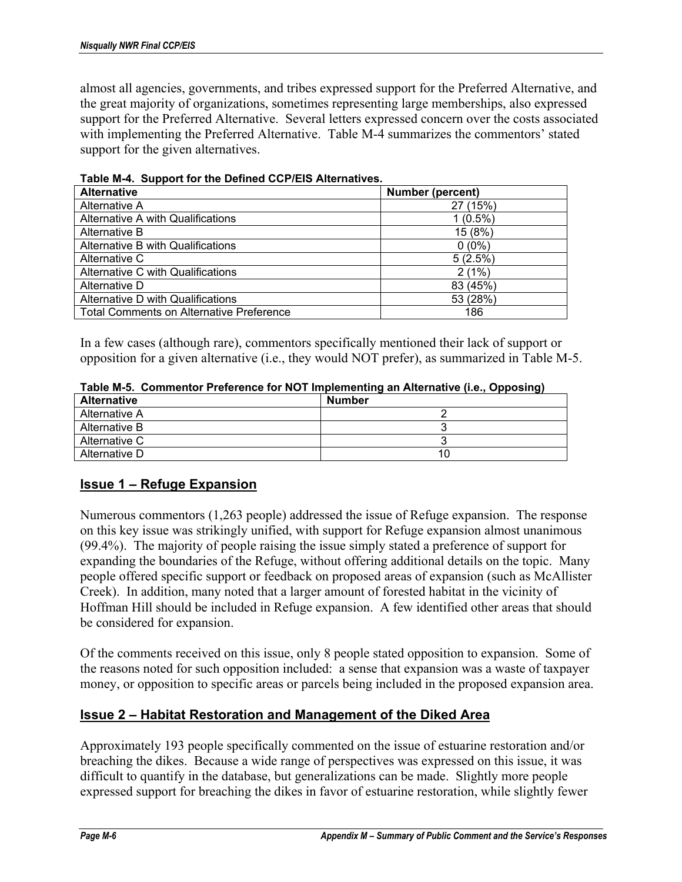almost all agencies, governments, and tribes expressed support for the Preferred Alternative, and the great majority of organizations, sometimes representing large memberships, also expressed support for the Preferred Alternative. Several letters expressed concern over the costs associated with implementing the Preferred Alternative. Table M-4 summarizes the commentors' stated support for the given alternatives.

| <b>Alternative</b>                              | Number (percent) |
|-------------------------------------------------|------------------|
| Alternative A                                   | 27 (15%)         |
| Alternative A with Qualifications               | $1(0.5\%)$       |
| Alternative B                                   | 15 (8%)          |
| Alternative B with Qualifications               | $0(0\%)$         |
| Alternative C                                   | 5(2.5%)          |
| Alternative C with Qualifications               | 2(1%)            |
| Alternative D                                   | 83 (45%)         |
| Alternative D with Qualifications               | 53 (28%)         |
| <b>Total Comments on Alternative Preference</b> | 186              |

**Table M-4. Support for the Defined CCP/EIS Alternatives.** 

In a few cases (although rare), commentors specifically mentioned their lack of support or opposition for a given alternative (i.e., they would NOT prefer), as summarized in Table M-5.

| Table M-5. Commentor Preference for NOT Implementing an Alternative (i.e., Opposing) |
|--------------------------------------------------------------------------------------|
|--------------------------------------------------------------------------------------|

| <b>Alternative</b> | <b>Number</b> |
|--------------------|---------------|
| Alternative A      |               |
| Alternative B      |               |
| Alternative C      |               |
| Alternative D      |               |

### **Issue 1 – Refuge Expansion**

Numerous commentors (1,263 people) addressed the issue of Refuge expansion. The response on this key issue was strikingly unified, with support for Refuge expansion almost unanimous (99.4%). The majority of people raising the issue simply stated a preference of support for expanding the boundaries of the Refuge, without offering additional details on the topic. Many people offered specific support or feedback on proposed areas of expansion (such as McAllister Creek). In addition, many noted that a larger amount of forested habitat in the vicinity of Hoffman Hill should be included in Refuge expansion. A few identified other areas that should be considered for expansion.

Of the comments received on this issue, only 8 people stated opposition to expansion. Some of the reasons noted for such opposition included: a sense that expansion was a waste of taxpayer money, or opposition to specific areas or parcels being included in the proposed expansion area.

### **Issue 2 – Habitat Restoration and Management of the Diked Area**

Approximately 193 people specifically commented on the issue of estuarine restoration and/or breaching the dikes. Because a wide range of perspectives was expressed on this issue, it was difficult to quantify in the database, but generalizations can be made. Slightly more people expressed support for breaching the dikes in favor of estuarine restoration, while slightly fewer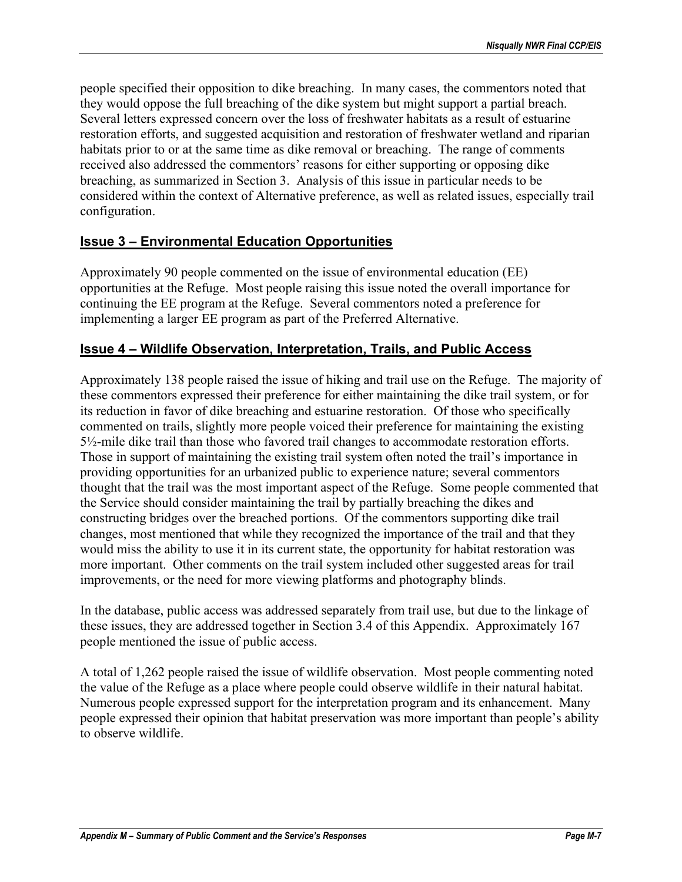people specified their opposition to dike breaching. In many cases, the commentors noted that they would oppose the full breaching of the dike system but might support a partial breach. Several letters expressed concern over the loss of freshwater habitats as a result of estuarine restoration efforts, and suggested acquisition and restoration of freshwater wetland and riparian habitats prior to or at the same time as dike removal or breaching. The range of comments received also addressed the commentors' reasons for either supporting or opposing dike breaching, as summarized in Section 3. Analysis of this issue in particular needs to be considered within the context of Alternative preference, as well as related issues, especially trail configuration.

## **Issue 3 – Environmental Education Opportunities**

Approximately 90 people commented on the issue of environmental education (EE) opportunities at the Refuge. Most people raising this issue noted the overall importance for continuing the EE program at the Refuge. Several commentors noted a preference for implementing a larger EE program as part of the Preferred Alternative.

## **Issue 4 – Wildlife Observation, Interpretation, Trails, and Public Access**

Approximately 138 people raised the issue of hiking and trail use on the Refuge. The majority of these commentors expressed their preference for either maintaining the dike trail system, or for its reduction in favor of dike breaching and estuarine restoration. Of those who specifically commented on trails, slightly more people voiced their preference for maintaining the existing 5½-mile dike trail than those who favored trail changes to accommodate restoration efforts. Those in support of maintaining the existing trail system often noted the trail's importance in providing opportunities for an urbanized public to experience nature; several commentors thought that the trail was the most important aspect of the Refuge. Some people commented that the Service should consider maintaining the trail by partially breaching the dikes and constructing bridges over the breached portions. Of the commentors supporting dike trail changes, most mentioned that while they recognized the importance of the trail and that they would miss the ability to use it in its current state, the opportunity for habitat restoration was more important. Other comments on the trail system included other suggested areas for trail improvements, or the need for more viewing platforms and photography blinds.

In the database, public access was addressed separately from trail use, but due to the linkage of these issues, they are addressed together in Section 3.4 of this Appendix. Approximately 167 people mentioned the issue of public access.

A total of 1,262 people raised the issue of wildlife observation. Most people commenting noted the value of the Refuge as a place where people could observe wildlife in their natural habitat. Numerous people expressed support for the interpretation program and its enhancement. Many people expressed their opinion that habitat preservation was more important than people's ability to observe wildlife.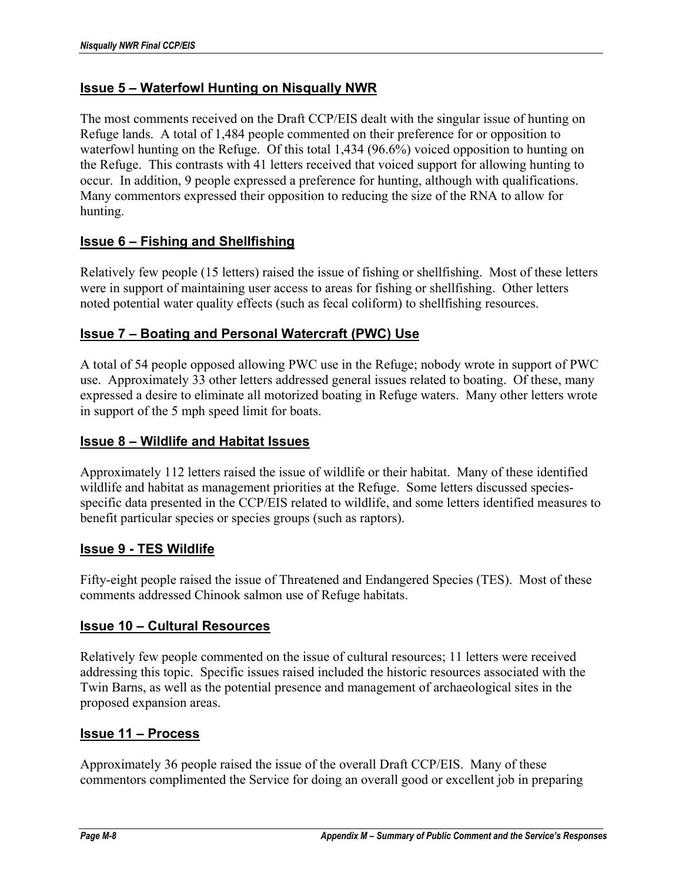## **Issue 5 – Waterfowl Hunting on Nisqually NWR**

The most comments received on the Draft CCP/EIS dealt with the singular issue of hunting on Refuge lands. A total of 1,484 people commented on their preference for or opposition to waterfowl hunting on the Refuge. Of this total 1,434 (96.6%) voiced opposition to hunting on the Refuge. This contrasts with 41 letters received that voiced support for allowing hunting to occur. In addition, 9 people expressed a preference for hunting, although with qualifications. Many commentors expressed their opposition to reducing the size of the RNA to allow for hunting.

## **Issue 6 – Fishing and Shellfishing**

Relatively few people (15 letters) raised the issue of fishing or shellfishing. Most of these letters were in support of maintaining user access to areas for fishing or shellfishing. Other letters noted potential water quality effects (such as fecal coliform) to shellfishing resources.

## **Issue 7 – Boating and Personal Watercraft (PWC) Use**

A total of 54 people opposed allowing PWC use in the Refuge; nobody wrote in support of PWC use. Approximately 33 other letters addressed general issues related to boating. Of these, many expressed a desire to eliminate all motorized boating in Refuge waters. Many other letters wrote in support of the 5 mph speed limit for boats.

### **Issue 8 – Wildlife and Habitat Issues**

Approximately 112 letters raised the issue of wildlife or their habitat. Many of these identified wildlife and habitat as management priorities at the Refuge. Some letters discussed speciesspecific data presented in the CCP/EIS related to wildlife, and some letters identified measures to benefit particular species or species groups (such as raptors).

#### **Issue 9 - TES Wildlife**

Fifty-eight people raised the issue of Threatened and Endangered Species (TES). Most of these comments addressed Chinook salmon use of Refuge habitats.

#### **Issue 10 – Cultural Resources**

Relatively few people commented on the issue of cultural resources; 11 letters were received addressing this topic. Specific issues raised included the historic resources associated with the Twin Barns, as well as the potential presence and management of archaeological sites in the proposed expansion areas.

#### **Issue 11 – Process**

Approximately 36 people raised the issue of the overall Draft CCP/EIS. Many of these commentors complimented the Service for doing an overall good or excellent job in preparing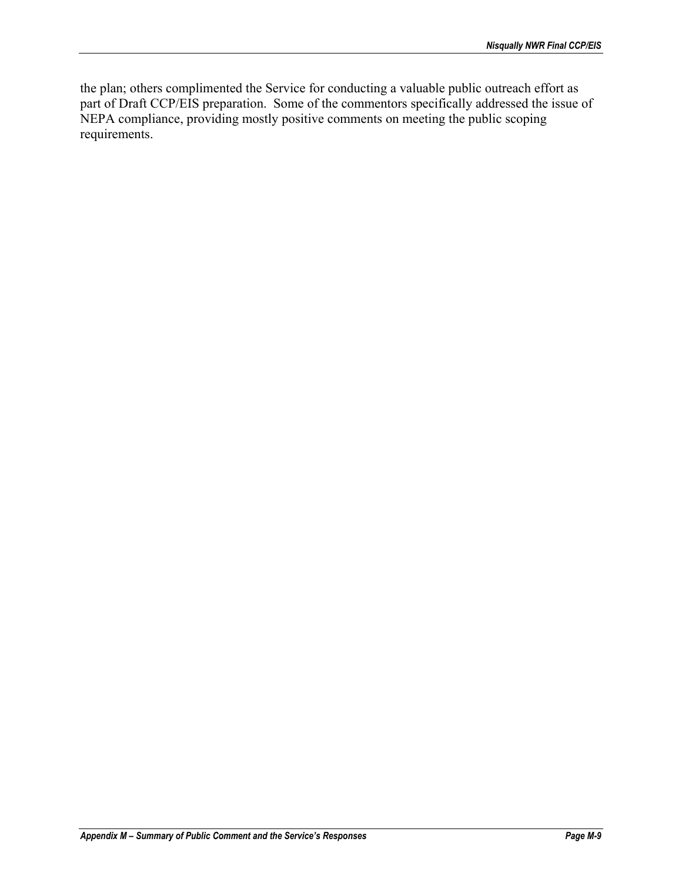the plan; others complimented the Service for conducting a valuable public outreach effort as part of Draft CCP/EIS preparation. Some of the commentors specifically addressed the issue of NEPA compliance, providing mostly positive comments on meeting the public scoping requirements.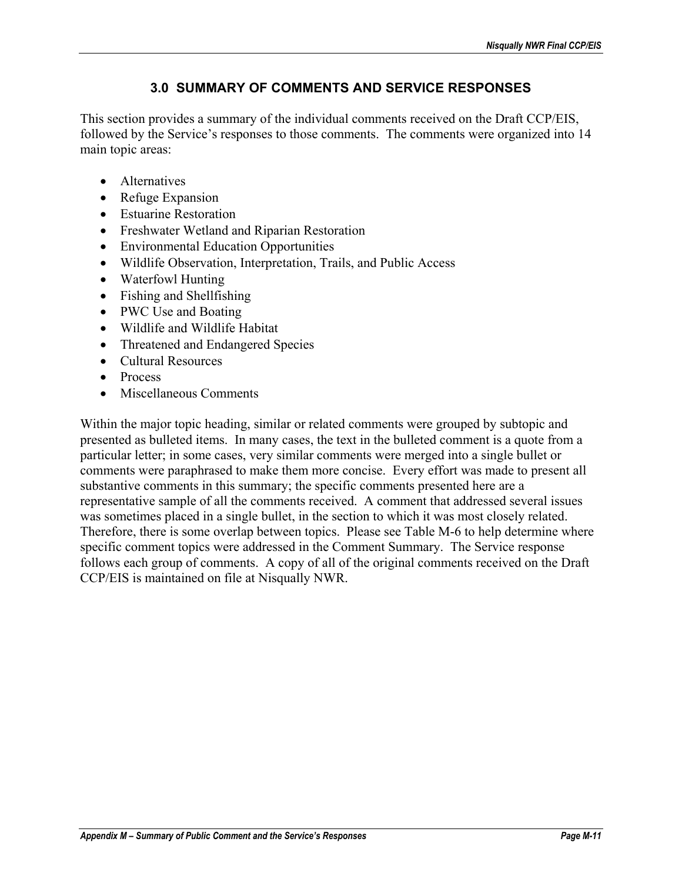# **3.0 SUMMARY OF COMMENTS AND SERVICE RESPONSES**

This section provides a summary of the individual comments received on the Draft CCP/EIS, followed by the Service's responses to those comments. The comments were organized into 14 main topic areas:

- Alternatives
- Refuge Expansion
- Estuarine Restoration
- Freshwater Wetland and Riparian Restoration
- Environmental Education Opportunities
- Wildlife Observation, Interpretation, Trails, and Public Access
- Waterfowl Hunting
- Fishing and Shellfishing
- PWC Use and Boating
- Wildlife and Wildlife Habitat
- Threatened and Endangered Species
- Cultural Resources
- Process
- Miscellaneous Comments

Within the major topic heading, similar or related comments were grouped by subtopic and presented as bulleted items. In many cases, the text in the bulleted comment is a quote from a particular letter; in some cases, very similar comments were merged into a single bullet or comments were paraphrased to make them more concise. Every effort was made to present all substantive comments in this summary; the specific comments presented here are a representative sample of all the comments received. A comment that addressed several issues was sometimes placed in a single bullet, in the section to which it was most closely related. Therefore, there is some overlap between topics. Please see Table M-6 to help determine where specific comment topics were addressed in the Comment Summary. The Service response follows each group of comments. A copy of all of the original comments received on the Draft CCP/EIS is maintained on file at Nisqually NWR.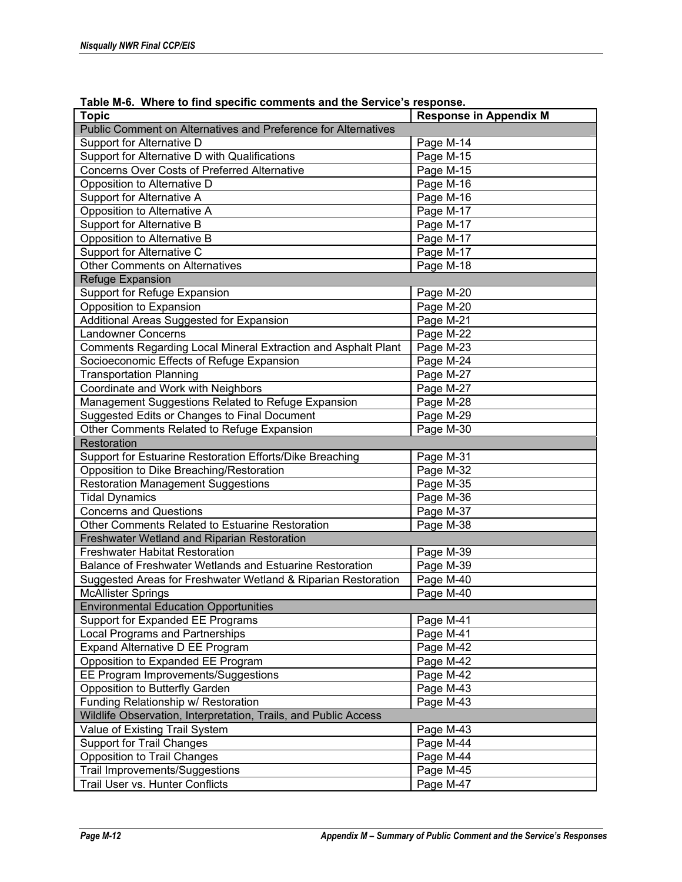| rable m-6. Where to find specific comments and the Service's response. |                               |  |  |
|------------------------------------------------------------------------|-------------------------------|--|--|
| <b>Topic</b>                                                           | <b>Response in Appendix M</b> |  |  |
| Public Comment on Alternatives and Preference for Alternatives         |                               |  |  |
| Support for Alternative D                                              | Page M-14                     |  |  |
| Support for Alternative D with Qualifications                          | Page M-15                     |  |  |
| <b>Concerns Over Costs of Preferred Alternative</b>                    | Page M-15                     |  |  |
| Opposition to Alternative D                                            | Page M-16                     |  |  |
| Support for Alternative A                                              | Page M-16                     |  |  |
| Opposition to Alternative A                                            | Page M-17                     |  |  |
| Support for Alternative B                                              | Page M-17                     |  |  |
| Opposition to Alternative B                                            | Page M-17                     |  |  |
| Support for Alternative C                                              | Page M-17                     |  |  |
| <b>Other Comments on Alternatives</b>                                  | Page M-18                     |  |  |
| <b>Refuge Expansion</b>                                                |                               |  |  |
| Support for Refuge Expansion                                           | Page M-20                     |  |  |
| Opposition to Expansion                                                | Page M-20                     |  |  |
| Additional Areas Suggested for Expansion                               | Page M-21                     |  |  |
| <b>Landowner Concerns</b>                                              | Page M-22                     |  |  |
| Comments Regarding Local Mineral Extraction and Asphalt Plant          | Page M-23                     |  |  |
| Socioeconomic Effects of Refuge Expansion                              | Page M-24                     |  |  |
| <b>Transportation Planning</b>                                         | Page M-27                     |  |  |
| Coordinate and Work with Neighbors                                     | Page M-27                     |  |  |
| Management Suggestions Related to Refuge Expansion                     | Page M-28                     |  |  |
| Suggested Edits or Changes to Final Document                           | Page M-29                     |  |  |
| Other Comments Related to Refuge Expansion                             | Page M-30                     |  |  |
| Restoration                                                            |                               |  |  |
| Support for Estuarine Restoration Efforts/Dike Breaching               | Page M-31                     |  |  |
| Opposition to Dike Breaching/Restoration                               | Page M-32                     |  |  |
| <b>Restoration Management Suggestions</b>                              | Page M-35                     |  |  |
| <b>Tidal Dynamics</b>                                                  | Page M-36                     |  |  |
| <b>Concerns and Questions</b>                                          | Page M-37                     |  |  |
| Other Comments Related to Estuarine Restoration                        | Page M-38                     |  |  |
| Freshwater Wetland and Riparian Restoration                            |                               |  |  |
| <b>Freshwater Habitat Restoration</b>                                  | Page M-39                     |  |  |
| Balance of Freshwater Wetlands and Estuarine Restoration               | Page M-39                     |  |  |
| Suggested Areas for Freshwater Wetland & Riparian Restoration          | Page M-40                     |  |  |
| <b>McAllister Springs</b>                                              | Page M-40                     |  |  |
| <b>Environmental Education Opportunities</b>                           |                               |  |  |
| Support for Expanded EE Programs                                       | Page M-41                     |  |  |
| Local Programs and Partnerships                                        | Page M-41                     |  |  |
| Expand Alternative D EE Program                                        | Page M-42                     |  |  |
| Opposition to Expanded EE Program                                      | Page M-42                     |  |  |
| EE Program Improvements/Suggestions                                    | Page M-42                     |  |  |
| Opposition to Butterfly Garden                                         | Page M-43                     |  |  |
| Funding Relationship w/ Restoration                                    | Page M-43                     |  |  |
| Wildlife Observation, Interpretation, Trails, and Public Access        |                               |  |  |
| Value of Existing Trail System                                         | Page M-43                     |  |  |
| <b>Support for Trail Changes</b>                                       | Page M-44                     |  |  |
| <b>Opposition to Trail Changes</b>                                     | Page M-44                     |  |  |
| Trail Improvements/Suggestions                                         | Page M-45                     |  |  |
| Trail User vs. Hunter Conflicts                                        | Page M-47                     |  |  |

**Table M-6. Where to find specific comments and the Service's response.**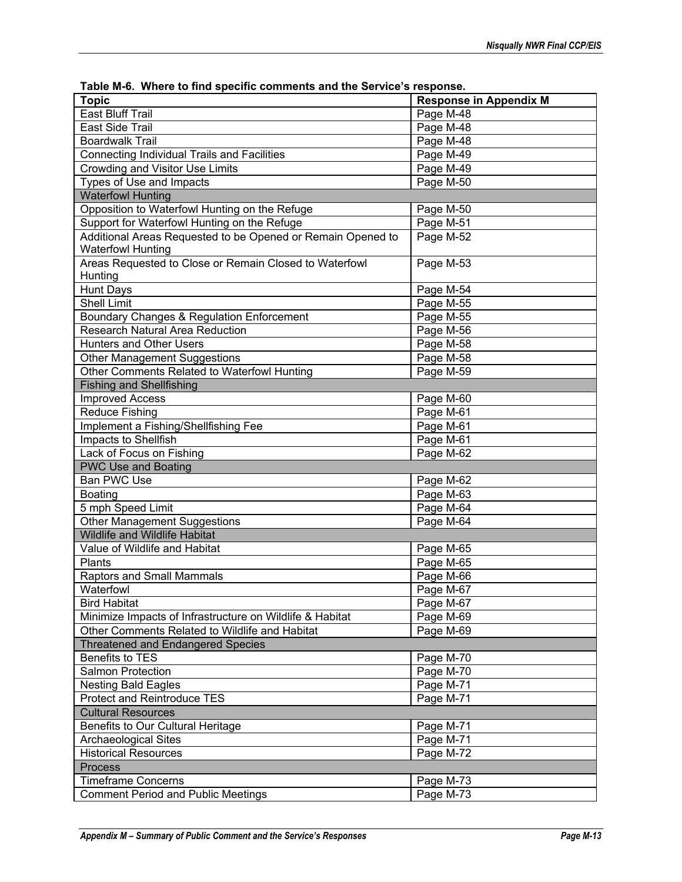| $\frac{1}{2}$ able in-o. Trillere to find specific comments and the oervice's response. |                               |
|-----------------------------------------------------------------------------------------|-------------------------------|
| <b>Topic</b>                                                                            | <b>Response in Appendix M</b> |
| <b>East Bluff Trail</b>                                                                 | Page M-48                     |
| East Side Trail                                                                         | Page M-48                     |
| <b>Boardwalk Trail</b>                                                                  | Page M-48                     |
| Connecting Individual Trails and Facilities                                             | Page M-49                     |
| <b>Crowding and Visitor Use Limits</b>                                                  | Page M-49                     |
| Types of Use and Impacts                                                                | Page M-50                     |
| <b>Waterfowl Hunting</b>                                                                |                               |
| Opposition to Waterfowl Hunting on the Refuge                                           | Page M-50                     |
| Support for Waterfowl Hunting on the Refuge                                             | Page M-51                     |
| Additional Areas Requested to be Opened or Remain Opened to                             | Page M-52                     |
| <b>Waterfowl Hunting</b>                                                                |                               |
| Areas Requested to Close or Remain Closed to Waterfowl                                  | Page M-53                     |
| Hunting                                                                                 |                               |
| Hunt Days                                                                               | Page M-54                     |
| <b>Shell Limit</b>                                                                      | Page M-55                     |
| Boundary Changes & Regulation Enforcement                                               | Page M-55                     |
| Research Natural Area Reduction                                                         | Page M-56                     |
| Hunters and Other Users                                                                 | Page M-58                     |
| <b>Other Management Suggestions</b>                                                     | Page M-58                     |
| Other Comments Related to Waterfowl Hunting                                             | Page M-59                     |
| <b>Fishing and Shellfishing</b>                                                         |                               |
| <b>Improved Access</b>                                                                  | Page M-60                     |
| <b>Reduce Fishing</b>                                                                   | Page M-61                     |
| Implement a Fishing/Shellfishing Fee                                                    | Page M-61                     |
| Impacts to Shellfish                                                                    | Page M-61                     |
| Lack of Focus on Fishing                                                                | Page M-62                     |
| <b>PWC Use and Boating</b>                                                              |                               |
| Ban PWC Use                                                                             | Page M-62                     |
| Boating                                                                                 | Page M-63                     |
| 5 mph Speed Limit                                                                       | Page M-64                     |
| <b>Other Management Suggestions</b>                                                     | Page M-64                     |
| Wildlife and Wildlife Habitat                                                           |                               |
| Value of Wildlife and Habitat                                                           | Page M-65                     |
| Plants                                                                                  | Page M-65                     |
| Raptors and Small Mammals                                                               | Page M-66                     |
| Waterfowl                                                                               | Page M-67                     |
| <b>Bird Habitat</b>                                                                     | Page M-67                     |
| Minimize Impacts of Infrastructure on Wildlife & Habitat                                | Page M-69                     |
| Other Comments Related to Wildlife and Habitat                                          | Page M-69                     |
|                                                                                         |                               |
| <b>Threatened and Endangered Species</b><br><b>Benefits to TES</b>                      |                               |
|                                                                                         | Page M-70                     |
| Salmon Protection                                                                       | Page M-70                     |
| <b>Nesting Bald Eagles</b>                                                              | Page M-71                     |
| <b>Protect and Reintroduce TES</b>                                                      | Page M-71                     |
| <b>Cultural Resources</b>                                                               |                               |
| Benefits to Our Cultural Heritage                                                       | Page M-71                     |
| <b>Archaeological Sites</b>                                                             | Page M-71                     |
| <b>Historical Resources</b>                                                             | Page M-72                     |
| Process                                                                                 |                               |
| <b>Timeframe Concerns</b>                                                               | Page M-73                     |
| <b>Comment Period and Public Meetings</b>                                               | Page M-73                     |

**Table M-6. Where to find specific comments and the Service's response.**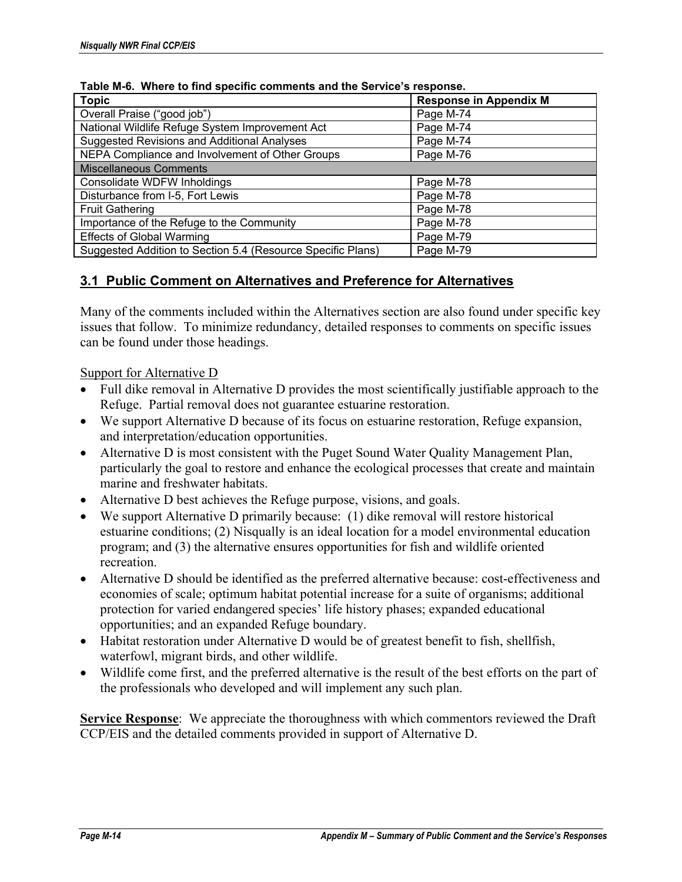| rable in-o. Trillere to mild specific comments and the oernice's response. |                               |  |  |
|----------------------------------------------------------------------------|-------------------------------|--|--|
| <b>Topic</b>                                                               | <b>Response in Appendix M</b> |  |  |
| Overall Praise ("good job")                                                | Page M-74                     |  |  |
| National Wildlife Refuge System Improvement Act                            | Page M-74                     |  |  |
| Suggested Revisions and Additional Analyses                                | Page M-74                     |  |  |
| NEPA Compliance and Involvement of Other Groups                            | Page M-76                     |  |  |
| <b>Miscellaneous Comments</b>                                              |                               |  |  |
| Consolidate WDFW Inholdings                                                | Page M-78                     |  |  |
| Disturbance from I-5, Fort Lewis                                           | Page M-78                     |  |  |
| <b>Fruit Gathering</b>                                                     | Page M-78                     |  |  |
| Importance of the Refuge to the Community                                  | Page M-78                     |  |  |
| <b>Effects of Global Warming</b>                                           | Page M-79                     |  |  |
| Suggested Addition to Section 5.4 (Resource Specific Plans)                | Page M-79                     |  |  |

**Table M-6. Where to find specific comments and the Service's response.** 

## **3.1 Public Comment on Alternatives and Preference for Alternatives**

Many of the comments included within the Alternatives section are also found under specific key issues that follow. To minimize redundancy, detailed responses to comments on specific issues can be found under those headings.

Support for Alternative D

- Full dike removal in Alternative D provides the most scientifically justifiable approach to the Refuge. Partial removal does not guarantee estuarine restoration.
- We support Alternative D because of its focus on estuarine restoration, Refuge expansion, and interpretation/education opportunities.
- Alternative D is most consistent with the Puget Sound Water Quality Management Plan, particularly the goal to restore and enhance the ecological processes that create and maintain marine and freshwater habitats.
- Alternative D best achieves the Refuge purpose, visions, and goals.
- We support Alternative D primarily because: (1) dike removal will restore historical estuarine conditions; (2) Nisqually is an ideal location for a model environmental education program; and (3) the alternative ensures opportunities for fish and wildlife oriented recreation.
- Alternative D should be identified as the preferred alternative because: cost-effectiveness and economies of scale; optimum habitat potential increase for a suite of organisms; additional protection for varied endangered species' life history phases; expanded educational opportunities; and an expanded Refuge boundary.
- Habitat restoration under Alternative D would be of greatest benefit to fish, shellfish, waterfowl, migrant birds, and other wildlife.
- Wildlife come first, and the preferred alternative is the result of the best efforts on the part of the professionals who developed and will implement any such plan.

**Service Response**: We appreciate the thoroughness with which commentors reviewed the Draft CCP/EIS and the detailed comments provided in support of Alternative D.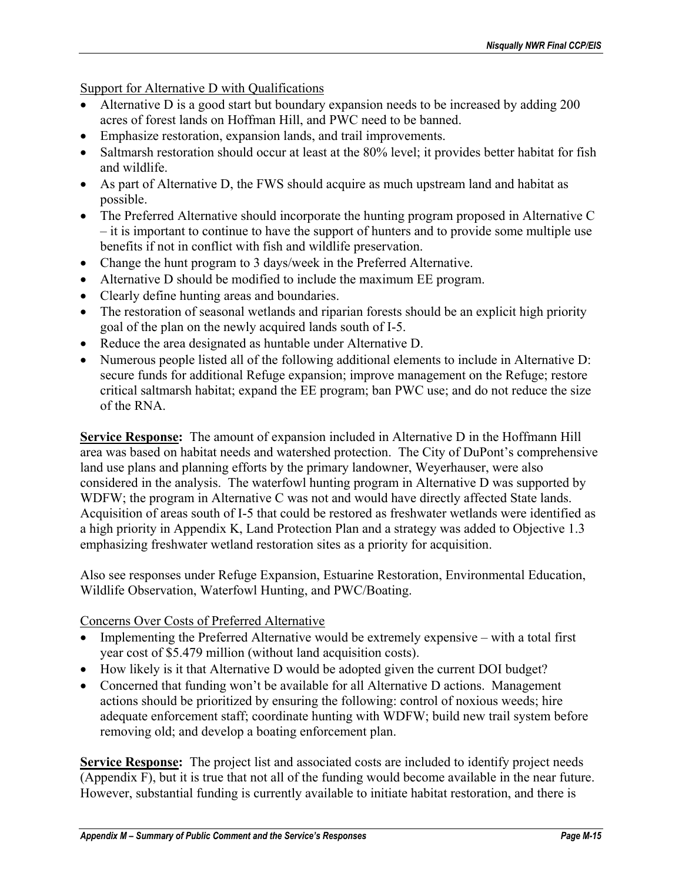Support for Alternative D with Qualifications

- Alternative D is a good start but boundary expansion needs to be increased by adding 200 acres of forest lands on Hoffman Hill, and PWC need to be banned.
- Emphasize restoration, expansion lands, and trail improvements.
- Saltmarsh restoration should occur at least at the 80% level; it provides better habitat for fish and wildlife.
- As part of Alternative D, the FWS should acquire as much upstream land and habitat as possible.
- The Preferred Alternative should incorporate the hunting program proposed in Alternative C – it is important to continue to have the support of hunters and to provide some multiple use benefits if not in conflict with fish and wildlife preservation.
- Change the hunt program to 3 days/week in the Preferred Alternative.
- Alternative D should be modified to include the maximum EE program.
- Clearly define hunting areas and boundaries.
- The restoration of seasonal wetlands and riparian forests should be an explicit high priority goal of the plan on the newly acquired lands south of I-5.
- Reduce the area designated as huntable under Alternative D.
- Numerous people listed all of the following additional elements to include in Alternative D: secure funds for additional Refuge expansion; improve management on the Refuge; restore critical saltmarsh habitat; expand the EE program; ban PWC use; and do not reduce the size of the RNA.

**Service Response:** The amount of expansion included in Alternative D in the Hoffmann Hill area was based on habitat needs and watershed protection. The City of DuPont's comprehensive land use plans and planning efforts by the primary landowner, Weyerhauser, were also considered in the analysis. The waterfowl hunting program in Alternative D was supported by WDFW; the program in Alternative C was not and would have directly affected State lands. Acquisition of areas south of I-5 that could be restored as freshwater wetlands were identified as a high priority in Appendix K, Land Protection Plan and a strategy was added to Objective 1.3 emphasizing freshwater wetland restoration sites as a priority for acquisition.

Also see responses under Refuge Expansion, Estuarine Restoration, Environmental Education, Wildlife Observation, Waterfowl Hunting, and PWC/Boating.

### Concerns Over Costs of Preferred Alternative

- Implementing the Preferred Alternative would be extremely expensive with a total first year cost of \$5.479 million (without land acquisition costs).
- How likely is it that Alternative D would be adopted given the current DOI budget?
- Concerned that funding won't be available for all Alternative D actions. Management actions should be prioritized by ensuring the following: control of noxious weeds; hire adequate enforcement staff; coordinate hunting with WDFW; build new trail system before removing old; and develop a boating enforcement plan.

**Service Response:** The project list and associated costs are included to identify project needs (Appendix F), but it is true that not all of the funding would become available in the near future. However, substantial funding is currently available to initiate habitat restoration, and there is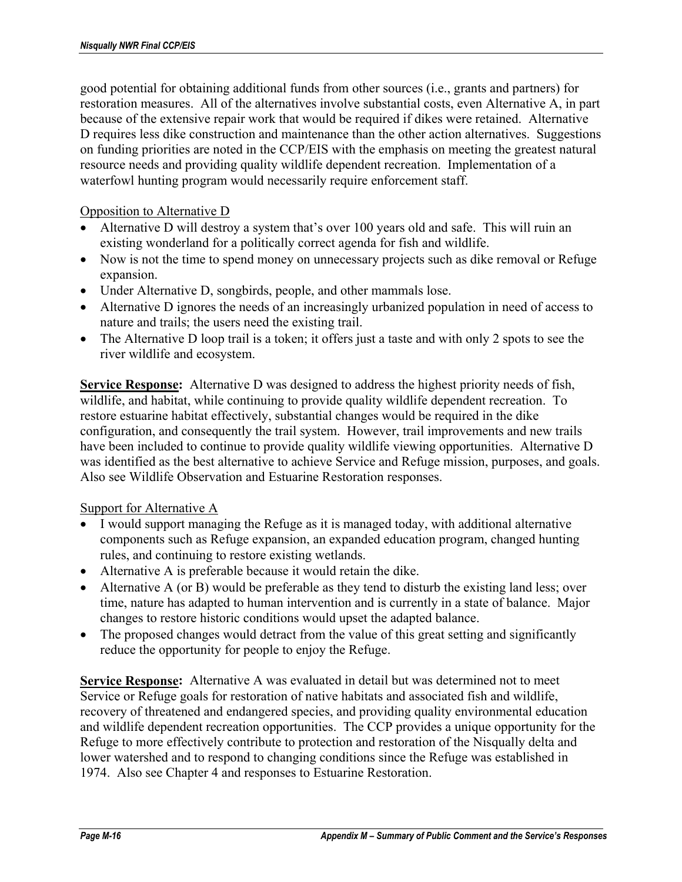good potential for obtaining additional funds from other sources (i.e., grants and partners) for restoration measures. All of the alternatives involve substantial costs, even Alternative A, in part because of the extensive repair work that would be required if dikes were retained. Alternative D requires less dike construction and maintenance than the other action alternatives. Suggestions on funding priorities are noted in the CCP/EIS with the emphasis on meeting the greatest natural resource needs and providing quality wildlife dependent recreation. Implementation of a waterfowl hunting program would necessarily require enforcement staff.

### Opposition to Alternative D

- Alternative D will destroy a system that's over 100 years old and safe. This will ruin an existing wonderland for a politically correct agenda for fish and wildlife.
- Now is not the time to spend money on unnecessary projects such as dike removal or Refuge expansion.
- Under Alternative D, songbirds, people, and other mammals lose.
- Alternative D ignores the needs of an increasingly urbanized population in need of access to nature and trails; the users need the existing trail.
- The Alternative D loop trail is a token; it offers just a taste and with only 2 spots to see the river wildlife and ecosystem.

**Service Response:** Alternative D was designed to address the highest priority needs of fish, wildlife, and habitat, while continuing to provide quality wildlife dependent recreation. To restore estuarine habitat effectively, substantial changes would be required in the dike configuration, and consequently the trail system. However, trail improvements and new trails have been included to continue to provide quality wildlife viewing opportunities. Alternative D was identified as the best alternative to achieve Service and Refuge mission, purposes, and goals. Also see Wildlife Observation and Estuarine Restoration responses.

#### Support for Alternative A

- I would support managing the Refuge as it is managed today, with additional alternative components such as Refuge expansion, an expanded education program, changed hunting rules, and continuing to restore existing wetlands.
- Alternative A is preferable because it would retain the dike.
- Alternative A (or B) would be preferable as they tend to disturb the existing land less; over time, nature has adapted to human intervention and is currently in a state of balance. Major changes to restore historic conditions would upset the adapted balance.
- The proposed changes would detract from the value of this great setting and significantly reduce the opportunity for people to enjoy the Refuge.

**Service Response:** Alternative A was evaluated in detail but was determined not to meet Service or Refuge goals for restoration of native habitats and associated fish and wildlife, recovery of threatened and endangered species, and providing quality environmental education and wildlife dependent recreation opportunities. The CCP provides a unique opportunity for the Refuge to more effectively contribute to protection and restoration of the Nisqually delta and lower watershed and to respond to changing conditions since the Refuge was established in 1974. Also see Chapter 4 and responses to Estuarine Restoration.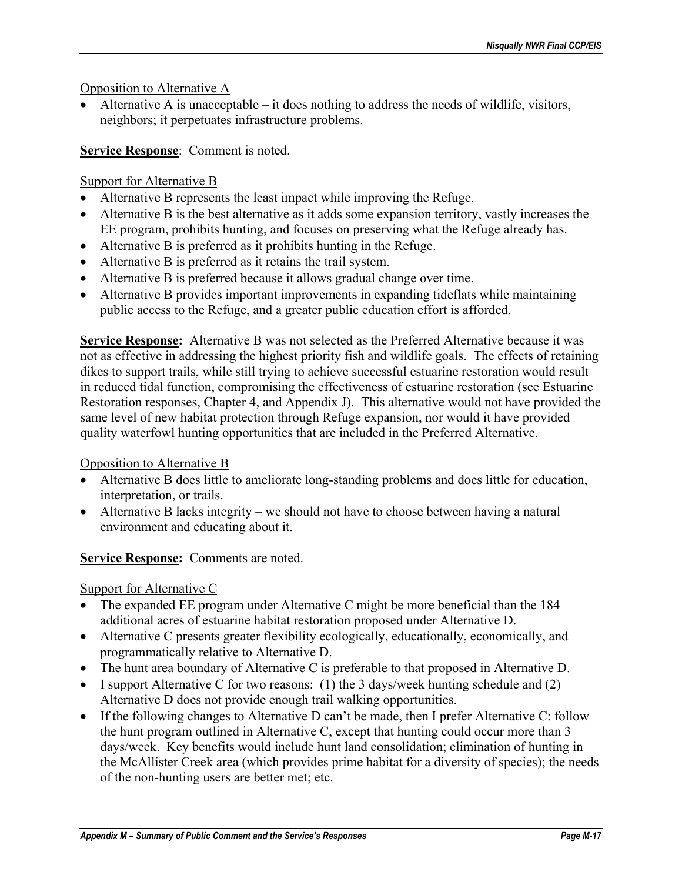Opposition to Alternative A

• Alternative A is unacceptable – it does nothing to address the needs of wildlife, visitors, neighbors; it perpetuates infrastructure problems.

**Service Response**: Comment is noted.

## Support for Alternative B

- Alternative B represents the least impact while improving the Refuge.
- Alternative B is the best alternative as it adds some expansion territory, vastly increases the EE program, prohibits hunting, and focuses on preserving what the Refuge already has.
- Alternative B is preferred as it prohibits hunting in the Refuge.
- Alternative B is preferred as it retains the trail system.
- Alternative B is preferred because it allows gradual change over time.
- Alternative B provides important improvements in expanding tideflats while maintaining public access to the Refuge, and a greater public education effort is afforded.

**Service Response:** Alternative B was not selected as the Preferred Alternative because it was not as effective in addressing the highest priority fish and wildlife goals. The effects of retaining dikes to support trails, while still trying to achieve successful estuarine restoration would result in reduced tidal function, compromising the effectiveness of estuarine restoration (see Estuarine Restoration responses, Chapter 4, and Appendix J). This alternative would not have provided the same level of new habitat protection through Refuge expansion, nor would it have provided quality waterfowl hunting opportunities that are included in the Preferred Alternative.

## Opposition to Alternative B

- Alternative B does little to ameliorate long-standing problems and does little for education, interpretation, or trails.
- Alternative B lacks integrity we should not have to choose between having a natural environment and educating about it.

**Service Response:** Comments are noted.

## Support for Alternative C

- The expanded EE program under Alternative C might be more beneficial than the 184 additional acres of estuarine habitat restoration proposed under Alternative D.
- Alternative C presents greater flexibility ecologically, educationally, economically, and programmatically relative to Alternative D.
- The hunt area boundary of Alternative C is preferable to that proposed in Alternative D.
- I support Alternative C for two reasons: (1) the 3 days/week hunting schedule and (2) Alternative D does not provide enough trail walking opportunities.
- If the following changes to Alternative D can't be made, then I prefer Alternative C: follow the hunt program outlined in Alternative C, except that hunting could occur more than 3 days/week. Key benefits would include hunt land consolidation; elimination of hunting in the McAllister Creek area (which provides prime habitat for a diversity of species); the needs of the non-hunting users are better met; etc.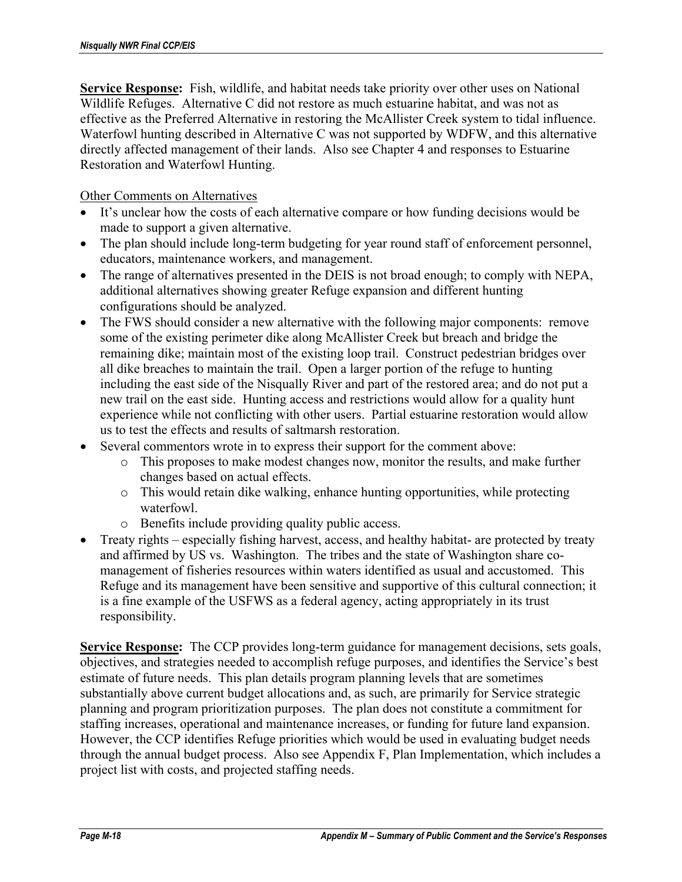**Service Response:** Fish, wildlife, and habitat needs take priority over other uses on National Wildlife Refuges. Alternative C did not restore as much estuarine habitat, and was not as effective as the Preferred Alternative in restoring the McAllister Creek system to tidal influence. Waterfowl hunting described in Alternative C was not supported by WDFW, and this alternative directly affected management of their lands. Also see Chapter 4 and responses to Estuarine Restoration and Waterfowl Hunting.

Other Comments on Alternatives

- It's unclear how the costs of each alternative compare or how funding decisions would be made to support a given alternative.
- The plan should include long-term budgeting for year round staff of enforcement personnel, educators, maintenance workers, and management.
- The range of alternatives presented in the DEIS is not broad enough; to comply with NEPA, additional alternatives showing greater Refuge expansion and different hunting configurations should be analyzed.
- The FWS should consider a new alternative with the following major components: remove some of the existing perimeter dike along McAllister Creek but breach and bridge the remaining dike; maintain most of the existing loop trail. Construct pedestrian bridges over all dike breaches to maintain the trail. Open a larger portion of the refuge to hunting including the east side of the Nisqually River and part of the restored area; and do not put a new trail on the east side. Hunting access and restrictions would allow for a quality hunt experience while not conflicting with other users. Partial estuarine restoration would allow us to test the effects and results of saltmarsh restoration.
- Several commentors wrote in to express their support for the comment above:
	- o This proposes to make modest changes now, monitor the results, and make further changes based on actual effects.
	- o This would retain dike walking, enhance hunting opportunities, while protecting waterfowl.
	- o Benefits include providing quality public access.
- Treaty rights especially fishing harvest, access, and healthy habitat- are protected by treaty and affirmed by US vs. Washington. The tribes and the state of Washington share comanagement of fisheries resources within waters identified as usual and accustomed. This Refuge and its management have been sensitive and supportive of this cultural connection; it is a fine example of the USFWS as a federal agency, acting appropriately in its trust responsibility.

**Service Response:** The CCP provides long-term guidance for management decisions, sets goals, objectives, and strategies needed to accomplish refuge purposes, and identifies the Service's best estimate of future needs. This plan details program planning levels that are sometimes substantially above current budget allocations and, as such, are primarily for Service strategic planning and program prioritization purposes. The plan does not constitute a commitment for staffing increases, operational and maintenance increases, or funding for future land expansion. However, the CCP identifies Refuge priorities which would be used in evaluating budget needs through the annual budget process. Also see Appendix F, Plan Implementation, which includes a project list with costs, and projected staffing needs.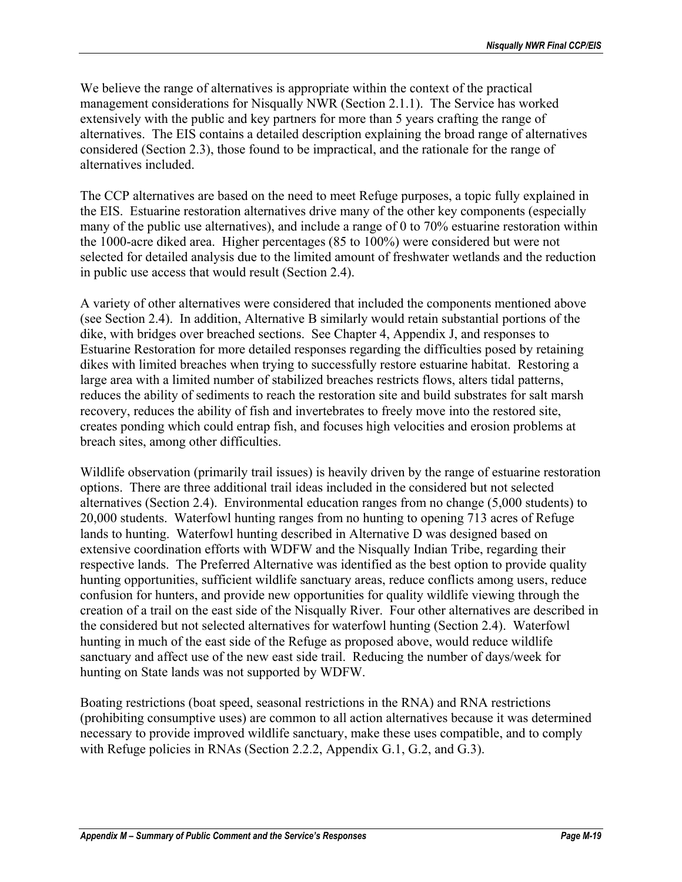We believe the range of alternatives is appropriate within the context of the practical management considerations for Nisqually NWR (Section 2.1.1). The Service has worked extensively with the public and key partners for more than 5 years crafting the range of alternatives. The EIS contains a detailed description explaining the broad range of alternatives considered (Section 2.3), those found to be impractical, and the rationale for the range of alternatives included.

The CCP alternatives are based on the need to meet Refuge purposes, a topic fully explained in the EIS. Estuarine restoration alternatives drive many of the other key components (especially many of the public use alternatives), and include a range of 0 to 70% estuarine restoration within the 1000-acre diked area. Higher percentages (85 to 100%) were considered but were not selected for detailed analysis due to the limited amount of freshwater wetlands and the reduction in public use access that would result (Section 2.4).

A variety of other alternatives were considered that included the components mentioned above (see Section 2.4). In addition, Alternative B similarly would retain substantial portions of the dike, with bridges over breached sections. See Chapter 4, Appendix J, and responses to Estuarine Restoration for more detailed responses regarding the difficulties posed by retaining dikes with limited breaches when trying to successfully restore estuarine habitat. Restoring a large area with a limited number of stabilized breaches restricts flows, alters tidal patterns, reduces the ability of sediments to reach the restoration site and build substrates for salt marsh recovery, reduces the ability of fish and invertebrates to freely move into the restored site, creates ponding which could entrap fish, and focuses high velocities and erosion problems at breach sites, among other difficulties.

Wildlife observation (primarily trail issues) is heavily driven by the range of estuarine restoration options. There are three additional trail ideas included in the considered but not selected alternatives (Section 2.4). Environmental education ranges from no change (5,000 students) to 20,000 students. Waterfowl hunting ranges from no hunting to opening 713 acres of Refuge lands to hunting. Waterfowl hunting described in Alternative D was designed based on extensive coordination efforts with WDFW and the Nisqually Indian Tribe, regarding their respective lands. The Preferred Alternative was identified as the best option to provide quality hunting opportunities, sufficient wildlife sanctuary areas, reduce conflicts among users, reduce confusion for hunters, and provide new opportunities for quality wildlife viewing through the creation of a trail on the east side of the Nisqually River. Four other alternatives are described in the considered but not selected alternatives for waterfowl hunting (Section 2.4). Waterfowl hunting in much of the east side of the Refuge as proposed above, would reduce wildlife sanctuary and affect use of the new east side trail. Reducing the number of days/week for hunting on State lands was not supported by WDFW.

Boating restrictions (boat speed, seasonal restrictions in the RNA) and RNA restrictions (prohibiting consumptive uses) are common to all action alternatives because it was determined necessary to provide improved wildlife sanctuary, make these uses compatible, and to comply with Refuge policies in RNAs (Section 2.2.2, Appendix G.1, G.2, and G.3).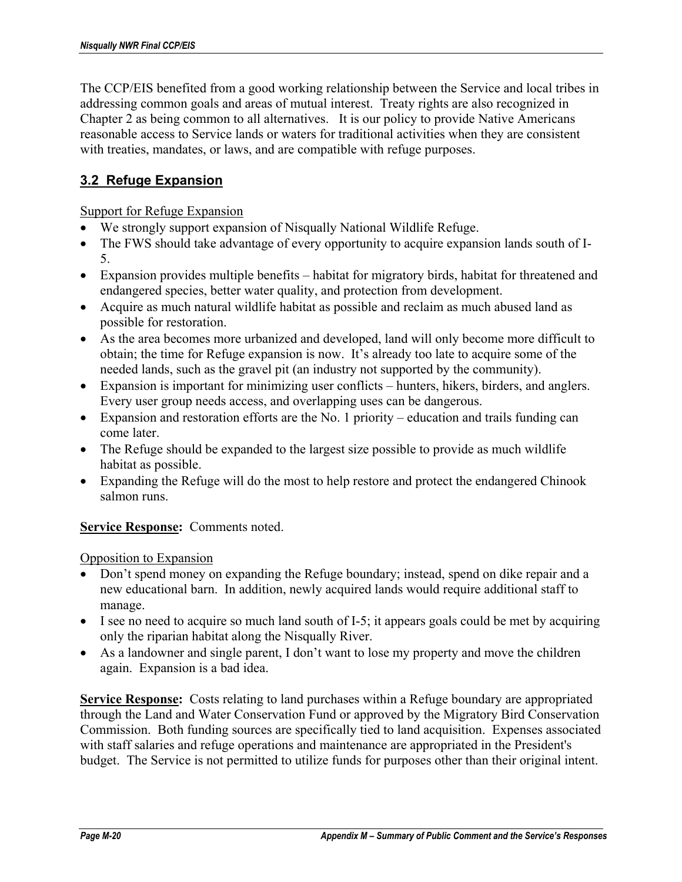The CCP/EIS benefited from a good working relationship between the Service and local tribes in addressing common goals and areas of mutual interest. Treaty rights are also recognized in Chapter 2 as being common to all alternatives. It is our policy to provide Native Americans reasonable access to Service lands or waters for traditional activities when they are consistent with treaties, mandates, or laws, and are compatible with refuge purposes.

## **3.2 Refuge Expansion**

Support for Refuge Expansion

- We strongly support expansion of Nisqually National Wildlife Refuge.
- The FWS should take advantage of every opportunity to acquire expansion lands south of I-5.
- Expansion provides multiple benefits habitat for migratory birds, habitat for threatened and endangered species, better water quality, and protection from development.
- Acquire as much natural wildlife habitat as possible and reclaim as much abused land as possible for restoration.
- As the area becomes more urbanized and developed, land will only become more difficult to obtain; the time for Refuge expansion is now. It's already too late to acquire some of the needed lands, such as the gravel pit (an industry not supported by the community).
- Expansion is important for minimizing user conflicts hunters, hikers, birders, and anglers. Every user group needs access, and overlapping uses can be dangerous.
- Expansion and restoration efforts are the No. 1 priority education and trails funding can come later.
- The Refuge should be expanded to the largest size possible to provide as much wildlife habitat as possible.
- Expanding the Refuge will do the most to help restore and protect the endangered Chinook salmon runs.

**Service Response:** Comments noted.

Opposition to Expansion

- Don't spend money on expanding the Refuge boundary; instead, spend on dike repair and a new educational barn. In addition, newly acquired lands would require additional staff to manage.
- I see no need to acquire so much land south of I-5; it appears goals could be met by acquiring only the riparian habitat along the Nisqually River.
- As a landowner and single parent, I don't want to lose my property and move the children again. Expansion is a bad idea.

**Service Response:** Costs relating to land purchases within a Refuge boundary are appropriated through the Land and Water Conservation Fund or approved by the Migratory Bird Conservation Commission. Both funding sources are specifically tied to land acquisition. Expenses associated with staff salaries and refuge operations and maintenance are appropriated in the President's budget. The Service is not permitted to utilize funds for purposes other than their original intent.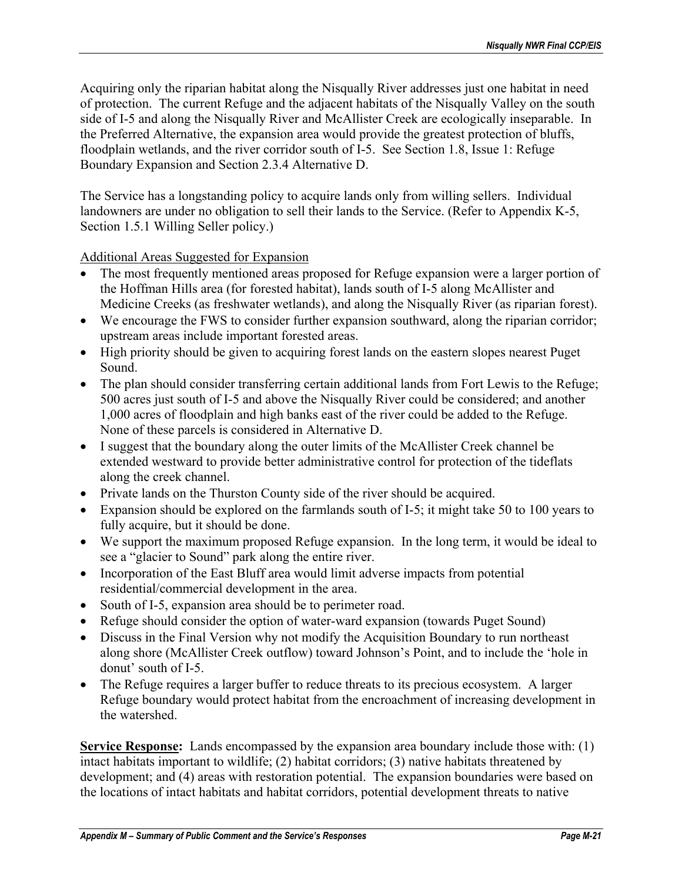Acquiring only the riparian habitat along the Nisqually River addresses just one habitat in need of protection. The current Refuge and the adjacent habitats of the Nisqually Valley on the south side of I-5 and along the Nisqually River and McAllister Creek are ecologically inseparable. In the Preferred Alternative, the expansion area would provide the greatest protection of bluffs, floodplain wetlands, and the river corridor south of I-5. See Section 1.8, Issue 1: Refuge Boundary Expansion and Section 2.3.4 Alternative D.

The Service has a longstanding policy to acquire lands only from willing sellers. Individual landowners are under no obligation to sell their lands to the Service. (Refer to Appendix K-5, Section 1.5.1 Willing Seller policy.)

Additional Areas Suggested for Expansion

- The most frequently mentioned areas proposed for Refuge expansion were a larger portion of the Hoffman Hills area (for forested habitat), lands south of I-5 along McAllister and Medicine Creeks (as freshwater wetlands), and along the Nisqually River (as riparian forest).
- We encourage the FWS to consider further expansion southward, along the riparian corridor; upstream areas include important forested areas.
- High priority should be given to acquiring forest lands on the eastern slopes nearest Puget Sound.
- The plan should consider transferring certain additional lands from Fort Lewis to the Refuge; 500 acres just south of I-5 and above the Nisqually River could be considered; and another 1,000 acres of floodplain and high banks east of the river could be added to the Refuge. None of these parcels is considered in Alternative D.
- I suggest that the boundary along the outer limits of the McAllister Creek channel be extended westward to provide better administrative control for protection of the tideflats along the creek channel.
- Private lands on the Thurston County side of the river should be acquired.
- Expansion should be explored on the farmlands south of I-5; it might take 50 to 100 years to fully acquire, but it should be done.
- We support the maximum proposed Refuge expansion. In the long term, it would be ideal to see a "glacier to Sound" park along the entire river.
- Incorporation of the East Bluff area would limit adverse impacts from potential residential/commercial development in the area.
- South of I-5, expansion area should be to perimeter road.
- Refuge should consider the option of water-ward expansion (towards Puget Sound)
- Discuss in the Final Version why not modify the Acquisition Boundary to run northeast along shore (McAllister Creek outflow) toward Johnson's Point, and to include the 'hole in donut' south of I-5.
- The Refuge requires a larger buffer to reduce threats to its precious ecosystem. A larger Refuge boundary would protect habitat from the encroachment of increasing development in the watershed.

**Service Response:** Lands encompassed by the expansion area boundary include those with: (1) intact habitats important to wildlife; (2) habitat corridors; (3) native habitats threatened by development; and (4) areas with restoration potential. The expansion boundaries were based on the locations of intact habitats and habitat corridors, potential development threats to native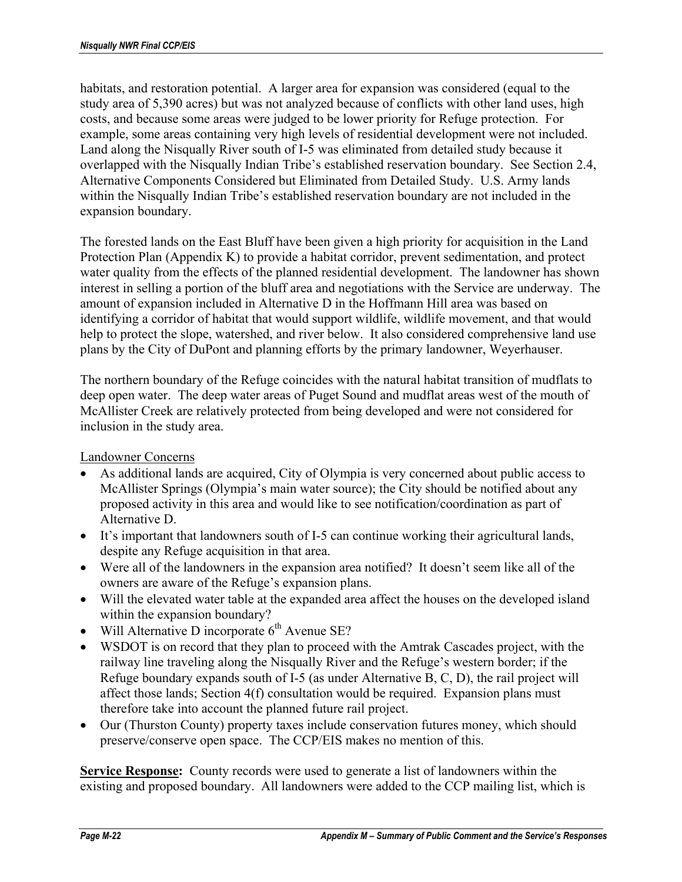habitats, and restoration potential. A larger area for expansion was considered (equal to the study area of 5,390 acres) but was not analyzed because of conflicts with other land uses, high costs, and because some areas were judged to be lower priority for Refuge protection. For example, some areas containing very high levels of residential development were not included. Land along the Nisqually River south of I-5 was eliminated from detailed study because it overlapped with the Nisqually Indian Tribe's established reservation boundary. See Section 2.4, Alternative Components Considered but Eliminated from Detailed Study. U.S. Army lands within the Nisqually Indian Tribe's established reservation boundary are not included in the expansion boundary.

The forested lands on the East Bluff have been given a high priority for acquisition in the Land Protection Plan (Appendix K) to provide a habitat corridor, prevent sedimentation, and protect water quality from the effects of the planned residential development. The landowner has shown interest in selling a portion of the bluff area and negotiations with the Service are underway. The amount of expansion included in Alternative D in the Hoffmann Hill area was based on identifying a corridor of habitat that would support wildlife, wildlife movement, and that would help to protect the slope, watershed, and river below. It also considered comprehensive land use plans by the City of DuPont and planning efforts by the primary landowner, Weyerhauser.

The northern boundary of the Refuge coincides with the natural habitat transition of mudflats to deep open water. The deep water areas of Puget Sound and mudflat areas west of the mouth of McAllister Creek are relatively protected from being developed and were not considered for inclusion in the study area.

### Landowner Concerns

- As additional lands are acquired, City of Olympia is very concerned about public access to McAllister Springs (Olympia's main water source); the City should be notified about any proposed activity in this area and would like to see notification/coordination as part of Alternative D.
- It's important that landowners south of I-5 can continue working their agricultural lands, despite any Refuge acquisition in that area.
- Were all of the landowners in the expansion area notified? It doesn't seem like all of the owners are aware of the Refuge's expansion plans.
- Will the elevated water table at the expanded area affect the houses on the developed island within the expansion boundary?
- Will Alternative D incorporate  $6<sup>th</sup>$  Avenue SE?
- WSDOT is on record that they plan to proceed with the Amtrak Cascades project, with the railway line traveling along the Nisqually River and the Refuge's western border; if the Refuge boundary expands south of I-5 (as under Alternative B, C, D), the rail project will affect those lands; Section 4(f) consultation would be required. Expansion plans must therefore take into account the planned future rail project.
- Our (Thurston County) property taxes include conservation futures money, which should preserve/conserve open space. The CCP/EIS makes no mention of this.

**Service Response:** County records were used to generate a list of landowners within the existing and proposed boundary. All landowners were added to the CCP mailing list, which is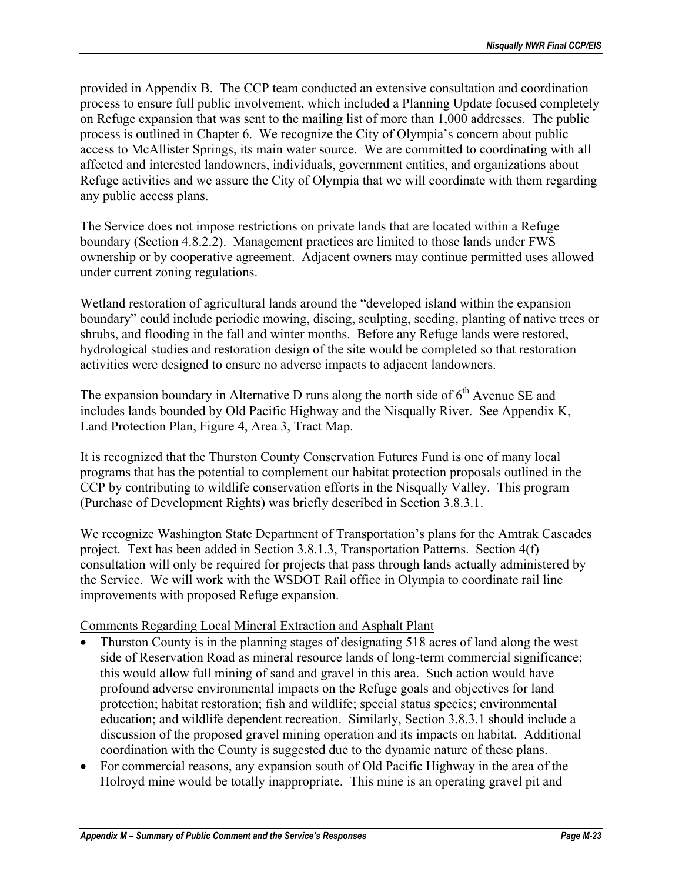provided in Appendix B. The CCP team conducted an extensive consultation and coordination process to ensure full public involvement, which included a Planning Update focused completely on Refuge expansion that was sent to the mailing list of more than 1,000 addresses. The public process is outlined in Chapter 6. We recognize the City of Olympia's concern about public access to McAllister Springs, its main water source. We are committed to coordinating with all affected and interested landowners, individuals, government entities, and organizations about Refuge activities and we assure the City of Olympia that we will coordinate with them regarding any public access plans.

The Service does not impose restrictions on private lands that are located within a Refuge boundary (Section 4.8.2.2). Management practices are limited to those lands under FWS ownership or by cooperative agreement. Adjacent owners may continue permitted uses allowed under current zoning regulations.

Wetland restoration of agricultural lands around the "developed island within the expansion boundary" could include periodic mowing, discing, sculpting, seeding, planting of native trees or shrubs, and flooding in the fall and winter months. Before any Refuge lands were restored, hydrological studies and restoration design of the site would be completed so that restoration activities were designed to ensure no adverse impacts to adjacent landowners.

The expansion boundary in Alternative D runs along the north side of  $6<sup>th</sup>$  Avenue SE and includes lands bounded by Old Pacific Highway and the Nisqually River. See Appendix K, Land Protection Plan, Figure 4, Area 3, Tract Map.

It is recognized that the Thurston County Conservation Futures Fund is one of many local programs that has the potential to complement our habitat protection proposals outlined in the CCP by contributing to wildlife conservation efforts in the Nisqually Valley. This program (Purchase of Development Rights) was briefly described in Section 3.8.3.1.

We recognize Washington State Department of Transportation's plans for the Amtrak Cascades project. Text has been added in Section 3.8.1.3, Transportation Patterns. Section 4(f) consultation will only be required for projects that pass through lands actually administered by the Service. We will work with the WSDOT Rail office in Olympia to coordinate rail line improvements with proposed Refuge expansion.

### Comments Regarding Local Mineral Extraction and Asphalt Plant

- Thurston County is in the planning stages of designating 518 acres of land along the west side of Reservation Road as mineral resource lands of long-term commercial significance; this would allow full mining of sand and gravel in this area. Such action would have profound adverse environmental impacts on the Refuge goals and objectives for land protection; habitat restoration; fish and wildlife; special status species; environmental education; and wildlife dependent recreation. Similarly, Section 3.8.3.1 should include a discussion of the proposed gravel mining operation and its impacts on habitat. Additional coordination with the County is suggested due to the dynamic nature of these plans.
- For commercial reasons, any expansion south of Old Pacific Highway in the area of the Holroyd mine would be totally inappropriate. This mine is an operating gravel pit and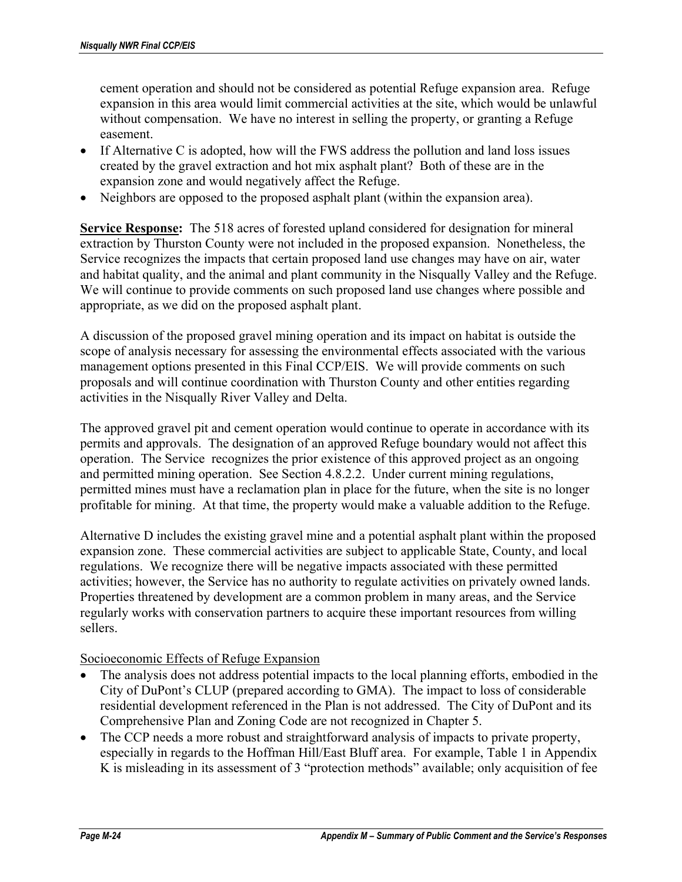cement operation and should not be considered as potential Refuge expansion area. Refuge expansion in this area would limit commercial activities at the site, which would be unlawful without compensation. We have no interest in selling the property, or granting a Refuge easement.

- If Alternative C is adopted, how will the FWS address the pollution and land loss issues created by the gravel extraction and hot mix asphalt plant? Both of these are in the expansion zone and would negatively affect the Refuge.
- Neighbors are opposed to the proposed asphalt plant (within the expansion area).

**Service Response:** The 518 acres of forested upland considered for designation for mineral extraction by Thurston County were not included in the proposed expansion. Nonetheless, the Service recognizes the impacts that certain proposed land use changes may have on air, water and habitat quality, and the animal and plant community in the Nisqually Valley and the Refuge. We will continue to provide comments on such proposed land use changes where possible and appropriate, as we did on the proposed asphalt plant.

A discussion of the proposed gravel mining operation and its impact on habitat is outside the scope of analysis necessary for assessing the environmental effects associated with the various management options presented in this Final CCP/EIS. We will provide comments on such proposals and will continue coordination with Thurston County and other entities regarding activities in the Nisqually River Valley and Delta.

The approved gravel pit and cement operation would continue to operate in accordance with its permits and approvals. The designation of an approved Refuge boundary would not affect this operation. The Service recognizes the prior existence of this approved project as an ongoing and permitted mining operation. See Section 4.8.2.2. Under current mining regulations, permitted mines must have a reclamation plan in place for the future, when the site is no longer profitable for mining. At that time, the property would make a valuable addition to the Refuge.

Alternative D includes the existing gravel mine and a potential asphalt plant within the proposed expansion zone. These commercial activities are subject to applicable State, County, and local regulations. We recognize there will be negative impacts associated with these permitted activities; however, the Service has no authority to regulate activities on privately owned lands. Properties threatened by development are a common problem in many areas, and the Service regularly works with conservation partners to acquire these important resources from willing sellers.

Socioeconomic Effects of Refuge Expansion

- The analysis does not address potential impacts to the local planning efforts, embodied in the City of DuPont's CLUP (prepared according to GMA). The impact to loss of considerable residential development referenced in the Plan is not addressed. The City of DuPont and its Comprehensive Plan and Zoning Code are not recognized in Chapter 5.
- The CCP needs a more robust and straightforward analysis of impacts to private property, especially in regards to the Hoffman Hill/East Bluff area. For example, Table 1 in Appendix K is misleading in its assessment of 3 "protection methods" available; only acquisition of fee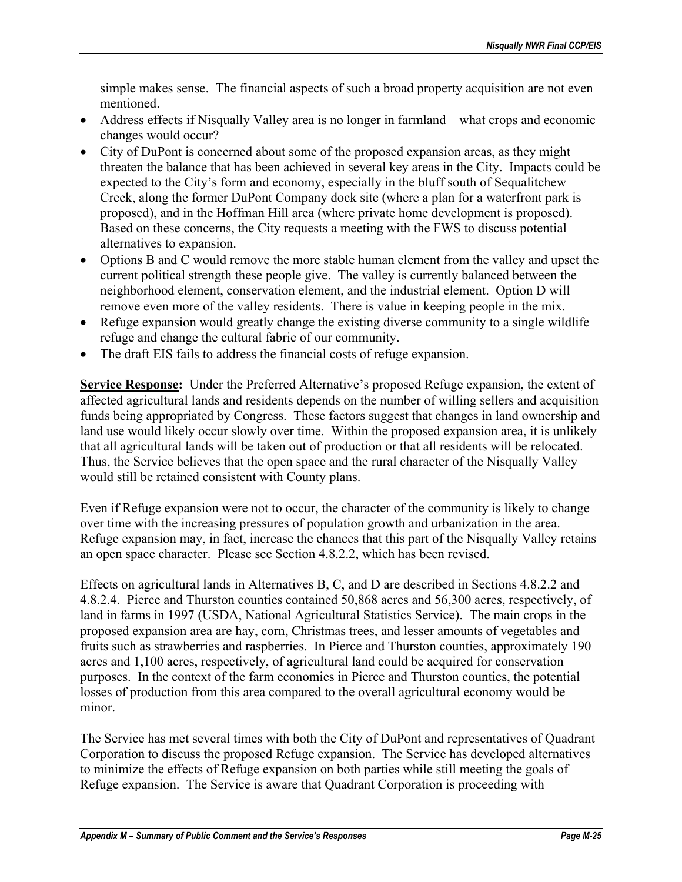simple makes sense. The financial aspects of such a broad property acquisition are not even mentioned.

- Address effects if Nisqually Valley area is no longer in farmland what crops and economic changes would occur?
- City of DuPont is concerned about some of the proposed expansion areas, as they might threaten the balance that has been achieved in several key areas in the City. Impacts could be expected to the City's form and economy, especially in the bluff south of Sequalitchew Creek, along the former DuPont Company dock site (where a plan for a waterfront park is proposed), and in the Hoffman Hill area (where private home development is proposed). Based on these concerns, the City requests a meeting with the FWS to discuss potential alternatives to expansion.
- Options B and C would remove the more stable human element from the valley and upset the current political strength these people give. The valley is currently balanced between the neighborhood element, conservation element, and the industrial element. Option D will remove even more of the valley residents. There is value in keeping people in the mix.
- Refuge expansion would greatly change the existing diverse community to a single wildlife refuge and change the cultural fabric of our community.
- The draft EIS fails to address the financial costs of refuge expansion.

**Service Response:** Under the Preferred Alternative's proposed Refuge expansion, the extent of affected agricultural lands and residents depends on the number of willing sellers and acquisition funds being appropriated by Congress. These factors suggest that changes in land ownership and land use would likely occur slowly over time. Within the proposed expansion area, it is unlikely that all agricultural lands will be taken out of production or that all residents will be relocated. Thus, the Service believes that the open space and the rural character of the Nisqually Valley would still be retained consistent with County plans.

Even if Refuge expansion were not to occur, the character of the community is likely to change over time with the increasing pressures of population growth and urbanization in the area. Refuge expansion may, in fact, increase the chances that this part of the Nisqually Valley retains an open space character. Please see Section 4.8.2.2, which has been revised.

Effects on agricultural lands in Alternatives B, C, and D are described in Sections 4.8.2.2 and 4.8.2.4. Pierce and Thurston counties contained 50,868 acres and 56,300 acres, respectively, of land in farms in 1997 (USDA, National Agricultural Statistics Service). The main crops in the proposed expansion area are hay, corn, Christmas trees, and lesser amounts of vegetables and fruits such as strawberries and raspberries. In Pierce and Thurston counties, approximately 190 acres and 1,100 acres, respectively, of agricultural land could be acquired for conservation purposes. In the context of the farm economies in Pierce and Thurston counties, the potential losses of production from this area compared to the overall agricultural economy would be minor.

The Service has met several times with both the City of DuPont and representatives of Quadrant Corporation to discuss the proposed Refuge expansion. The Service has developed alternatives to minimize the effects of Refuge expansion on both parties while still meeting the goals of Refuge expansion. The Service is aware that Quadrant Corporation is proceeding with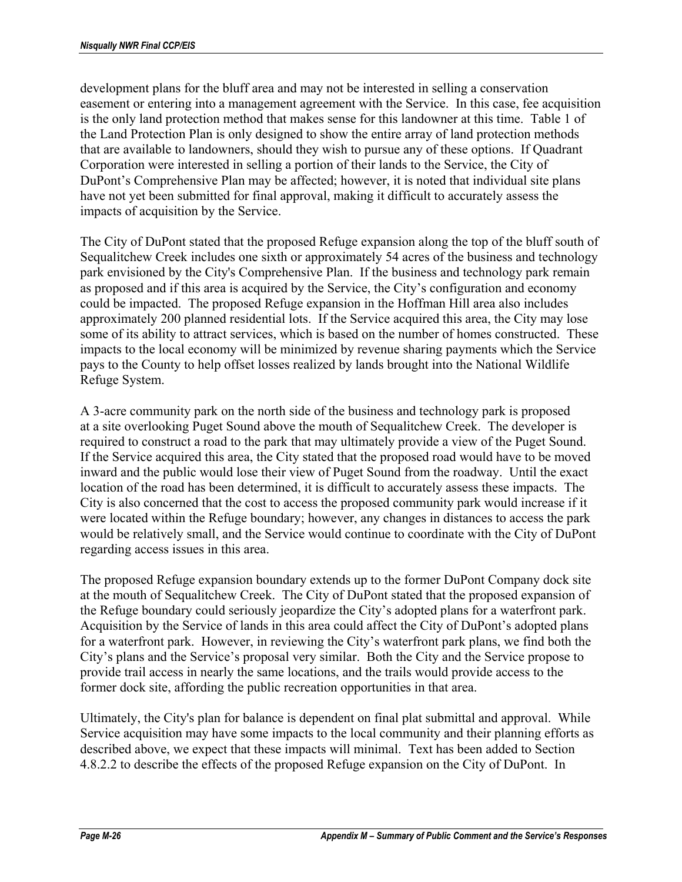development plans for the bluff area and may not be interested in selling a conservation easement or entering into a management agreement with the Service. In this case, fee acquisition is the only land protection method that makes sense for this landowner at this time. Table 1 of the Land Protection Plan is only designed to show the entire array of land protection methods that are available to landowners, should they wish to pursue any of these options. If Quadrant Corporation were interested in selling a portion of their lands to the Service, the City of DuPont's Comprehensive Plan may be affected; however, it is noted that individual site plans have not yet been submitted for final approval, making it difficult to accurately assess the impacts of acquisition by the Service.

The City of DuPont stated that the proposed Refuge expansion along the top of the bluff south of Sequalitchew Creek includes one sixth or approximately 54 acres of the business and technology park envisioned by the City's Comprehensive Plan. If the business and technology park remain as proposed and if this area is acquired by the Service, the City's configuration and economy could be impacted. The proposed Refuge expansion in the Hoffman Hill area also includes approximately 200 planned residential lots. If the Service acquired this area, the City may lose some of its ability to attract services, which is based on the number of homes constructed. These impacts to the local economy will be minimized by revenue sharing payments which the Service pays to the County to help offset losses realized by lands brought into the National Wildlife Refuge System.

A 3-acre community park on the north side of the business and technology park is proposed at a site overlooking Puget Sound above the mouth of Sequalitchew Creek. The developer is required to construct a road to the park that may ultimately provide a view of the Puget Sound. If the Service acquired this area, the City stated that the proposed road would have to be moved inward and the public would lose their view of Puget Sound from the roadway. Until the exact location of the road has been determined, it is difficult to accurately assess these impacts. The City is also concerned that the cost to access the proposed community park would increase if it were located within the Refuge boundary; however, any changes in distances to access the park would be relatively small, and the Service would continue to coordinate with the City of DuPont regarding access issues in this area.

The proposed Refuge expansion boundary extends up to the former DuPont Company dock site at the mouth of Sequalitchew Creek. The City of DuPont stated that the proposed expansion of the Refuge boundary could seriously jeopardize the City's adopted plans for a waterfront park. Acquisition by the Service of lands in this area could affect the City of DuPont's adopted plans for a waterfront park. However, in reviewing the City's waterfront park plans, we find both the City's plans and the Service's proposal very similar. Both the City and the Service propose to provide trail access in nearly the same locations, and the trails would provide access to the former dock site, affording the public recreation opportunities in that area.

Ultimately, the City's plan for balance is dependent on final plat submittal and approval. While Service acquisition may have some impacts to the local community and their planning efforts as described above, we expect that these impacts will minimal. Text has been added to Section 4.8.2.2 to describe the effects of the proposed Refuge expansion on the City of DuPont. In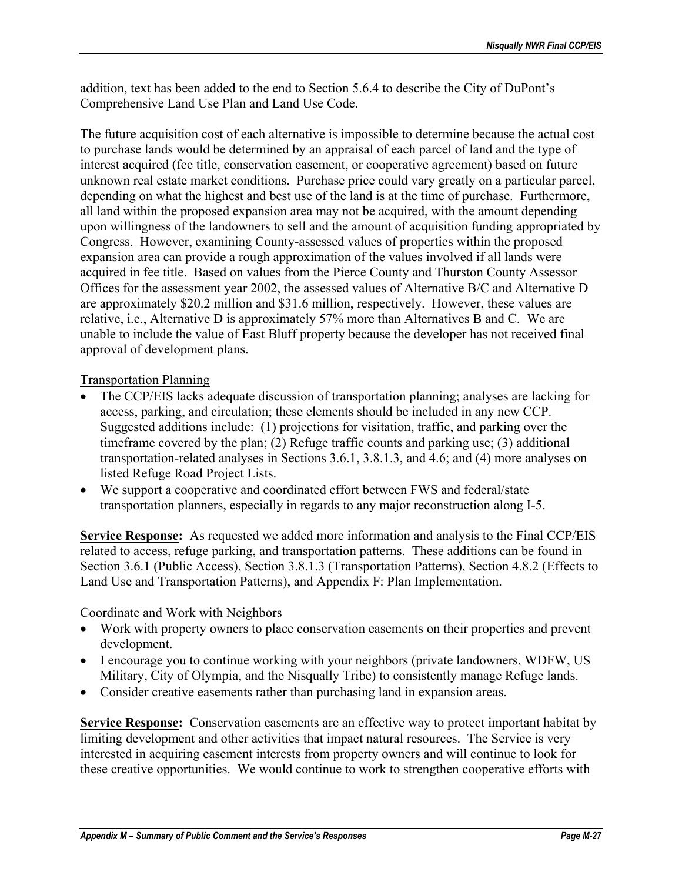addition, text has been added to the end to Section 5.6.4 to describe the City of DuPont's Comprehensive Land Use Plan and Land Use Code.

The future acquisition cost of each alternative is impossible to determine because the actual cost to purchase lands would be determined by an appraisal of each parcel of land and the type of interest acquired (fee title, conservation easement, or cooperative agreement) based on future unknown real estate market conditions. Purchase price could vary greatly on a particular parcel, depending on what the highest and best use of the land is at the time of purchase. Furthermore, all land within the proposed expansion area may not be acquired, with the amount depending upon willingness of the landowners to sell and the amount of acquisition funding appropriated by Congress. However, examining County-assessed values of properties within the proposed expansion area can provide a rough approximation of the values involved if all lands were acquired in fee title. Based on values from the Pierce County and Thurston County Assessor Offices for the assessment year 2002, the assessed values of Alternative B/C and Alternative D are approximately \$20.2 million and \$31.6 million, respectively. However, these values are relative, i.e., Alternative D is approximately 57% more than Alternatives B and C. We are unable to include the value of East Bluff property because the developer has not received final approval of development plans.

## Transportation Planning

- The CCP/EIS lacks adequate discussion of transportation planning; analyses are lacking for access, parking, and circulation; these elements should be included in any new CCP. Suggested additions include: (1) projections for visitation, traffic, and parking over the timeframe covered by the plan; (2) Refuge traffic counts and parking use; (3) additional transportation-related analyses in Sections 3.6.1, 3.8.1.3, and 4.6; and (4) more analyses on listed Refuge Road Project Lists.
- We support a cooperative and coordinated effort between FWS and federal/state transportation planners, especially in regards to any major reconstruction along I-5.

**Service Response:** As requested we added more information and analysis to the Final CCP/EIS related to access, refuge parking, and transportation patterns. These additions can be found in Section 3.6.1 (Public Access), Section 3.8.1.3 (Transportation Patterns), Section 4.8.2 (Effects to Land Use and Transportation Patterns), and Appendix F: Plan Implementation.

### Coordinate and Work with Neighbors

- Work with property owners to place conservation easements on their properties and prevent development.
- I encourage you to continue working with your neighbors (private landowners, WDFW, US Military, City of Olympia, and the Nisqually Tribe) to consistently manage Refuge lands.
- Consider creative easements rather than purchasing land in expansion areas.

**Service Response:** Conservation easements are an effective way to protect important habitat by limiting development and other activities that impact natural resources. The Service is very interested in acquiring easement interests from property owners and will continue to look for these creative opportunities. We would continue to work to strengthen cooperative efforts with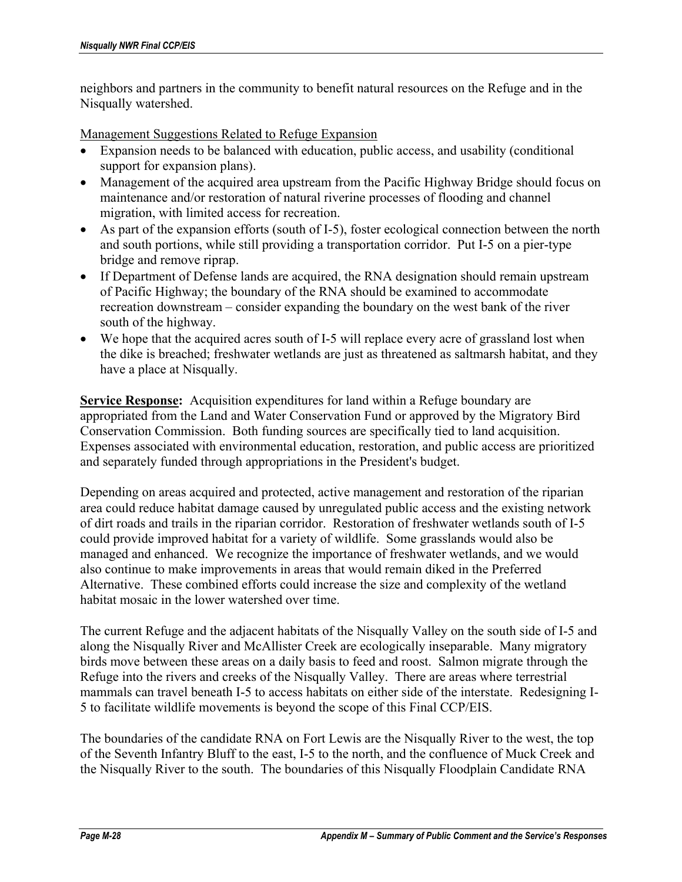neighbors and partners in the community to benefit natural resources on the Refuge and in the Nisqually watershed.

Management Suggestions Related to Refuge Expansion

- Expansion needs to be balanced with education, public access, and usability (conditional support for expansion plans).
- Management of the acquired area upstream from the Pacific Highway Bridge should focus on maintenance and/or restoration of natural riverine processes of flooding and channel migration, with limited access for recreation.
- As part of the expansion efforts (south of I-5), foster ecological connection between the north and south portions, while still providing a transportation corridor. Put I-5 on a pier-type bridge and remove riprap.
- If Department of Defense lands are acquired, the RNA designation should remain upstream of Pacific Highway; the boundary of the RNA should be examined to accommodate recreation downstream – consider expanding the boundary on the west bank of the river south of the highway.
- We hope that the acquired acres south of I-5 will replace every acre of grassland lost when the dike is breached; freshwater wetlands are just as threatened as saltmarsh habitat, and they have a place at Nisqually.

**Service Response:** Acquisition expenditures for land within a Refuge boundary are appropriated from the Land and Water Conservation Fund or approved by the Migratory Bird Conservation Commission. Both funding sources are specifically tied to land acquisition. Expenses associated with environmental education, restoration, and public access are prioritized and separately funded through appropriations in the President's budget.

Depending on areas acquired and protected, active management and restoration of the riparian area could reduce habitat damage caused by unregulated public access and the existing network of dirt roads and trails in the riparian corridor. Restoration of freshwater wetlands south of I-5 could provide improved habitat for a variety of wildlife. Some grasslands would also be managed and enhanced. We recognize the importance of freshwater wetlands, and we would also continue to make improvements in areas that would remain diked in the Preferred Alternative. These combined efforts could increase the size and complexity of the wetland habitat mosaic in the lower watershed over time.

The current Refuge and the adjacent habitats of the Nisqually Valley on the south side of I-5 and along the Nisqually River and McAllister Creek are ecologically inseparable. Many migratory birds move between these areas on a daily basis to feed and roost. Salmon migrate through the Refuge into the rivers and creeks of the Nisqually Valley. There are areas where terrestrial mammals can travel beneath I-5 to access habitats on either side of the interstate. Redesigning I-5 to facilitate wildlife movements is beyond the scope of this Final CCP/EIS.

The boundaries of the candidate RNA on Fort Lewis are the Nisqually River to the west, the top of the Seventh Infantry Bluff to the east, I-5 to the north, and the confluence of Muck Creek and the Nisqually River to the south. The boundaries of this Nisqually Floodplain Candidate RNA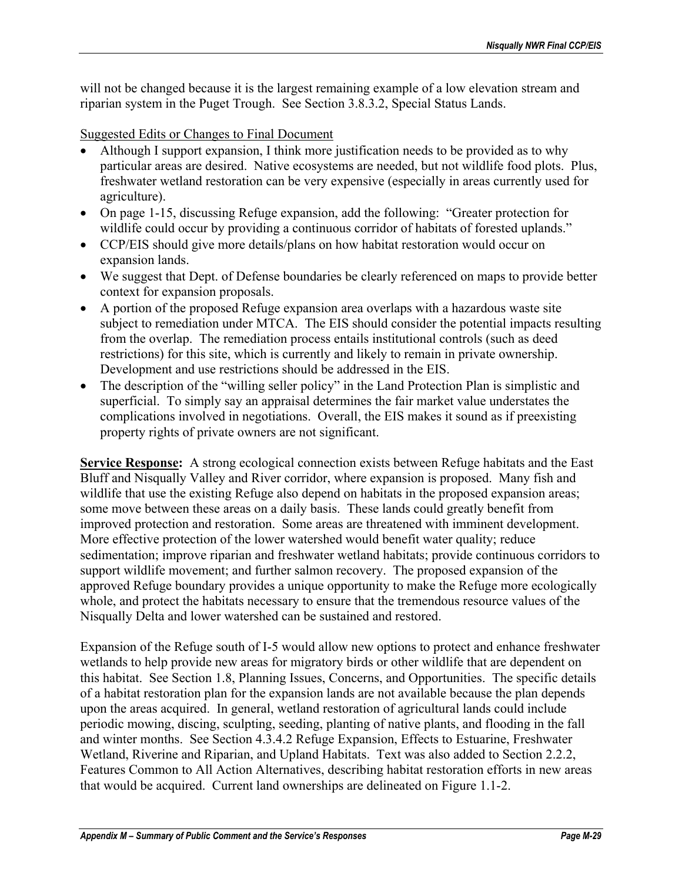will not be changed because it is the largest remaining example of a low elevation stream and riparian system in the Puget Trough. See Section 3.8.3.2, Special Status Lands.

Suggested Edits or Changes to Final Document

- Although I support expansion, I think more justification needs to be provided as to why particular areas are desired. Native ecosystems are needed, but not wildlife food plots. Plus, freshwater wetland restoration can be very expensive (especially in areas currently used for agriculture).
- On page 1-15, discussing Refuge expansion, add the following: "Greater protection for wildlife could occur by providing a continuous corridor of habitats of forested uplands."
- CCP/EIS should give more details/plans on how habitat restoration would occur on expansion lands.
- We suggest that Dept. of Defense boundaries be clearly referenced on maps to provide better context for expansion proposals.
- A portion of the proposed Refuge expansion area overlaps with a hazardous waste site subject to remediation under MTCA. The EIS should consider the potential impacts resulting from the overlap. The remediation process entails institutional controls (such as deed restrictions) for this site, which is currently and likely to remain in private ownership. Development and use restrictions should be addressed in the EIS.
- The description of the "willing seller policy" in the Land Protection Plan is simplistic and superficial. To simply say an appraisal determines the fair market value understates the complications involved in negotiations. Overall, the EIS makes it sound as if preexisting property rights of private owners are not significant.

**Service Response:** A strong ecological connection exists between Refuge habitats and the East Bluff and Nisqually Valley and River corridor, where expansion is proposed. Many fish and wildlife that use the existing Refuge also depend on habitats in the proposed expansion areas; some move between these areas on a daily basis. These lands could greatly benefit from improved protection and restoration. Some areas are threatened with imminent development. More effective protection of the lower watershed would benefit water quality; reduce sedimentation; improve riparian and freshwater wetland habitats; provide continuous corridors to support wildlife movement; and further salmon recovery. The proposed expansion of the approved Refuge boundary provides a unique opportunity to make the Refuge more ecologically whole, and protect the habitats necessary to ensure that the tremendous resource values of the Nisqually Delta and lower watershed can be sustained and restored.

Expansion of the Refuge south of I-5 would allow new options to protect and enhance freshwater wetlands to help provide new areas for migratory birds or other wildlife that are dependent on this habitat. See Section 1.8, Planning Issues, Concerns, and Opportunities. The specific details of a habitat restoration plan for the expansion lands are not available because the plan depends upon the areas acquired. In general, wetland restoration of agricultural lands could include periodic mowing, discing, sculpting, seeding, planting of native plants, and flooding in the fall and winter months. See Section 4.3.4.2 Refuge Expansion, Effects to Estuarine, Freshwater Wetland, Riverine and Riparian, and Upland Habitats. Text was also added to Section 2.2.2, Features Common to All Action Alternatives, describing habitat restoration efforts in new areas that would be acquired. Current land ownerships are delineated on Figure 1.1-2.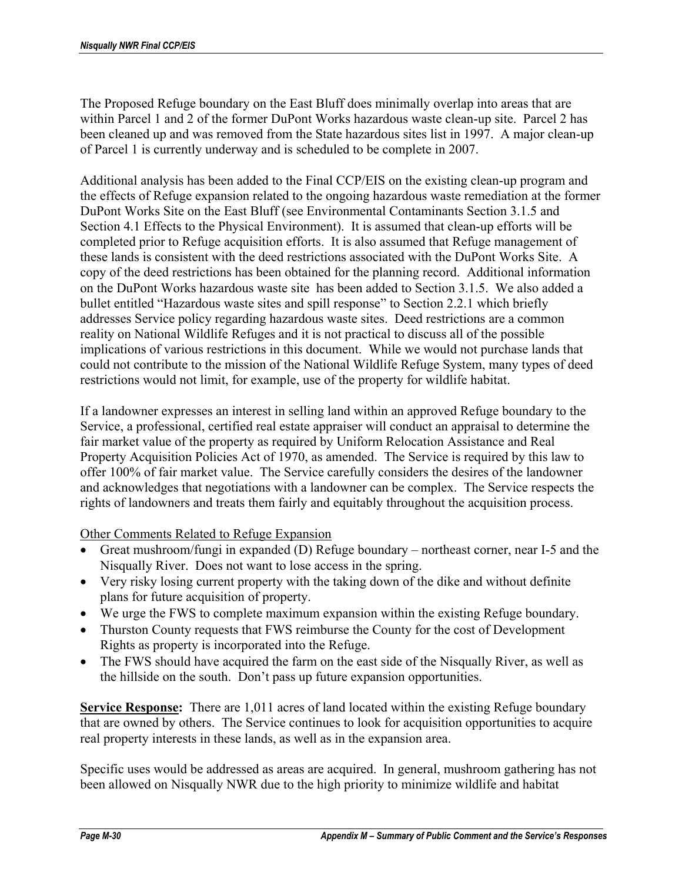The Proposed Refuge boundary on the East Bluff does minimally overlap into areas that are within Parcel 1 and 2 of the former DuPont Works hazardous waste clean-up site. Parcel 2 has been cleaned up and was removed from the State hazardous sites list in 1997. A major clean-up of Parcel 1 is currently underway and is scheduled to be complete in 2007.

Additional analysis has been added to the Final CCP/EIS on the existing clean-up program and the effects of Refuge expansion related to the ongoing hazardous waste remediation at the former DuPont Works Site on the East Bluff (see Environmental Contaminants Section 3.1.5 and Section 4.1 Effects to the Physical Environment). It is assumed that clean-up efforts will be completed prior to Refuge acquisition efforts. It is also assumed that Refuge management of these lands is consistent with the deed restrictions associated with the DuPont Works Site. A copy of the deed restrictions has been obtained for the planning record. Additional information on the DuPont Works hazardous waste site has been added to Section 3.1.5. We also added a bullet entitled "Hazardous waste sites and spill response" to Section 2.2.1 which briefly addresses Service policy regarding hazardous waste sites.Deed restrictions are a common reality on National Wildlife Refuges and it is not practical to discuss all of the possible implications of various restrictions in this document. While we would not purchase lands that could not contribute to the mission of the National Wildlife Refuge System, many types of deed restrictions would not limit, for example, use of the property for wildlife habitat.

If a landowner expresses an interest in selling land within an approved Refuge boundary to the Service, a professional, certified real estate appraiser will conduct an appraisal to determine the fair market value of the property as required by Uniform Relocation Assistance and Real Property Acquisition Policies Act of 1970, as amended. The Service is required by this law to offer 100% of fair market value. The Service carefully considers the desires of the landowner and acknowledges that negotiations with a landowner can be complex. The Service respects the rights of landowners and treats them fairly and equitably throughout the acquisition process.

### Other Comments Related to Refuge Expansion

- Great mushroom/fungi in expanded (D) Refuge boundary northeast corner, near I-5 and the Nisqually River. Does not want to lose access in the spring.
- Very risky losing current property with the taking down of the dike and without definite plans for future acquisition of property.
- We urge the FWS to complete maximum expansion within the existing Refuge boundary.
- Thurston County requests that FWS reimburse the County for the cost of Development Rights as property is incorporated into the Refuge.
- The FWS should have acquired the farm on the east side of the Nisqually River, as well as the hillside on the south. Don't pass up future expansion opportunities.

**Service Response:** There are 1,011 acres of land located within the existing Refuge boundary that are owned by others. The Service continues to look for acquisition opportunities to acquire real property interests in these lands, as well as in the expansion area.

Specific uses would be addressed as areas are acquired. In general, mushroom gathering has not been allowed on Nisqually NWR due to the high priority to minimize wildlife and habitat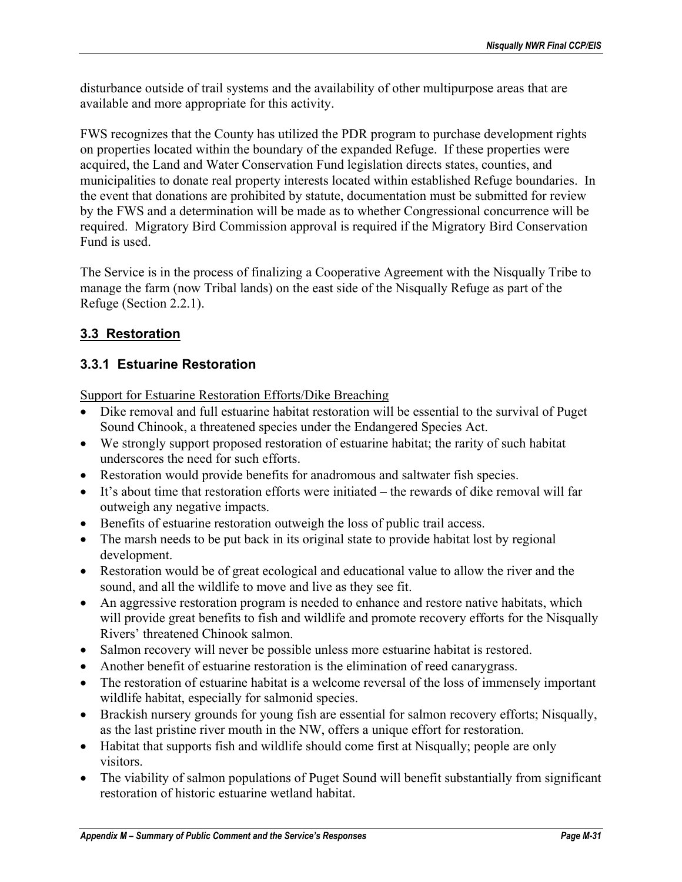disturbance outside of trail systems and the availability of other multipurpose areas that are available and more appropriate for this activity.

FWS recognizes that the County has utilized the PDR program to purchase development rights on properties located within the boundary of the expanded Refuge. If these properties were acquired, the Land and Water Conservation Fund legislation directs states, counties, and municipalities to donate real property interests located within established Refuge boundaries. In the event that donations are prohibited by statute, documentation must be submitted for review by the FWS and a determination will be made as to whether Congressional concurrence will be required. Migratory Bird Commission approval is required if the Migratory Bird Conservation Fund is used.

The Service is in the process of finalizing a Cooperative Agreement with the Nisqually Tribe to manage the farm (now Tribal lands) on the east side of the Nisqually Refuge as part of the Refuge (Section 2.2.1).

# **3.3 Restoration**

# **3.3.1 Estuarine Restoration**

Support for Estuarine Restoration Efforts/Dike Breaching

- Dike removal and full estuarine habitat restoration will be essential to the survival of Puget Sound Chinook, a threatened species under the Endangered Species Act.
- We strongly support proposed restoration of estuarine habitat; the rarity of such habitat underscores the need for such efforts.
- Restoration would provide benefits for anadromous and saltwater fish species.
- It's about time that restoration efforts were initiated the rewards of dike removal will far outweigh any negative impacts.
- Benefits of estuarine restoration outweigh the loss of public trail access.
- The marsh needs to be put back in its original state to provide habitat lost by regional development.
- Restoration would be of great ecological and educational value to allow the river and the sound, and all the wildlife to move and live as they see fit.
- An aggressive restoration program is needed to enhance and restore native habitats, which will provide great benefits to fish and wildlife and promote recovery efforts for the Nisqually Rivers' threatened Chinook salmon.
- Salmon recovery will never be possible unless more estuarine habitat is restored.
- Another benefit of estuarine restoration is the elimination of reed canarygrass.
- The restoration of estuarine habitat is a welcome reversal of the loss of immensely important wildlife habitat, especially for salmonid species.
- Brackish nursery grounds for young fish are essential for salmon recovery efforts; Nisqually, as the last pristine river mouth in the NW, offers a unique effort for restoration.
- Habitat that supports fish and wildlife should come first at Nisqually; people are only visitors.
- The viability of salmon populations of Puget Sound will benefit substantially from significant restoration of historic estuarine wetland habitat.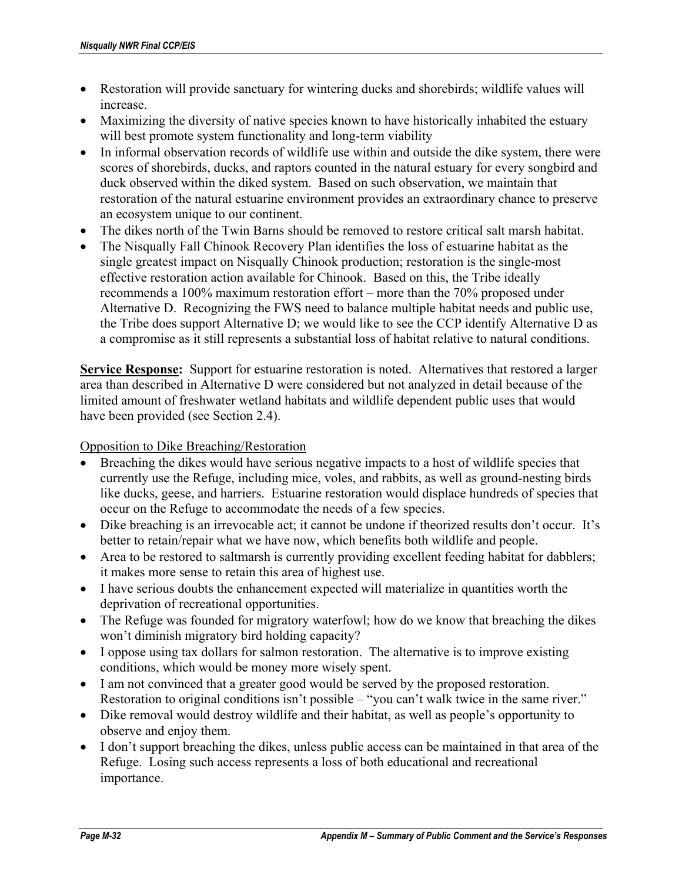- Restoration will provide sanctuary for wintering ducks and shorebirds; wildlife values will increase.
- Maximizing the diversity of native species known to have historically inhabited the estuary will best promote system functionality and long-term viability
- In informal observation records of wildlife use within and outside the dike system, there were scores of shorebirds, ducks, and raptors counted in the natural estuary for every songbird and duck observed within the diked system. Based on such observation, we maintain that restoration of the natural estuarine environment provides an extraordinary chance to preserve an ecosystem unique to our continent.
- The dikes north of the Twin Barns should be removed to restore critical salt marsh habitat.
- The Nisqually Fall Chinook Recovery Plan identifies the loss of estuarine habitat as the single greatest impact on Nisqually Chinook production; restoration is the single-most effective restoration action available for Chinook. Based on this, the Tribe ideally recommends a 100% maximum restoration effort – more than the 70% proposed under Alternative D. Recognizing the FWS need to balance multiple habitat needs and public use, the Tribe does support Alternative D; we would like to see the CCP identify Alternative D as a compromise as it still represents a substantial loss of habitat relative to natural conditions.

**Service Response:** Support for estuarine restoration is noted. Alternatives that restored a larger area than described in Alternative D were considered but not analyzed in detail because of the limited amount of freshwater wetland habitats and wildlife dependent public uses that would have been provided (see Section 2.4).

### Opposition to Dike Breaching/Restoration

- Breaching the dikes would have serious negative impacts to a host of wildlife species that currently use the Refuge, including mice, voles, and rabbits, as well as ground-nesting birds like ducks, geese, and harriers. Estuarine restoration would displace hundreds of species that occur on the Refuge to accommodate the needs of a few species.
- Dike breaching is an irrevocable act; it cannot be undone if theorized results don't occur. It's better to retain/repair what we have now, which benefits both wildlife and people.
- Area to be restored to saltmarsh is currently providing excellent feeding habitat for dabblers; it makes more sense to retain this area of highest use.
- I have serious doubts the enhancement expected will materialize in quantities worth the deprivation of recreational opportunities.
- The Refuge was founded for migratory waterfowl; how do we know that breaching the dikes won't diminish migratory bird holding capacity?
- I oppose using tax dollars for salmon restoration. The alternative is to improve existing conditions, which would be money more wisely spent.
- I am not convinced that a greater good would be served by the proposed restoration. Restoration to original conditions isn't possible – "you can't walk twice in the same river."
- Dike removal would destroy wildlife and their habitat, as well as people's opportunity to observe and enjoy them.
- I don't support breaching the dikes, unless public access can be maintained in that area of the Refuge. Losing such access represents a loss of both educational and recreational importance.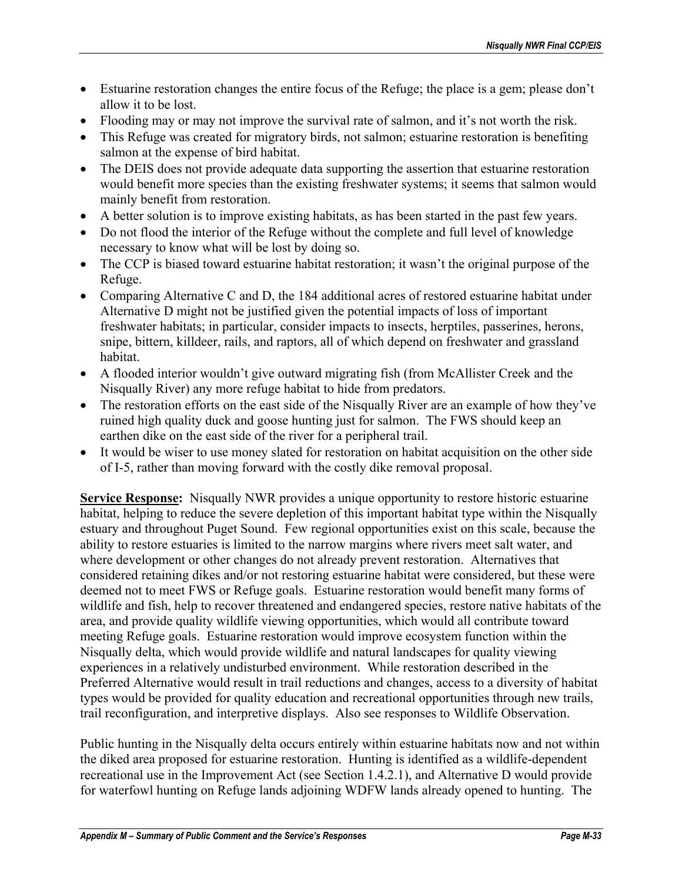- Estuarine restoration changes the entire focus of the Refuge; the place is a gem; please don't allow it to be lost.
- Flooding may or may not improve the survival rate of salmon, and it's not worth the risk.
- This Refuge was created for migratory birds, not salmon; estuarine restoration is benefiting salmon at the expense of bird habitat.
- The DEIS does not provide adequate data supporting the assertion that estuarine restoration would benefit more species than the existing freshwater systems; it seems that salmon would mainly benefit from restoration.
- A better solution is to improve existing habitats, as has been started in the past few years.
- Do not flood the interior of the Refuge without the complete and full level of knowledge necessary to know what will be lost by doing so.
- The CCP is biased toward estuarine habitat restoration; it wasn't the original purpose of the Refuge.
- Comparing Alternative C and D, the 184 additional acres of restored estuarine habitat under Alternative D might not be justified given the potential impacts of loss of important freshwater habitats; in particular, consider impacts to insects, herptiles, passerines, herons, snipe, bittern, killdeer, rails, and raptors, all of which depend on freshwater and grassland habitat.
- A flooded interior wouldn't give outward migrating fish (from McAllister Creek and the Nisqually River) any more refuge habitat to hide from predators.
- The restoration efforts on the east side of the Nisqually River are an example of how they've ruined high quality duck and goose hunting just for salmon. The FWS should keep an earthen dike on the east side of the river for a peripheral trail.
- It would be wiser to use money slated for restoration on habitat acquisition on the other side of I-5, rather than moving forward with the costly dike removal proposal.

**Service Response:** Nisqually NWR provides a unique opportunity to restore historic estuarine habitat, helping to reduce the severe depletion of this important habitat type within the Nisqually estuary and throughout Puget Sound. Few regional opportunities exist on this scale, because the ability to restore estuaries is limited to the narrow margins where rivers meet salt water, and where development or other changes do not already prevent restoration. Alternatives that considered retaining dikes and/or not restoring estuarine habitat were considered, but these were deemed not to meet FWS or Refuge goals. Estuarine restoration would benefit many forms of wildlife and fish, help to recover threatened and endangered species, restore native habitats of the area, and provide quality wildlife viewing opportunities, which would all contribute toward meeting Refuge goals. Estuarine restoration would improve ecosystem function within the Nisqually delta, which would provide wildlife and natural landscapes for quality viewing experiences in a relatively undisturbed environment. While restoration described in the Preferred Alternative would result in trail reductions and changes, access to a diversity of habitat types would be provided for quality education and recreational opportunities through new trails, trail reconfiguration, and interpretive displays. Also see responses to Wildlife Observation.

Public hunting in the Nisqually delta occurs entirely within estuarine habitats now and not within the diked area proposed for estuarine restoration. Hunting is identified as a wildlife-dependent recreational use in the Improvement Act (see Section 1.4.2.1), and Alternative D would provide for waterfowl hunting on Refuge lands adjoining WDFW lands already opened to hunting. The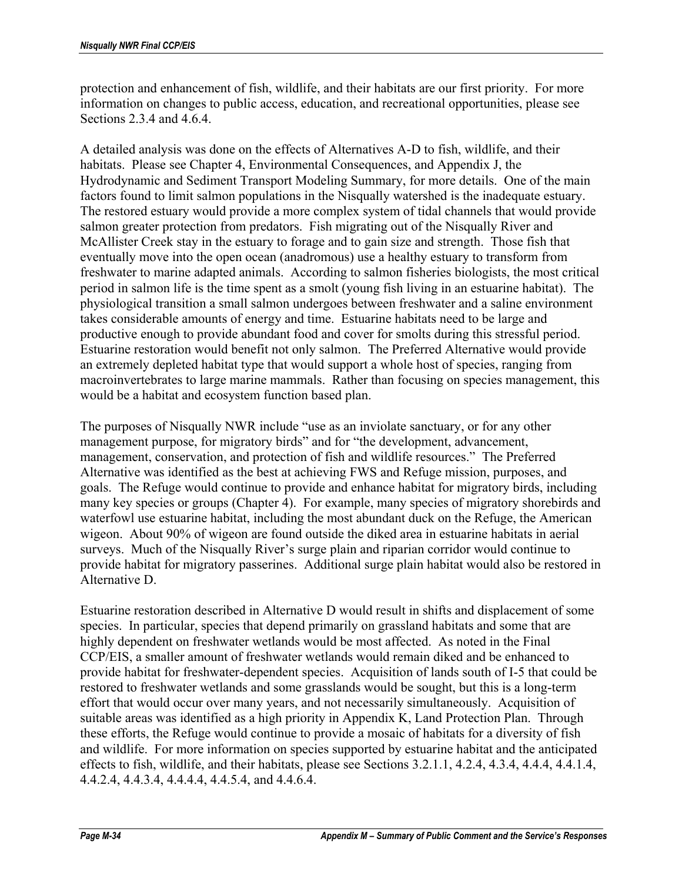protection and enhancement of fish, wildlife, and their habitats are our first priority. For more information on changes to public access, education, and recreational opportunities, please see Sections 2.3.4 and 4.6.4.

A detailed analysis was done on the effects of Alternatives A-D to fish, wildlife, and their habitats. Please see Chapter 4, Environmental Consequences, and Appendix J, the Hydrodynamic and Sediment Transport Modeling Summary, for more details. One of the main factors found to limit salmon populations in the Nisqually watershed is the inadequate estuary. The restored estuary would provide a more complex system of tidal channels that would provide salmon greater protection from predators. Fish migrating out of the Nisqually River and McAllister Creek stay in the estuary to forage and to gain size and strength. Those fish that eventually move into the open ocean (anadromous) use a healthy estuary to transform from freshwater to marine adapted animals. According to salmon fisheries biologists, the most critical period in salmon life is the time spent as a smolt (young fish living in an estuarine habitat). The physiological transition a small salmon undergoes between freshwater and a saline environment takes considerable amounts of energy and time. Estuarine habitats need to be large and productive enough to provide abundant food and cover for smolts during this stressful period. Estuarine restoration would benefit not only salmon. The Preferred Alternative would provide an extremely depleted habitat type that would support a whole host of species, ranging from macroinvertebrates to large marine mammals. Rather than focusing on species management, this would be a habitat and ecosystem function based plan.

The purposes of Nisqually NWR include "use as an inviolate sanctuary, or for any other management purpose, for migratory birds" and for "the development, advancement, management, conservation, and protection of fish and wildlife resources." The Preferred Alternative was identified as the best at achieving FWS and Refuge mission, purposes, and goals. The Refuge would continue to provide and enhance habitat for migratory birds, including many key species or groups (Chapter 4). For example, many species of migratory shorebirds and waterfowl use estuarine habitat, including the most abundant duck on the Refuge, the American wigeon. About 90% of wigeon are found outside the diked area in estuarine habitats in aerial surveys. Much of the Nisqually River's surge plain and riparian corridor would continue to provide habitat for migratory passerines. Additional surge plain habitat would also be restored in Alternative D.

Estuarine restoration described in Alternative D would result in shifts and displacement of some species. In particular, species that depend primarily on grassland habitats and some that are highly dependent on freshwater wetlands would be most affected. As noted in the Final CCP/EIS, a smaller amount of freshwater wetlands would remain diked and be enhanced to provide habitat for freshwater-dependent species. Acquisition of lands south of I-5 that could be restored to freshwater wetlands and some grasslands would be sought, but this is a long-term effort that would occur over many years, and not necessarily simultaneously. Acquisition of suitable areas was identified as a high priority in Appendix K, Land Protection Plan. Through these efforts, the Refuge would continue to provide a mosaic of habitats for a diversity of fish and wildlife. For more information on species supported by estuarine habitat and the anticipated effects to fish, wildlife, and their habitats, please see Sections 3.2.1.1, 4.2.4, 4.3.4, 4.4.4, 4.4.1.4, 4.4.2.4, 4.4.3.4, 4.4.4.4, 4.4.5.4, and 4.4.6.4.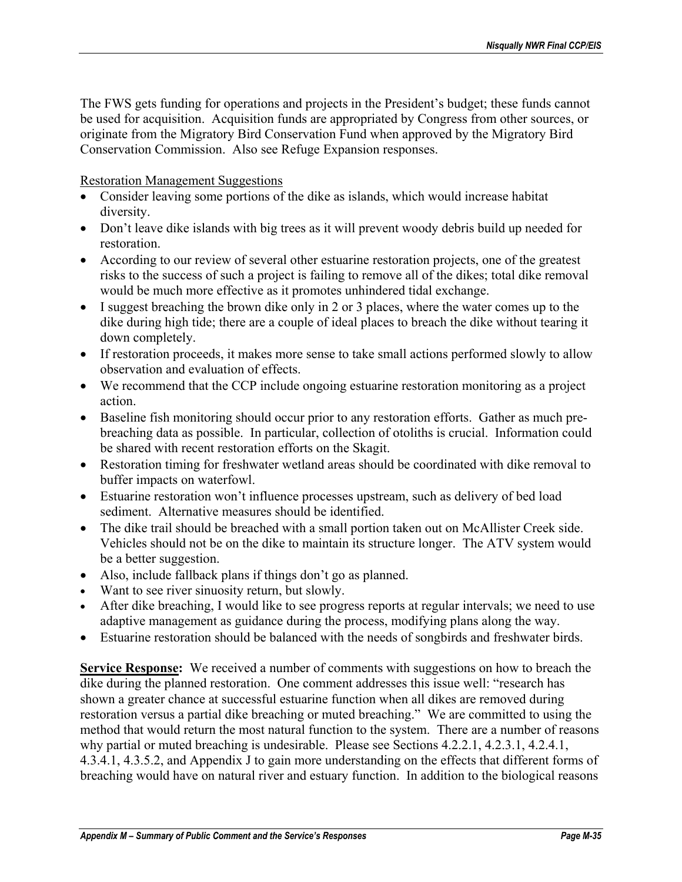The FWS gets funding for operations and projects in the President's budget; these funds cannot be used for acquisition. Acquisition funds are appropriated by Congress from other sources, or originate from the Migratory Bird Conservation Fund when approved by the Migratory Bird Conservation Commission. Also see Refuge Expansion responses.

#### Restoration Management Suggestions

- Consider leaving some portions of the dike as islands, which would increase habitat diversity.
- Don't leave dike islands with big trees as it will prevent woody debris build up needed for restoration.
- According to our review of several other estuarine restoration projects, one of the greatest risks to the success of such a project is failing to remove all of the dikes; total dike removal would be much more effective as it promotes unhindered tidal exchange.
- I suggest breaching the brown dike only in 2 or 3 places, where the water comes up to the dike during high tide; there are a couple of ideal places to breach the dike without tearing it down completely.
- If restoration proceeds, it makes more sense to take small actions performed slowly to allow observation and evaluation of effects.
- We recommend that the CCP include ongoing estuarine restoration monitoring as a project action.
- Baseline fish monitoring should occur prior to any restoration efforts. Gather as much prebreaching data as possible. In particular, collection of otoliths is crucial. Information could be shared with recent restoration efforts on the Skagit.
- Restoration timing for freshwater wetland areas should be coordinated with dike removal to buffer impacts on waterfowl.
- Estuarine restoration won't influence processes upstream, such as delivery of bed load sediment. Alternative measures should be identified.
- The dike trail should be breached with a small portion taken out on McAllister Creek side. Vehicles should not be on the dike to maintain its structure longer. The ATV system would be a better suggestion.
- Also, include fallback plans if things don't go as planned.
- Want to see river sinuosity return, but slowly.
- After dike breaching, I would like to see progress reports at regular intervals; we need to use adaptive management as guidance during the process, modifying plans along the way.
- Estuarine restoration should be balanced with the needs of songbirds and freshwater birds.

**Service Response:** We received a number of comments with suggestions on how to breach the dike during the planned restoration. One comment addresses this issue well: "research has shown a greater chance at successful estuarine function when all dikes are removed during restoration versus a partial dike breaching or muted breaching." We are committed to using the method that would return the most natural function to the system. There are a number of reasons why partial or muted breaching is undesirable. Please see Sections 4.2.2.1, 4.2.3.1, 4.2.4.1, 4.3.4.1, 4.3.5.2, and Appendix J to gain more understanding on the effects that different forms of breaching would have on natural river and estuary function. In addition to the biological reasons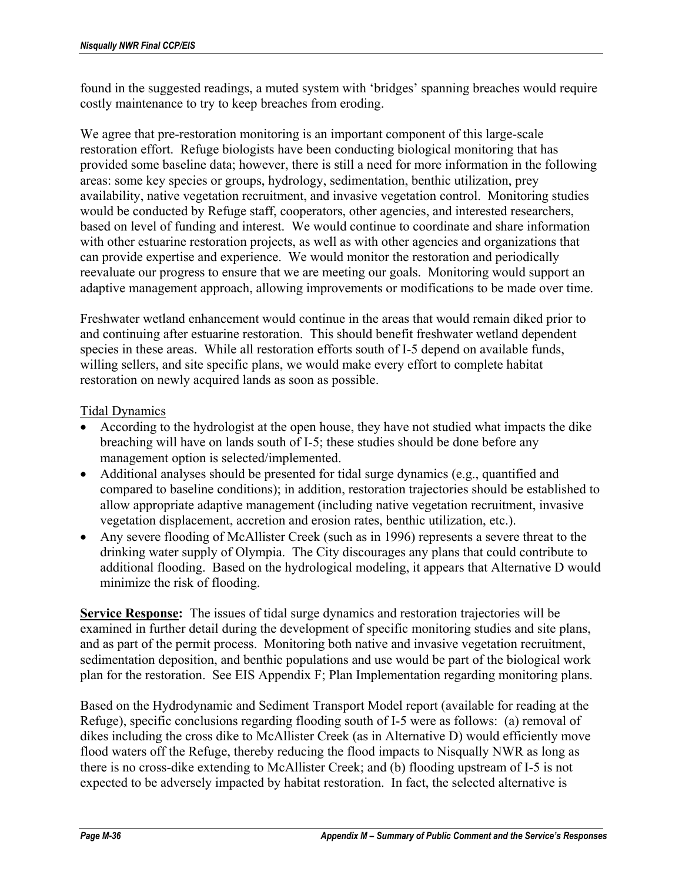found in the suggested readings, a muted system with 'bridges' spanning breaches would require costly maintenance to try to keep breaches from eroding.

We agree that pre-restoration monitoring is an important component of this large-scale restoration effort. Refuge biologists have been conducting biological monitoring that has provided some baseline data; however, there is still a need for more information in the following areas: some key species or groups, hydrology, sedimentation, benthic utilization, prey availability, native vegetation recruitment, and invasive vegetation control. Monitoring studies would be conducted by Refuge staff, cooperators, other agencies, and interested researchers, based on level of funding and interest. We would continue to coordinate and share information with other estuarine restoration projects, as well as with other agencies and organizations that can provide expertise and experience. We would monitor the restoration and periodically reevaluate our progress to ensure that we are meeting our goals. Monitoring would support an adaptive management approach, allowing improvements or modifications to be made over time.

Freshwater wetland enhancement would continue in the areas that would remain diked prior to and continuing after estuarine restoration. This should benefit freshwater wetland dependent species in these areas. While all restoration efforts south of I-5 depend on available funds, willing sellers, and site specific plans, we would make every effort to complete habitat restoration on newly acquired lands as soon as possible.

### Tidal Dynamics

- According to the hydrologist at the open house, they have not studied what impacts the dike breaching will have on lands south of I-5; these studies should be done before any management option is selected/implemented.
- Additional analyses should be presented for tidal surge dynamics (e.g., quantified and compared to baseline conditions); in addition, restoration trajectories should be established to allow appropriate adaptive management (including native vegetation recruitment, invasive vegetation displacement, accretion and erosion rates, benthic utilization, etc.).
- Any severe flooding of McAllister Creek (such as in 1996) represents a severe threat to the drinking water supply of Olympia. The City discourages any plans that could contribute to additional flooding. Based on the hydrological modeling, it appears that Alternative D would minimize the risk of flooding.

**Service Response:** The issues of tidal surge dynamics and restoration trajectories will be examined in further detail during the development of specific monitoring studies and site plans, and as part of the permit process. Monitoring both native and invasive vegetation recruitment, sedimentation deposition, and benthic populations and use would be part of the biological work plan for the restoration. See EIS Appendix F; Plan Implementation regarding monitoring plans.

Based on the Hydrodynamic and Sediment Transport Model report (available for reading at the Refuge), specific conclusions regarding flooding south of I-5 were as follows: (a) removal of dikes including the cross dike to McAllister Creek (as in Alternative D) would efficiently move flood waters off the Refuge, thereby reducing the flood impacts to Nisqually NWR as long as there is no cross-dike extending to McAllister Creek; and (b) flooding upstream of I-5 is not expected to be adversely impacted by habitat restoration. In fact, the selected alternative is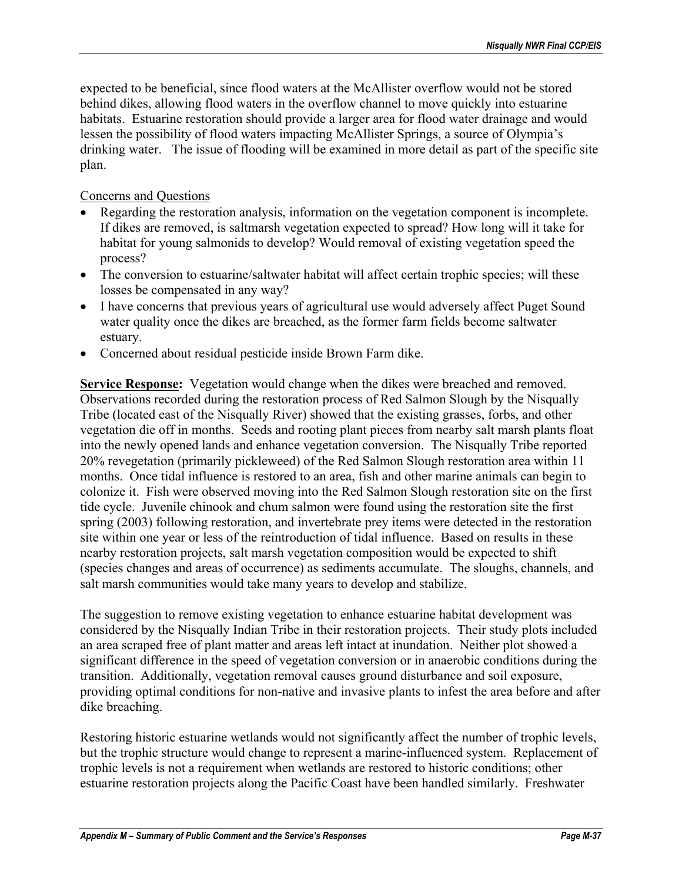expected to be beneficial, since flood waters at the McAllister overflow would not be stored behind dikes, allowing flood waters in the overflow channel to move quickly into estuarine habitats. Estuarine restoration should provide a larger area for flood water drainage and would lessen the possibility of flood waters impacting McAllister Springs, a source of Olympia's drinking water. The issue of flooding will be examined in more detail as part of the specific site plan.

### Concerns and Questions

- Regarding the restoration analysis, information on the vegetation component is incomplete. If dikes are removed, is saltmarsh vegetation expected to spread? How long will it take for habitat for young salmonids to develop? Would removal of existing vegetation speed the process?
- The conversion to estuarine/saltwater habitat will affect certain trophic species; will these losses be compensated in any way?
- I have concerns that previous years of agricultural use would adversely affect Puget Sound water quality once the dikes are breached, as the former farm fields become saltwater estuary.
- Concerned about residual pesticide inside Brown Farm dike.

**Service Response:** Vegetation would change when the dikes were breached and removed. Observations recorded during the restoration process of Red Salmon Slough by the Nisqually Tribe (located east of the Nisqually River) showed that the existing grasses, forbs, and other vegetation die off in months. Seeds and rooting plant pieces from nearby salt marsh plants float into the newly opened lands and enhance vegetation conversion. The Nisqually Tribe reported 20% revegetation (primarily pickleweed) of the Red Salmon Slough restoration area within 11 months. Once tidal influence is restored to an area, fish and other marine animals can begin to colonize it. Fish were observed moving into the Red Salmon Slough restoration site on the first tide cycle. Juvenile chinook and chum salmon were found using the restoration site the first spring (2003) following restoration, and invertebrate prey items were detected in the restoration site within one year or less of the reintroduction of tidal influence. Based on results in these nearby restoration projects, salt marsh vegetation composition would be expected to shift (species changes and areas of occurrence) as sediments accumulate. The sloughs, channels, and salt marsh communities would take many years to develop and stabilize.

The suggestion to remove existing vegetation to enhance estuarine habitat development was considered by the Nisqually Indian Tribe in their restoration projects. Their study plots included an area scraped free of plant matter and areas left intact at inundation. Neither plot showed a significant difference in the speed of vegetation conversion or in anaerobic conditions during the transition. Additionally, vegetation removal causes ground disturbance and soil exposure, providing optimal conditions for non-native and invasive plants to infest the area before and after dike breaching.

Restoring historic estuarine wetlands would not significantly affect the number of trophic levels, but the trophic structure would change to represent a marine-influenced system. Replacement of trophic levels is not a requirement when wetlands are restored to historic conditions; other estuarine restoration projects along the Pacific Coast have been handled similarly. Freshwater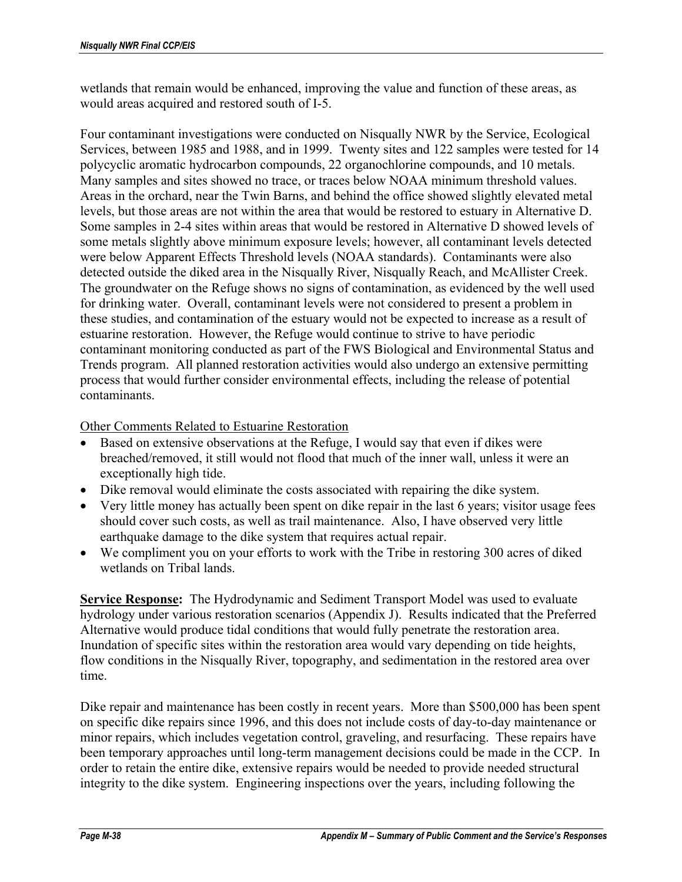wetlands that remain would be enhanced, improving the value and function of these areas, as would areas acquired and restored south of I-5.

Four contaminant investigations were conducted on Nisqually NWR by the Service, Ecological Services, between 1985 and 1988, and in 1999. Twenty sites and 122 samples were tested for 14 polycyclic aromatic hydrocarbon compounds, 22 organochlorine compounds, and 10 metals. Many samples and sites showed no trace, or traces below NOAA minimum threshold values. Areas in the orchard, near the Twin Barns, and behind the office showed slightly elevated metal levels, but those areas are not within the area that would be restored to estuary in Alternative D. Some samples in 2-4 sites within areas that would be restored in Alternative D showed levels of some metals slightly above minimum exposure levels; however, all contaminant levels detected were below Apparent Effects Threshold levels (NOAA standards). Contaminants were also detected outside the diked area in the Nisqually River, Nisqually Reach, and McAllister Creek. The groundwater on the Refuge shows no signs of contamination, as evidenced by the well used for drinking water. Overall, contaminant levels were not considered to present a problem in these studies, and contamination of the estuary would not be expected to increase as a result of estuarine restoration. However, the Refuge would continue to strive to have periodic contaminant monitoring conducted as part of the FWS Biological and Environmental Status and Trends program. All planned restoration activities would also undergo an extensive permitting process that would further consider environmental effects, including the release of potential contaminants.

Other Comments Related to Estuarine Restoration

- Based on extensive observations at the Refuge, I would say that even if dikes were breached/removed, it still would not flood that much of the inner wall, unless it were an exceptionally high tide.
- Dike removal would eliminate the costs associated with repairing the dike system.
- Very little money has actually been spent on dike repair in the last 6 years; visitor usage fees should cover such costs, as well as trail maintenance. Also, I have observed very little earthquake damage to the dike system that requires actual repair.
- We compliment you on your efforts to work with the Tribe in restoring 300 acres of diked wetlands on Tribal lands.

**Service Response:** The Hydrodynamic and Sediment Transport Model was used to evaluate hydrology under various restoration scenarios (Appendix J). Results indicated that the Preferred Alternative would produce tidal conditions that would fully penetrate the restoration area. Inundation of specific sites within the restoration area would vary depending on tide heights, flow conditions in the Nisqually River, topography, and sedimentation in the restored area over time.

Dike repair and maintenance has been costly in recent years. More than \$500,000 has been spent on specific dike repairs since 1996, and this does not include costs of day-to-day maintenance or minor repairs, which includes vegetation control, graveling, and resurfacing. These repairs have been temporary approaches until long-term management decisions could be made in the CCP. In order to retain the entire dike, extensive repairs would be needed to provide needed structural integrity to the dike system. Engineering inspections over the years, including following the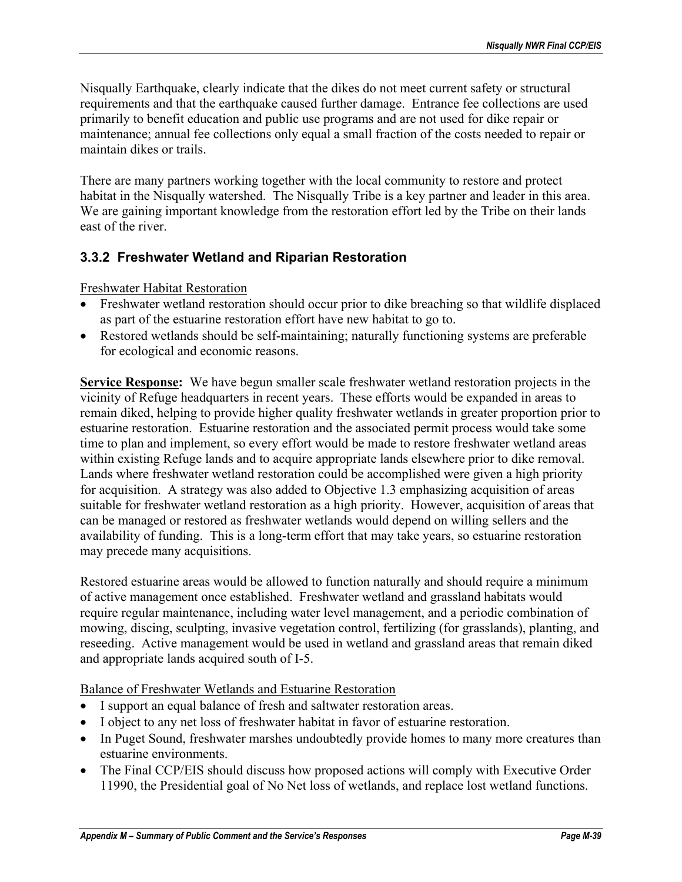Nisqually Earthquake, clearly indicate that the dikes do not meet current safety or structural requirements and that the earthquake caused further damage. Entrance fee collections are used primarily to benefit education and public use programs and are not used for dike repair or maintenance; annual fee collections only equal a small fraction of the costs needed to repair or maintain dikes or trails.

There are many partners working together with the local community to restore and protect habitat in the Nisqually watershed. The Nisqually Tribe is a key partner and leader in this area. We are gaining important knowledge from the restoration effort led by the Tribe on their lands east of the river.

# **3.3.2 Freshwater Wetland and Riparian Restoration**

Freshwater Habitat Restoration

- Freshwater wetland restoration should occur prior to dike breaching so that wildlife displaced as part of the estuarine restoration effort have new habitat to go to.
- Restored wetlands should be self-maintaining; naturally functioning systems are preferable for ecological and economic reasons.

**Service Response:** We have begun smaller scale freshwater wetland restoration projects in the vicinity of Refuge headquarters in recent years. These efforts would be expanded in areas to remain diked, helping to provide higher quality freshwater wetlands in greater proportion prior to estuarine restoration. Estuarine restoration and the associated permit process would take some time to plan and implement, so every effort would be made to restore freshwater wetland areas within existing Refuge lands and to acquire appropriate lands elsewhere prior to dike removal. Lands where freshwater wetland restoration could be accomplished were given a high priority for acquisition. A strategy was also added to Objective 1.3 emphasizing acquisition of areas suitable for freshwater wetland restoration as a high priority. However, acquisition of areas that can be managed or restored as freshwater wetlands would depend on willing sellers and the availability of funding. This is a long-term effort that may take years, so estuarine restoration may precede many acquisitions.

Restored estuarine areas would be allowed to function naturally and should require a minimum of active management once established. Freshwater wetland and grassland habitats would require regular maintenance, including water level management, and a periodic combination of mowing, discing, sculpting, invasive vegetation control, fertilizing (for grasslands), planting, and reseeding. Active management would be used in wetland and grassland areas that remain diked and appropriate lands acquired south of I-5.

Balance of Freshwater Wetlands and Estuarine Restoration

- I support an equal balance of fresh and saltwater restoration areas.
- I object to any net loss of freshwater habitat in favor of estuarine restoration.
- In Puget Sound, freshwater marshes undoubtedly provide homes to many more creatures than estuarine environments.
- The Final CCP/EIS should discuss how proposed actions will comply with Executive Order 11990, the Presidential goal of No Net loss of wetlands, and replace lost wetland functions.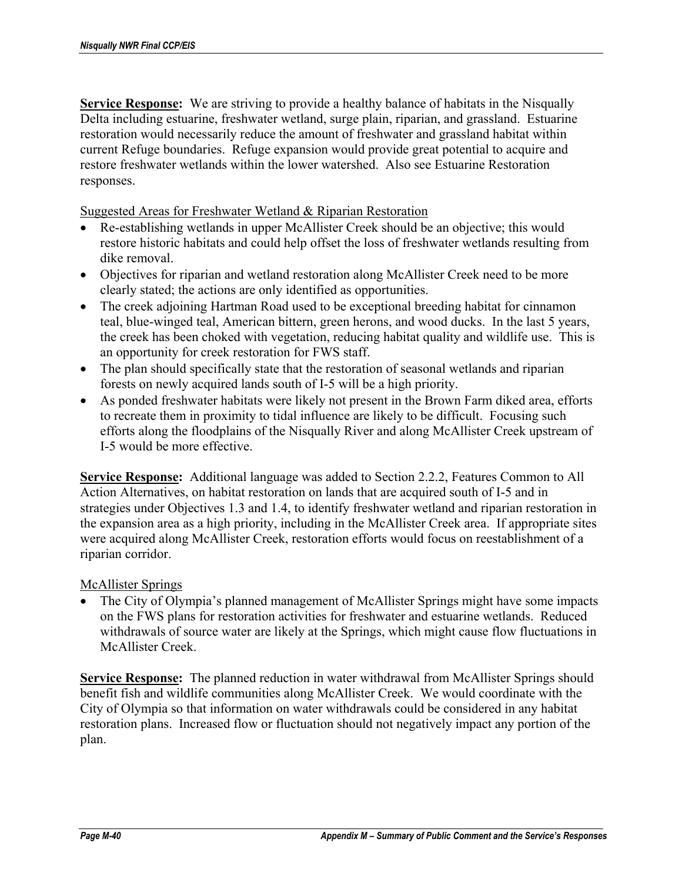**Service Response:** We are striving to provide a healthy balance of habitats in the Nisqually Delta including estuarine, freshwater wetland, surge plain, riparian, and grassland. Estuarine restoration would necessarily reduce the amount of freshwater and grassland habitat within current Refuge boundaries. Refuge expansion would provide great potential to acquire and restore freshwater wetlands within the lower watershed. Also see Estuarine Restoration responses.

Suggested Areas for Freshwater Wetland & Riparian Restoration

- Re-establishing wetlands in upper McAllister Creek should be an objective; this would restore historic habitats and could help offset the loss of freshwater wetlands resulting from dike removal.
- Objectives for riparian and wetland restoration along McAllister Creek need to be more clearly stated; the actions are only identified as opportunities.
- The creek adjoining Hartman Road used to be exceptional breeding habitat for cinnamon teal, blue-winged teal, American bittern, green herons, and wood ducks. In the last 5 years, the creek has been choked with vegetation, reducing habitat quality and wildlife use. This is an opportunity for creek restoration for FWS staff.
- The plan should specifically state that the restoration of seasonal wetlands and riparian forests on newly acquired lands south of I-5 will be a high priority.
- As ponded freshwater habitats were likely not present in the Brown Farm diked area, efforts to recreate them in proximity to tidal influence are likely to be difficult. Focusing such efforts along the floodplains of the Nisqually River and along McAllister Creek upstream of I-5 would be more effective.

**Service Response:** Additional language was added to Section 2.2.2, Features Common to All Action Alternatives, on habitat restoration on lands that are acquired south of I-5 and in strategies under Objectives 1.3 and 1.4, to identify freshwater wetland and riparian restoration in the expansion area as a high priority, including in the McAllister Creek area. If appropriate sites were acquired along McAllister Creek, restoration efforts would focus on reestablishment of a riparian corridor.

### McAllister Springs

• The City of Olympia's planned management of McAllister Springs might have some impacts on the FWS plans for restoration activities for freshwater and estuarine wetlands. Reduced withdrawals of source water are likely at the Springs, which might cause flow fluctuations in McAllister Creek.

**Service Response:** The planned reduction in water withdrawal from McAllister Springs should benefit fish and wildlife communities along McAllister Creek. We would coordinate with the City of Olympia so that information on water withdrawals could be considered in any habitat restoration plans. Increased flow or fluctuation should not negatively impact any portion of the plan.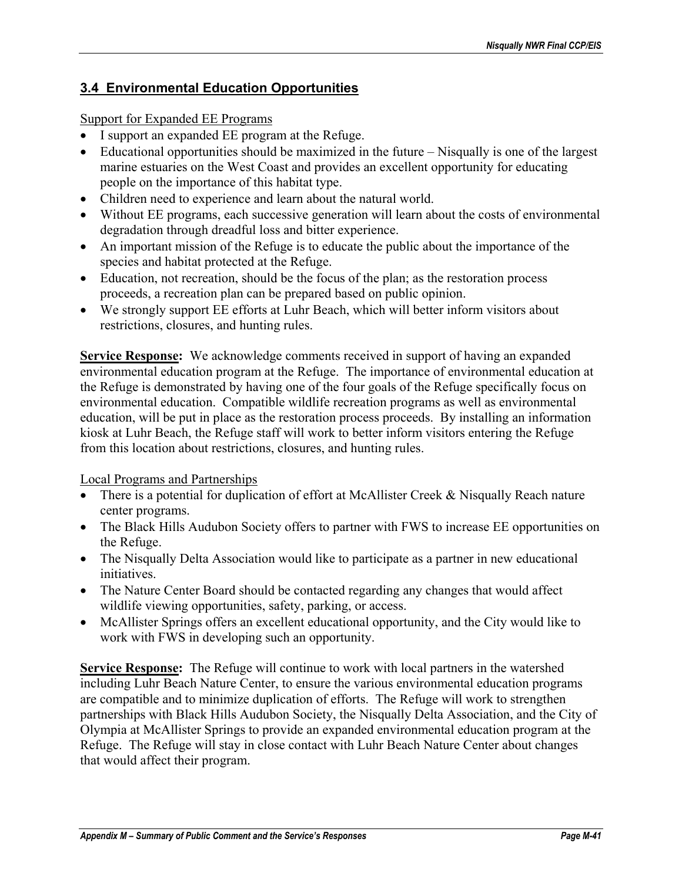# **3.4 Environmental Education Opportunities**

## Support for Expanded EE Programs

- I support an expanded EE program at the Refuge.
- Educational opportunities should be maximized in the future Nisqually is one of the largest marine estuaries on the West Coast and provides an excellent opportunity for educating people on the importance of this habitat type.
- Children need to experience and learn about the natural world.
- Without EE programs, each successive generation will learn about the costs of environmental degradation through dreadful loss and bitter experience.
- An important mission of the Refuge is to educate the public about the importance of the species and habitat protected at the Refuge.
- Education, not recreation, should be the focus of the plan; as the restoration process proceeds, a recreation plan can be prepared based on public opinion.
- We strongly support EE efforts at Luhr Beach, which will better inform visitors about restrictions, closures, and hunting rules.

**Service Response:** We acknowledge comments received in support of having an expanded environmental education program at the Refuge. The importance of environmental education at the Refuge is demonstrated by having one of the four goals of the Refuge specifically focus on environmental education. Compatible wildlife recreation programs as well as environmental education, will be put in place as the restoration process proceeds. By installing an information kiosk at Luhr Beach, the Refuge staff will work to better inform visitors entering the Refuge from this location about restrictions, closures, and hunting rules.

Local Programs and Partnerships

- There is a potential for duplication of effort at McAllister Creek & Nisqually Reach nature center programs.
- The Black Hills Audubon Society offers to partner with FWS to increase EE opportunities on the Refuge.
- The Nisqually Delta Association would like to participate as a partner in new educational initiatives.
- The Nature Center Board should be contacted regarding any changes that would affect wildlife viewing opportunities, safety, parking, or access.
- McAllister Springs offers an excellent educational opportunity, and the City would like to work with FWS in developing such an opportunity.

**Service Response:** The Refuge will continue to work with local partners in the watershed including Luhr Beach Nature Center, to ensure the various environmental education programs are compatible and to minimize duplication of efforts. The Refuge will work to strengthen partnerships with Black Hills Audubon Society, the Nisqually Delta Association, and the City of Olympia at McAllister Springs to provide an expanded environmental education program at the Refuge. The Refuge will stay in close contact with Luhr Beach Nature Center about changes that would affect their program.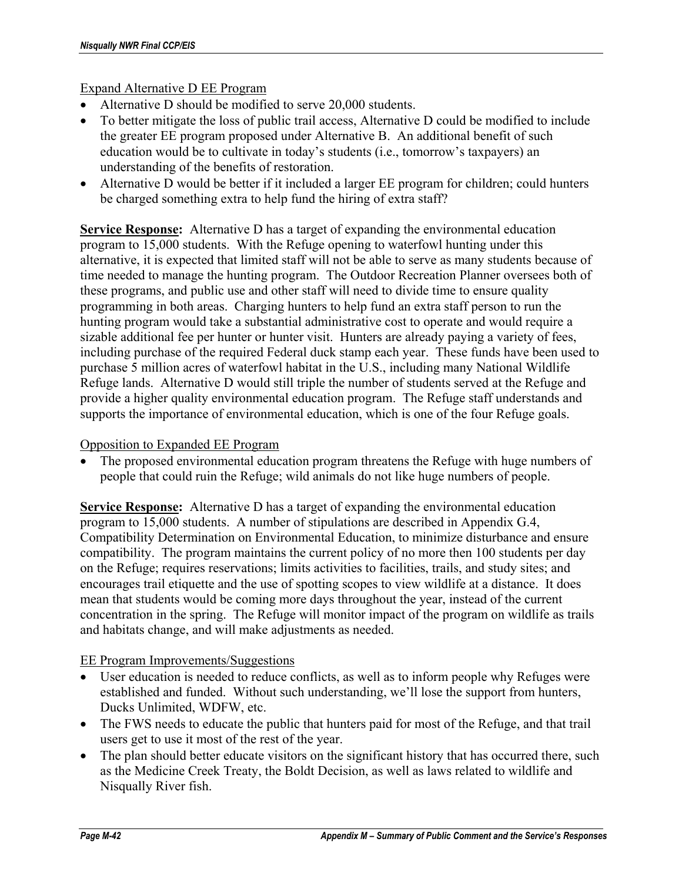### Expand Alternative D EE Program

- Alternative D should be modified to serve 20,000 students.
- To better mitigate the loss of public trail access, Alternative D could be modified to include the greater EE program proposed under Alternative B. An additional benefit of such education would be to cultivate in today's students (i.e., tomorrow's taxpayers) an understanding of the benefits of restoration.
- Alternative D would be better if it included a larger EE program for children; could hunters be charged something extra to help fund the hiring of extra staff?

**Service Response:** Alternative D has a target of expanding the environmental education program to 15,000 students. With the Refuge opening to waterfowl hunting under this alternative, it is expected that limited staff will not be able to serve as many students because of time needed to manage the hunting program. The Outdoor Recreation Planner oversees both of these programs, and public use and other staff will need to divide time to ensure quality programming in both areas. Charging hunters to help fund an extra staff person to run the hunting program would take a substantial administrative cost to operate and would require a sizable additional fee per hunter or hunter visit. Hunters are already paying a variety of fees, including purchase of the required Federal duck stamp each year. These funds have been used to purchase 5 million acres of waterfowl habitat in the U.S., including many National Wildlife Refuge lands. Alternative D would still triple the number of students served at the Refuge and provide a higher quality environmental education program. The Refuge staff understands and supports the importance of environmental education, which is one of the four Refuge goals.

#### Opposition to Expanded EE Program

The proposed environmental education program threatens the Refuge with huge numbers of people that could ruin the Refuge; wild animals do not like huge numbers of people.

**Service Response:** Alternative D has a target of expanding the environmental education program to 15,000 students. A number of stipulations are described in Appendix G.4, Compatibility Determination on Environmental Education, to minimize disturbance and ensure compatibility. The program maintains the current policy of no more then 100 students per day on the Refuge; requires reservations; limits activities to facilities, trails, and study sites; and encourages trail etiquette and the use of spotting scopes to view wildlife at a distance. It does mean that students would be coming more days throughout the year, instead of the current concentration in the spring. The Refuge will monitor impact of the program on wildlife as trails and habitats change, and will make adjustments as needed.

#### EE Program Improvements/Suggestions

- User education is needed to reduce conflicts, as well as to inform people why Refuges were established and funded. Without such understanding, we'll lose the support from hunters, Ducks Unlimited, WDFW, etc.
- The FWS needs to educate the public that hunters paid for most of the Refuge, and that trail users get to use it most of the rest of the year.
- The plan should better educate visitors on the significant history that has occurred there, such as the Medicine Creek Treaty, the Boldt Decision, as well as laws related to wildlife and Nisqually River fish.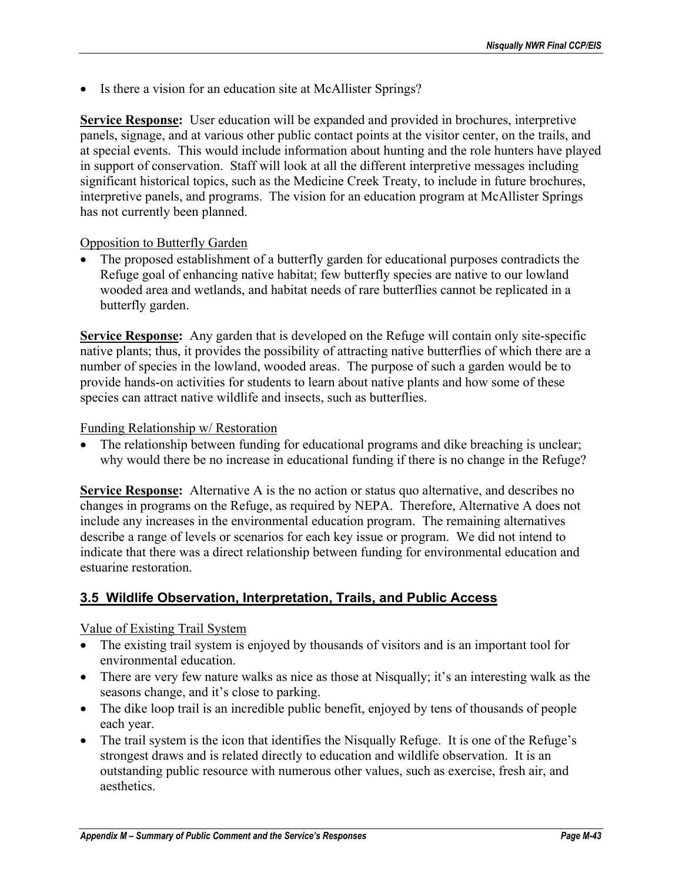• Is there a vision for an education site at McAllister Springs?

**Service Response:** User education will be expanded and provided in brochures, interpretive panels, signage, and at various other public contact points at the visitor center, on the trails, and at special events. This would include information about hunting and the role hunters have played in support of conservation. Staff will look at all the different interpretive messages including significant historical topics, such as the Medicine Creek Treaty, to include in future brochures, interpretive panels, and programs. The vision for an education program at McAllister Springs has not currently been planned.

### Opposition to Butterfly Garden

• The proposed establishment of a butterfly garden for educational purposes contradicts the Refuge goal of enhancing native habitat; few butterfly species are native to our lowland wooded area and wetlands, and habitat needs of rare butterflies cannot be replicated in a butterfly garden.

**Service Response:** Any garden that is developed on the Refuge will contain only site-specific native plants; thus, it provides the possibility of attracting native butterflies of which there are a number of species in the lowland, wooded areas. The purpose of such a garden would be to provide hands-on activities for students to learn about native plants and how some of these species can attract native wildlife and insects, such as butterflies.

#### Funding Relationship w/ Restoration

The relationship between funding for educational programs and dike breaching is unclear; why would there be no increase in educational funding if there is no change in the Refuge?

**Service Response:** Alternative A is the no action or status quo alternative, and describes no changes in programs on the Refuge, as required by NEPA. Therefore, Alternative A does not include any increases in the environmental education program. The remaining alternatives describe a range of levels or scenarios for each key issue or program. We did not intend to indicate that there was a direct relationship between funding for environmental education and estuarine restoration.

## **3.5 Wildlife Observation, Interpretation, Trails, and Public Access**

### Value of Existing Trail System

- The existing trail system is enjoyed by thousands of visitors and is an important tool for environmental education.
- There are very few nature walks as nice as those at Nisqually; it's an interesting walk as the seasons change, and it's close to parking.
- The dike loop trail is an incredible public benefit, enjoyed by tens of thousands of people each year.
- The trail system is the icon that identifies the Nisqually Refuge. It is one of the Refuge's strongest draws and is related directly to education and wildlife observation. It is an outstanding public resource with numerous other values, such as exercise, fresh air, and aesthetics.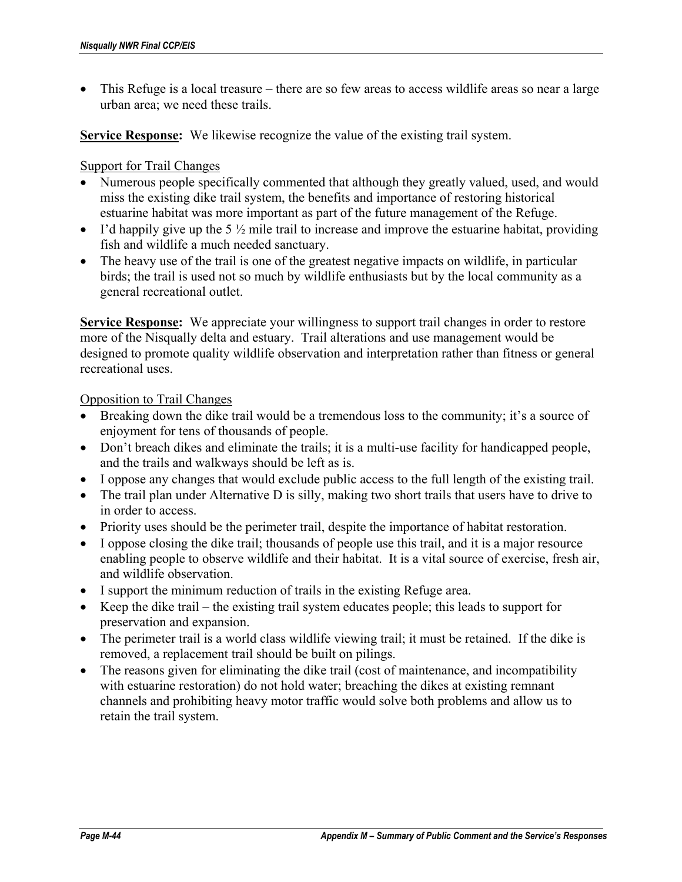• This Refuge is a local treasure – there are so few areas to access wildlife areas so near a large urban area; we need these trails.

**Service Response:** We likewise recognize the value of the existing trail system.

#### Support for Trail Changes

- Numerous people specifically commented that although they greatly valued, used, and would miss the existing dike trail system, the benefits and importance of restoring historical estuarine habitat was more important as part of the future management of the Refuge.
- I'd happily give up the 5  $\frac{1}{2}$  mile trail to increase and improve the estuarine habitat, providing fish and wildlife a much needed sanctuary.
- The heavy use of the trail is one of the greatest negative impacts on wildlife, in particular birds; the trail is used not so much by wildlife enthusiasts but by the local community as a general recreational outlet.

**Service Response:** We appreciate your willingness to support trail changes in order to restore more of the Nisqually delta and estuary. Trail alterations and use management would be designed to promote quality wildlife observation and interpretation rather than fitness or general recreational uses.

#### Opposition to Trail Changes

- Breaking down the dike trail would be a tremendous loss to the community; it's a source of enjoyment for tens of thousands of people.
- Don't breach dikes and eliminate the trails; it is a multi-use facility for handicapped people, and the trails and walkways should be left as is.
- I oppose any changes that would exclude public access to the full length of the existing trail.
- The trail plan under Alternative D is silly, making two short trails that users have to drive to in order to access.
- Priority uses should be the perimeter trail, despite the importance of habitat restoration.
- I oppose closing the dike trail; thousands of people use this trail, and it is a major resource enabling people to observe wildlife and their habitat. It is a vital source of exercise, fresh air, and wildlife observation.
- I support the minimum reduction of trails in the existing Refuge area.
- Keep the dike trail the existing trail system educates people; this leads to support for preservation and expansion.
- The perimeter trail is a world class wildlife viewing trail; it must be retained. If the dike is removed, a replacement trail should be built on pilings.
- The reasons given for eliminating the dike trail (cost of maintenance, and incompatibility with estuarine restoration) do not hold water; breaching the dikes at existing remnant channels and prohibiting heavy motor traffic would solve both problems and allow us to retain the trail system.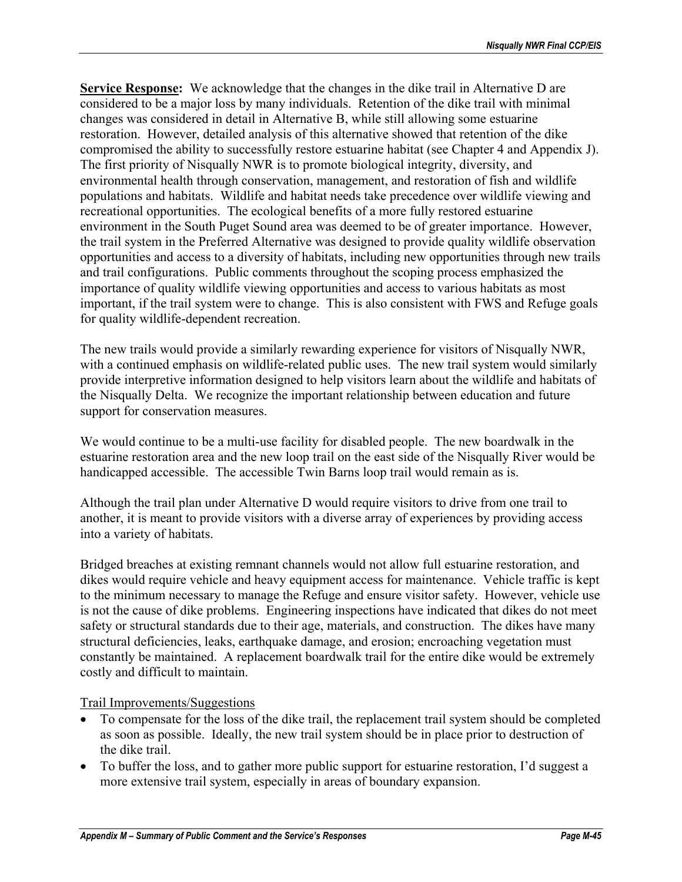**Service Response:** We acknowledge that the changes in the dike trail in Alternative D are considered to be a major loss by many individuals. Retention of the dike trail with minimal changes was considered in detail in Alternative B, while still allowing some estuarine restoration. However, detailed analysis of this alternative showed that retention of the dike compromised the ability to successfully restore estuarine habitat (see Chapter 4 and Appendix J). The first priority of Nisqually NWR is to promote biological integrity, diversity, and environmental health through conservation, management, and restoration of fish and wildlife populations and habitats. Wildlife and habitat needs take precedence over wildlife viewing and recreational opportunities. The ecological benefits of a more fully restored estuarine environment in the South Puget Sound area was deemed to be of greater importance. However, the trail system in the Preferred Alternative was designed to provide quality wildlife observation opportunities and access to a diversity of habitats, including new opportunities through new trails and trail configurations. Public comments throughout the scoping process emphasized the importance of quality wildlife viewing opportunities and access to various habitats as most important, if the trail system were to change. This is also consistent with FWS and Refuge goals for quality wildlife-dependent recreation.

The new trails would provide a similarly rewarding experience for visitors of Nisqually NWR, with a continued emphasis on wildlife-related public uses. The new trail system would similarly provide interpretive information designed to help visitors learn about the wildlife and habitats of the Nisqually Delta. We recognize the important relationship between education and future support for conservation measures.

We would continue to be a multi-use facility for disabled people. The new boardwalk in the estuarine restoration area and the new loop trail on the east side of the Nisqually River would be handicapped accessible. The accessible Twin Barns loop trail would remain as is.

Although the trail plan under Alternative D would require visitors to drive from one trail to another, it is meant to provide visitors with a diverse array of experiences by providing access into a variety of habitats.

Bridged breaches at existing remnant channels would not allow full estuarine restoration, and dikes would require vehicle and heavy equipment access for maintenance. Vehicle traffic is kept to the minimum necessary to manage the Refuge and ensure visitor safety. However, vehicle use is not the cause of dike problems. Engineering inspections have indicated that dikes do not meet safety or structural standards due to their age, materials, and construction. The dikes have many structural deficiencies, leaks, earthquake damage, and erosion; encroaching vegetation must constantly be maintained. A replacement boardwalk trail for the entire dike would be extremely costly and difficult to maintain.

### Trail Improvements/Suggestions

- To compensate for the loss of the dike trail, the replacement trail system should be completed as soon as possible. Ideally, the new trail system should be in place prior to destruction of the dike trail.
- To buffer the loss, and to gather more public support for estuarine restoration, I'd suggest a more extensive trail system, especially in areas of boundary expansion.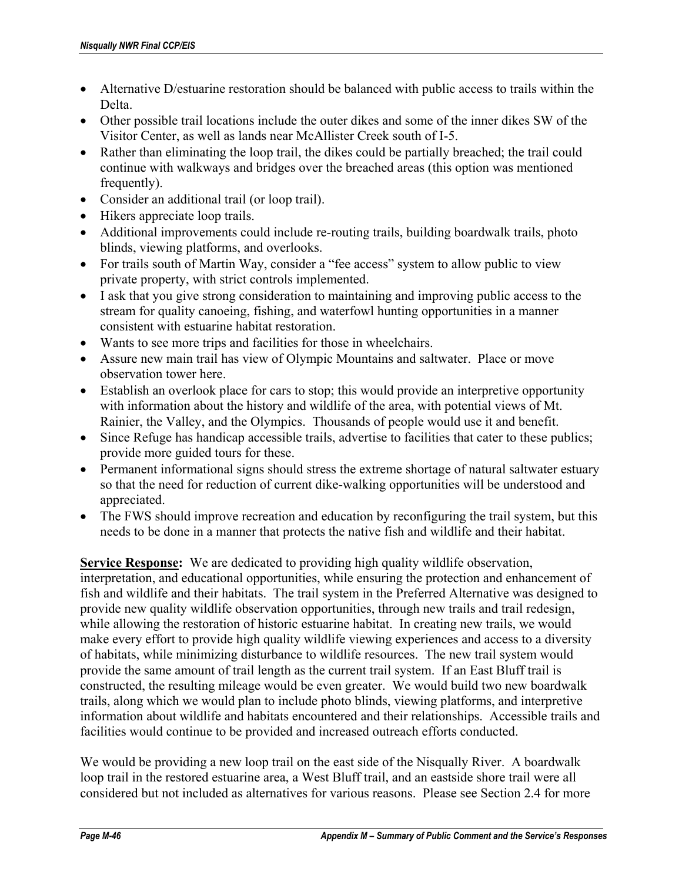- Alternative D/estuarine restoration should be balanced with public access to trails within the Delta.
- Other possible trail locations include the outer dikes and some of the inner dikes SW of the Visitor Center, as well as lands near McAllister Creek south of I-5.
- Rather than eliminating the loop trail, the dikes could be partially breached; the trail could continue with walkways and bridges over the breached areas (this option was mentioned frequently).
- Consider an additional trail (or loop trail).
- Hikers appreciate loop trails.
- Additional improvements could include re-routing trails, building boardwalk trails, photo blinds, viewing platforms, and overlooks.
- For trails south of Martin Way, consider a "fee access" system to allow public to view private property, with strict controls implemented.
- I ask that you give strong consideration to maintaining and improving public access to the stream for quality canoeing, fishing, and waterfowl hunting opportunities in a manner consistent with estuarine habitat restoration.
- Wants to see more trips and facilities for those in wheelchairs.
- Assure new main trail has view of Olympic Mountains and saltwater. Place or move observation tower here.
- Establish an overlook place for cars to stop; this would provide an interpretive opportunity with information about the history and wildlife of the area, with potential views of Mt. Rainier, the Valley, and the Olympics. Thousands of people would use it and benefit.
- Since Refuge has handicap accessible trails, advertise to facilities that cater to these publics; provide more guided tours for these.
- Permanent informational signs should stress the extreme shortage of natural saltwater estuary so that the need for reduction of current dike-walking opportunities will be understood and appreciated.
- The FWS should improve recreation and education by reconfiguring the trail system, but this needs to be done in a manner that protects the native fish and wildlife and their habitat.

**Service Response:** We are dedicated to providing high quality wildlife observation,

interpretation, and educational opportunities, while ensuring the protection and enhancement of fish and wildlife and their habitats. The trail system in the Preferred Alternative was designed to provide new quality wildlife observation opportunities, through new trails and trail redesign, while allowing the restoration of historic estuarine habitat. In creating new trails, we would make every effort to provide high quality wildlife viewing experiences and access to a diversity of habitats, while minimizing disturbance to wildlife resources. The new trail system would provide the same amount of trail length as the current trail system. If an East Bluff trail is constructed, the resulting mileage would be even greater. We would build two new boardwalk trails, along which we would plan to include photo blinds, viewing platforms, and interpretive information about wildlife and habitats encountered and their relationships. Accessible trails and facilities would continue to be provided and increased outreach efforts conducted.

We would be providing a new loop trail on the east side of the Nisqually River. A boardwalk loop trail in the restored estuarine area, a West Bluff trail, and an eastside shore trail were all considered but not included as alternatives for various reasons. Please see Section 2.4 for more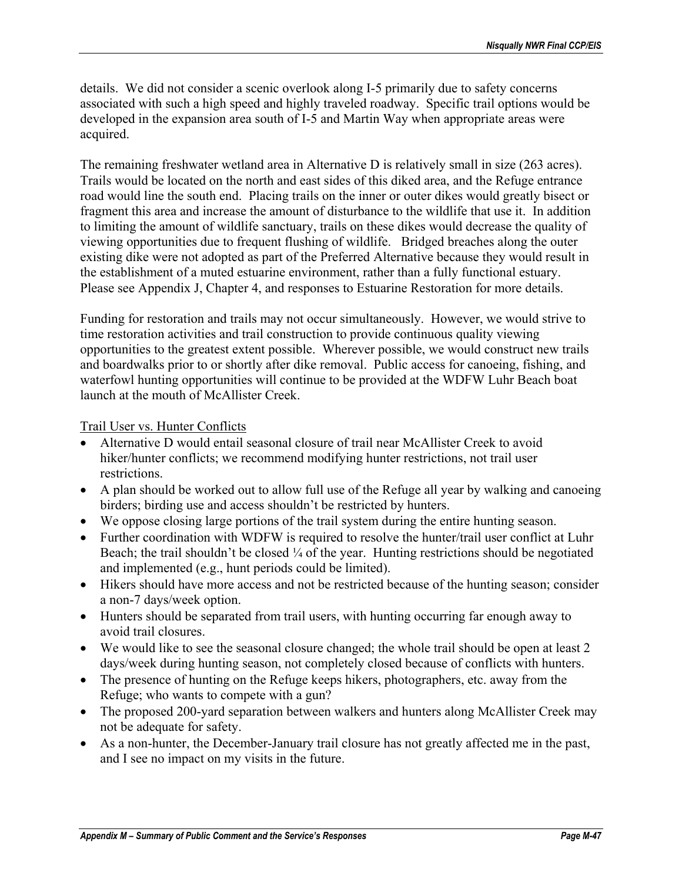details. We did not consider a scenic overlook along I-5 primarily due to safety concerns associated with such a high speed and highly traveled roadway. Specific trail options would be developed in the expansion area south of I-5 and Martin Way when appropriate areas were acquired.

The remaining freshwater wetland area in Alternative D is relatively small in size (263 acres). Trails would be located on the north and east sides of this diked area, and the Refuge entrance road would line the south end. Placing trails on the inner or outer dikes would greatly bisect or fragment this area and increase the amount of disturbance to the wildlife that use it. In addition to limiting the amount of wildlife sanctuary, trails on these dikes would decrease the quality of viewing opportunities due to frequent flushing of wildlife. Bridged breaches along the outer existing dike were not adopted as part of the Preferred Alternative because they would result in the establishment of a muted estuarine environment, rather than a fully functional estuary. Please see Appendix J, Chapter 4, and responses to Estuarine Restoration for more details.

Funding for restoration and trails may not occur simultaneously. However, we would strive to time restoration activities and trail construction to provide continuous quality viewing opportunities to the greatest extent possible. Wherever possible, we would construct new trails and boardwalks prior to or shortly after dike removal. Public access for canoeing, fishing, and waterfowl hunting opportunities will continue to be provided at the WDFW Luhr Beach boat launch at the mouth of McAllister Creek.

### Trail User vs. Hunter Conflicts

- Alternative D would entail seasonal closure of trail near McAllister Creek to avoid hiker/hunter conflicts; we recommend modifying hunter restrictions, not trail user restrictions.
- A plan should be worked out to allow full use of the Refuge all year by walking and canoeing birders; birding use and access shouldn't be restricted by hunters.
- We oppose closing large portions of the trail system during the entire hunting season.
- Further coordination with WDFW is required to resolve the hunter/trail user conflict at Luhr Beach; the trail shouldn't be closed  $\frac{1}{4}$  of the year. Hunting restrictions should be negotiated and implemented (e.g., hunt periods could be limited).
- Hikers should have more access and not be restricted because of the hunting season; consider a non-7 days/week option.
- Hunters should be separated from trail users, with hunting occurring far enough away to avoid trail closures.
- We would like to see the seasonal closure changed; the whole trail should be open at least 2 days/week during hunting season, not completely closed because of conflicts with hunters.
- The presence of hunting on the Refuge keeps hikers, photographers, etc. away from the Refuge; who wants to compete with a gun?
- The proposed 200-yard separation between walkers and hunters along McAllister Creek may not be adequate for safety.
- As a non-hunter, the December-January trail closure has not greatly affected me in the past, and I see no impact on my visits in the future.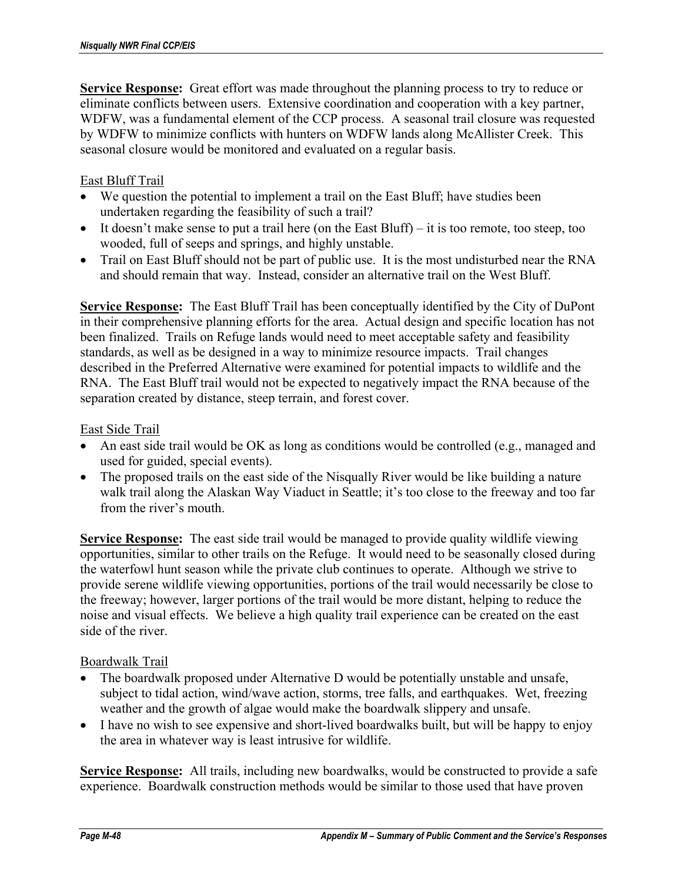**Service Response:** Great effort was made throughout the planning process to try to reduce or eliminate conflicts between users. Extensive coordination and cooperation with a key partner, WDFW, was a fundamental element of the CCP process. A seasonal trail closure was requested by WDFW to minimize conflicts with hunters on WDFW lands along McAllister Creek. This seasonal closure would be monitored and evaluated on a regular basis.

## East Bluff Trail

- We question the potential to implement a trail on the East Bluff; have studies been undertaken regarding the feasibility of such a trail?
- It doesn't make sense to put a trail here (on the East Bluff) it is too remote, too steep, too wooded, full of seeps and springs, and highly unstable.
- Trail on East Bluff should not be part of public use. It is the most undisturbed near the RNA and should remain that way. Instead, consider an alternative trail on the West Bluff.

**Service Response:** The East Bluff Trail has been conceptually identified by the City of DuPont in their comprehensive planning efforts for the area. Actual design and specific location has not been finalized. Trails on Refuge lands would need to meet acceptable safety and feasibility standards, as well as be designed in a way to minimize resource impacts. Trail changes described in the Preferred Alternative were examined for potential impacts to wildlife and the RNA. The East Bluff trail would not be expected to negatively impact the RNA because of the separation created by distance, steep terrain, and forest cover.

### East Side Trail

- An east side trail would be OK as long as conditions would be controlled (e.g., managed and used for guided, special events).
- The proposed trails on the east side of the Nisqually River would be like building a nature walk trail along the Alaskan Way Viaduct in Seattle; it's too close to the freeway and too far from the river's mouth.

**Service Response:** The east side trail would be managed to provide quality wildlife viewing opportunities, similar to other trails on the Refuge. It would need to be seasonally closed during the waterfowl hunt season while the private club continues to operate. Although we strive to provide serene wildlife viewing opportunities, portions of the trail would necessarily be close to the freeway; however, larger portions of the trail would be more distant, helping to reduce the noise and visual effects. We believe a high quality trail experience can be created on the east side of the river.

### Boardwalk Trail

- The boardwalk proposed under Alternative D would be potentially unstable and unsafe, subject to tidal action, wind/wave action, storms, tree falls, and earthquakes. Wet, freezing weather and the growth of algae would make the boardwalk slippery and unsafe.
- I have no wish to see expensive and short-lived boardwalks built, but will be happy to enjoy the area in whatever way is least intrusive for wildlife.

**Service Response:** All trails, including new boardwalks, would be constructed to provide a safe experience. Boardwalk construction methods would be similar to those used that have proven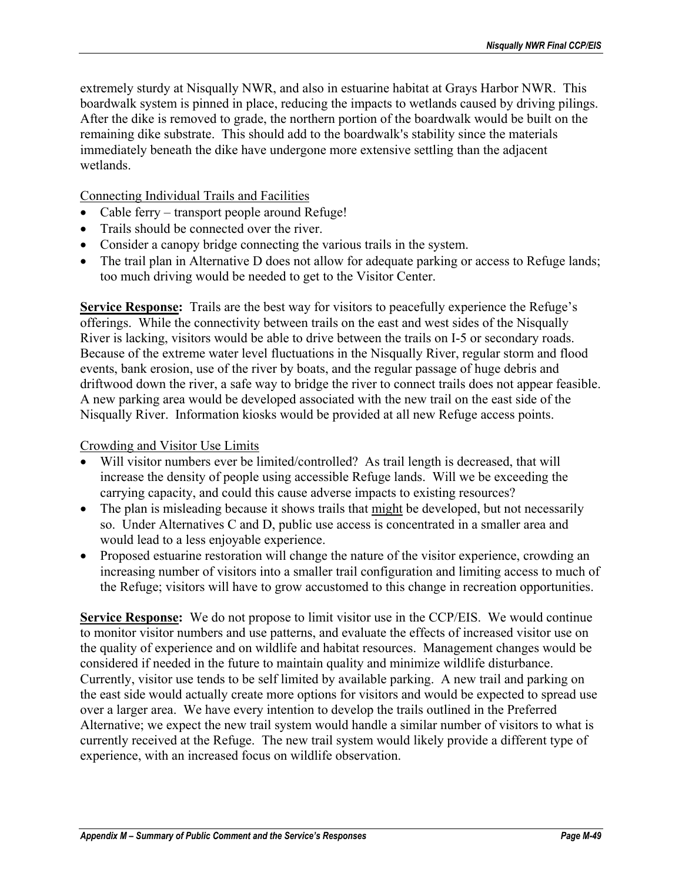extremely sturdy at Nisqually NWR, and also in estuarine habitat at Grays Harbor NWR. This boardwalk system is pinned in place, reducing the impacts to wetlands caused by driving pilings. After the dike is removed to grade, the northern portion of the boardwalk would be built on the remaining dike substrate. This should add to the boardwalk's stability since the materials immediately beneath the dike have undergone more extensive settling than the adjacent wetlands.

Connecting Individual Trails and Facilities

- Cable ferry transport people around Refuge!
- Trails should be connected over the river.
- Consider a canopy bridge connecting the various trails in the system.
- The trail plan in Alternative D does not allow for adequate parking or access to Refuge lands; too much driving would be needed to get to the Visitor Center.

**Service Response:** Trails are the best way for visitors to peacefully experience the Refuge's offerings. While the connectivity between trails on the east and west sides of the Nisqually River is lacking, visitors would be able to drive between the trails on I-5 or secondary roads. Because of the extreme water level fluctuations in the Nisqually River, regular storm and flood events, bank erosion, use of the river by boats, and the regular passage of huge debris and driftwood down the river, a safe way to bridge the river to connect trails does not appear feasible. A new parking area would be developed associated with the new trail on the east side of the Nisqually River. Information kiosks would be provided at all new Refuge access points.

#### Crowding and Visitor Use Limits

- Will visitor numbers ever be limited/controlled? As trail length is decreased, that will increase the density of people using accessible Refuge lands. Will we be exceeding the carrying capacity, and could this cause adverse impacts to existing resources?
- The plan is misleading because it shows trails that might be developed, but not necessarily so. Under Alternatives C and D, public use access is concentrated in a smaller area and would lead to a less enjoyable experience.
- Proposed estuarine restoration will change the nature of the visitor experience, crowding an increasing number of visitors into a smaller trail configuration and limiting access to much of the Refuge; visitors will have to grow accustomed to this change in recreation opportunities.

**Service Response:** We do not propose to limit visitor use in the CCP/EIS. We would continue to monitor visitor numbers and use patterns, and evaluate the effects of increased visitor use on the quality of experience and on wildlife and habitat resources. Management changes would be considered if needed in the future to maintain quality and minimize wildlife disturbance. Currently, visitor use tends to be self limited by available parking. A new trail and parking on the east side would actually create more options for visitors and would be expected to spread use over a larger area. We have every intention to develop the trails outlined in the Preferred Alternative; we expect the new trail system would handle a similar number of visitors to what is currently received at the Refuge. The new trail system would likely provide a different type of experience, with an increased focus on wildlife observation.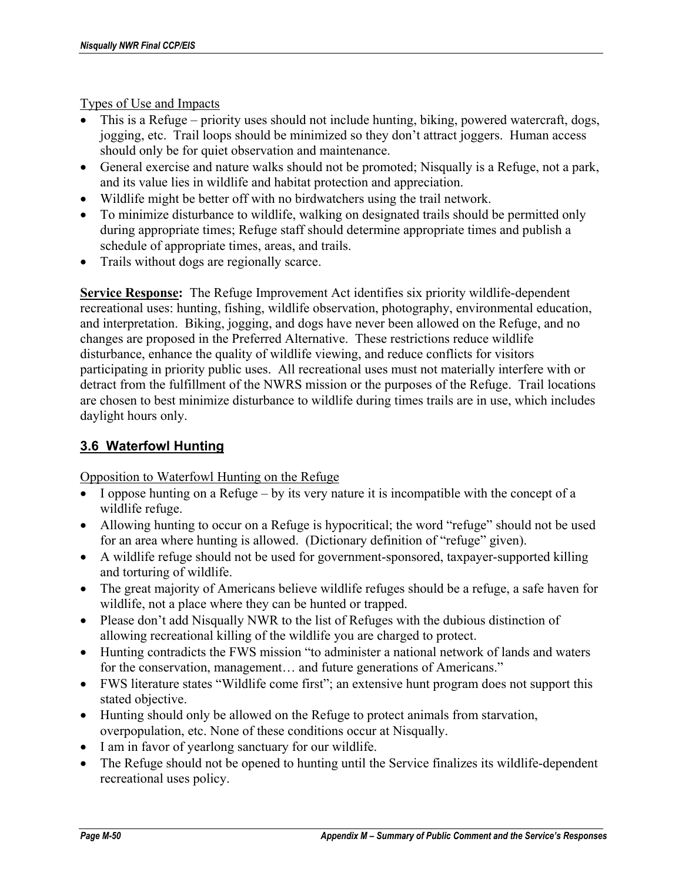Types of Use and Impacts

- This is a Refuge priority uses should not include hunting, biking, powered watercraft, dogs, jogging, etc. Trail loops should be minimized so they don't attract joggers. Human access should only be for quiet observation and maintenance.
- General exercise and nature walks should not be promoted; Nisqually is a Refuge, not a park, and its value lies in wildlife and habitat protection and appreciation.
- Wildlife might be better off with no birdwatchers using the trail network.
- To minimize disturbance to wildlife, walking on designated trails should be permitted only during appropriate times; Refuge staff should determine appropriate times and publish a schedule of appropriate times, areas, and trails.
- Trails without dogs are regionally scarce.

**Service Response:** The Refuge Improvement Act identifies six priority wildlife-dependent recreational uses: hunting, fishing, wildlife observation, photography, environmental education, and interpretation. Biking, jogging, and dogs have never been allowed on the Refuge, and no changes are proposed in the Preferred Alternative. These restrictions reduce wildlife disturbance, enhance the quality of wildlife viewing, and reduce conflicts for visitors participating in priority public uses. All recreational uses must not materially interfere with or detract from the fulfillment of the NWRS mission or the purposes of the Refuge. Trail locations are chosen to best minimize disturbance to wildlife during times trails are in use, which includes daylight hours only.

# **3.6 Waterfowl Hunting**

Opposition to Waterfowl Hunting on the Refuge

- I oppose hunting on a Refuge by its very nature it is incompatible with the concept of a wildlife refuge.
- Allowing hunting to occur on a Refuge is hypocritical; the word "refuge" should not be used for an area where hunting is allowed. (Dictionary definition of "refuge" given).
- A wildlife refuge should not be used for government-sponsored, taxpayer-supported killing and torturing of wildlife.
- The great majority of Americans believe wildlife refuges should be a refuge, a safe haven for wildlife, not a place where they can be hunted or trapped.
- Please don't add Nisqually NWR to the list of Refuges with the dubious distinction of allowing recreational killing of the wildlife you are charged to protect.
- Hunting contradicts the FWS mission "to administer a national network of lands and waters for the conservation, management... and future generations of Americans."
- FWS literature states "Wildlife come first"; an extensive hunt program does not support this stated objective.
- Hunting should only be allowed on the Refuge to protect animals from starvation, overpopulation, etc. None of these conditions occur at Nisqually.
- I am in favor of yearlong sanctuary for our wildlife.
- The Refuge should not be opened to hunting until the Service finalizes its wildlife-dependent recreational uses policy.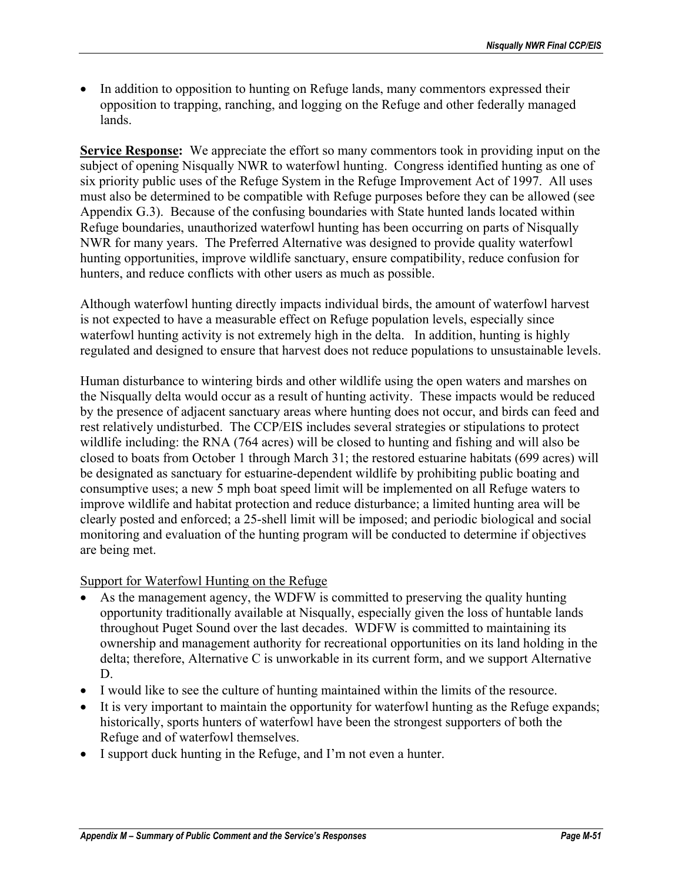• In addition to opposition to hunting on Refuge lands, many commentors expressed their opposition to trapping, ranching, and logging on the Refuge and other federally managed lands.

**Service Response:** We appreciate the effort so many commentors took in providing input on the subject of opening Nisqually NWR to waterfowl hunting. Congress identified hunting as one of six priority public uses of the Refuge System in the Refuge Improvement Act of 1997. All uses must also be determined to be compatible with Refuge purposes before they can be allowed (see Appendix G.3). Because of the confusing boundaries with State hunted lands located within Refuge boundaries, unauthorized waterfowl hunting has been occurring on parts of Nisqually NWR for many years. The Preferred Alternative was designed to provide quality waterfowl hunting opportunities, improve wildlife sanctuary, ensure compatibility, reduce confusion for hunters, and reduce conflicts with other users as much as possible.

Although waterfowl hunting directly impacts individual birds, the amount of waterfowl harvest is not expected to have a measurable effect on Refuge population levels, especially since waterfowl hunting activity is not extremely high in the delta. In addition, hunting is highly regulated and designed to ensure that harvest does not reduce populations to unsustainable levels.

Human disturbance to wintering birds and other wildlife using the open waters and marshes on the Nisqually delta would occur as a result of hunting activity. These impacts would be reduced by the presence of adjacent sanctuary areas where hunting does not occur, and birds can feed and rest relatively undisturbed. The CCP/EIS includes several strategies or stipulations to protect wildlife including: the RNA (764 acres) will be closed to hunting and fishing and will also be closed to boats from October 1 through March 31; the restored estuarine habitats (699 acres) will be designated as sanctuary for estuarine-dependent wildlife by prohibiting public boating and consumptive uses; a new 5 mph boat speed limit will be implemented on all Refuge waters to improve wildlife and habitat protection and reduce disturbance; a limited hunting area will be clearly posted and enforced; a 25-shell limit will be imposed; and periodic biological and social monitoring and evaluation of the hunting program will be conducted to determine if objectives are being met.

### Support for Waterfowl Hunting on the Refuge

- As the management agency, the WDFW is committed to preserving the quality hunting opportunity traditionally available at Nisqually, especially given the loss of huntable lands throughout Puget Sound over the last decades. WDFW is committed to maintaining its ownership and management authority for recreational opportunities on its land holding in the delta; therefore, Alternative C is unworkable in its current form, and we support Alternative D.
- I would like to see the culture of hunting maintained within the limits of the resource.
- It is very important to maintain the opportunity for waterfowl hunting as the Refuge expands; historically, sports hunters of waterfowl have been the strongest supporters of both the Refuge and of waterfowl themselves.
- I support duck hunting in the Refuge, and I'm not even a hunter.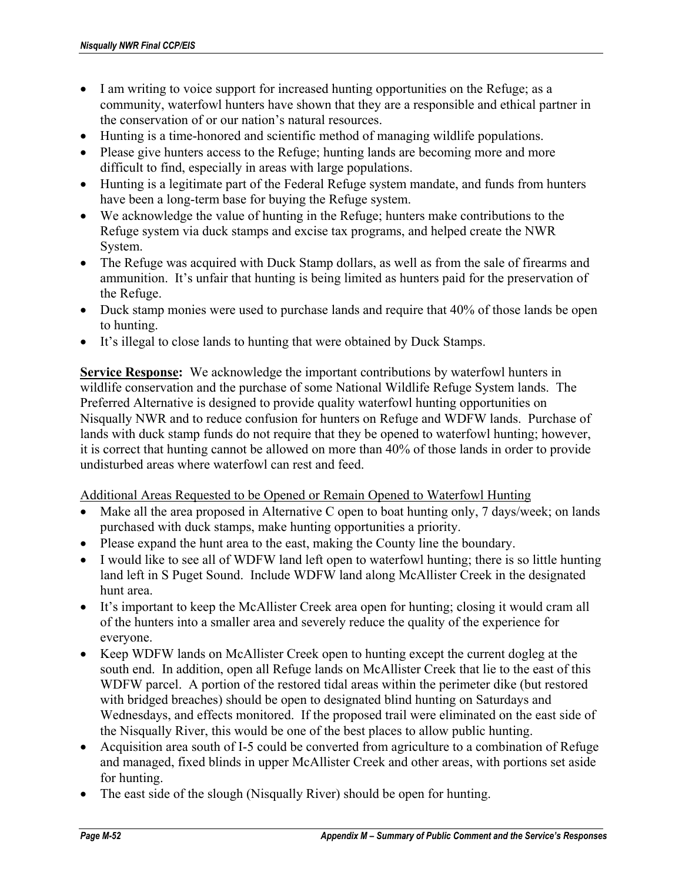- I am writing to voice support for increased hunting opportunities on the Refuge; as a community, waterfowl hunters have shown that they are a responsible and ethical partner in the conservation of or our nation's natural resources.
- Hunting is a time-honored and scientific method of managing wildlife populations.
- Please give hunters access to the Refuge; hunting lands are becoming more and more difficult to find, especially in areas with large populations.
- Hunting is a legitimate part of the Federal Refuge system mandate, and funds from hunters have been a long-term base for buying the Refuge system.
- We acknowledge the value of hunting in the Refuge; hunters make contributions to the Refuge system via duck stamps and excise tax programs, and helped create the NWR System.
- The Refuge was acquired with Duck Stamp dollars, as well as from the sale of firearms and ammunition. It's unfair that hunting is being limited as hunters paid for the preservation of the Refuge.
- Duck stamp monies were used to purchase lands and require that 40% of those lands be open to hunting.
- It's illegal to close lands to hunting that were obtained by Duck Stamps.

**Service Response:** We acknowledge the important contributions by waterfowl hunters in wildlife conservation and the purchase of some National Wildlife Refuge System lands. The Preferred Alternative is designed to provide quality waterfowl hunting opportunities on Nisqually NWR and to reduce confusion for hunters on Refuge and WDFW lands. Purchase of lands with duck stamp funds do not require that they be opened to waterfowl hunting; however, it is correct that hunting cannot be allowed on more than 40% of those lands in order to provide undisturbed areas where waterfowl can rest and feed.

#### Additional Areas Requested to be Opened or Remain Opened to Waterfowl Hunting

- Make all the area proposed in Alternative C open to boat hunting only, 7 days/week; on lands purchased with duck stamps, make hunting opportunities a priority.
- Please expand the hunt area to the east, making the County line the boundary.
- I would like to see all of WDFW land left open to waterfowl hunting; there is so little hunting land left in S Puget Sound. Include WDFW land along McAllister Creek in the designated hunt area.
- It's important to keep the McAllister Creek area open for hunting; closing it would cram all of the hunters into a smaller area and severely reduce the quality of the experience for everyone.
- Keep WDFW lands on McAllister Creek open to hunting except the current dogleg at the south end. In addition, open all Refuge lands on McAllister Creek that lie to the east of this WDFW parcel. A portion of the restored tidal areas within the perimeter dike (but restored with bridged breaches) should be open to designated blind hunting on Saturdays and Wednesdays, and effects monitored. If the proposed trail were eliminated on the east side of the Nisqually River, this would be one of the best places to allow public hunting.
- Acquisition area south of I-5 could be converted from agriculture to a combination of Refuge and managed, fixed blinds in upper McAllister Creek and other areas, with portions set aside for hunting.
- The east side of the slough (Nisqually River) should be open for hunting.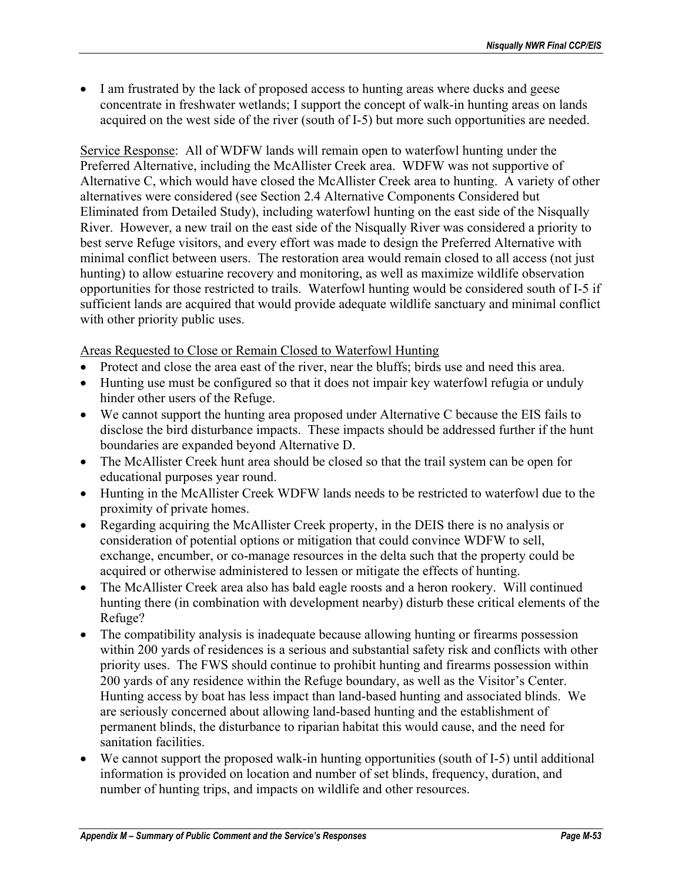• I am frustrated by the lack of proposed access to hunting areas where ducks and geese concentrate in freshwater wetlands; I support the concept of walk-in hunting areas on lands acquired on the west side of the river (south of I-5) but more such opportunities are needed.

Service Response: All of WDFW lands will remain open to waterfowl hunting under the Preferred Alternative, including the McAllister Creek area. WDFW was not supportive of Alternative C, which would have closed the McAllister Creek area to hunting. A variety of other alternatives were considered (see Section 2.4 Alternative Components Considered but Eliminated from Detailed Study), including waterfowl hunting on the east side of the Nisqually River. However, a new trail on the east side of the Nisqually River was considered a priority to best serve Refuge visitors, and every effort was made to design the Preferred Alternative with minimal conflict between users. The restoration area would remain closed to all access (not just hunting) to allow estuarine recovery and monitoring, as well as maximize wildlife observation opportunities for those restricted to trails. Waterfowl hunting would be considered south of I-5 if sufficient lands are acquired that would provide adequate wildlife sanctuary and minimal conflict with other priority public uses.

Areas Requested to Close or Remain Closed to Waterfowl Hunting

- Protect and close the area east of the river, near the bluffs; birds use and need this area.
- Hunting use must be configured so that it does not impair key waterfowl refugia or unduly hinder other users of the Refuge.
- We cannot support the hunting area proposed under Alternative C because the EIS fails to disclose the bird disturbance impacts. These impacts should be addressed further if the hunt boundaries are expanded beyond Alternative D.
- The McAllister Creek hunt area should be closed so that the trail system can be open for educational purposes year round.
- Hunting in the McAllister Creek WDFW lands needs to be restricted to waterfowl due to the proximity of private homes.
- Regarding acquiring the McAllister Creek property, in the DEIS there is no analysis or consideration of potential options or mitigation that could convince WDFW to sell, exchange, encumber, or co-manage resources in the delta such that the property could be acquired or otherwise administered to lessen or mitigate the effects of hunting.
- The McAllister Creek area also has bald eagle roosts and a heron rookery. Will continued hunting there (in combination with development nearby) disturb these critical elements of the Refuge?
- The compatibility analysis is inadequate because allowing hunting or firearms possession within 200 yards of residences is a serious and substantial safety risk and conflicts with other priority uses. The FWS should continue to prohibit hunting and firearms possession within 200 yards of any residence within the Refuge boundary, as well as the Visitor's Center. Hunting access by boat has less impact than land-based hunting and associated blinds. We are seriously concerned about allowing land-based hunting and the establishment of permanent blinds, the disturbance to riparian habitat this would cause, and the need for sanitation facilities.
- We cannot support the proposed walk-in hunting opportunities (south of I-5) until additional information is provided on location and number of set blinds, frequency, duration, and number of hunting trips, and impacts on wildlife and other resources.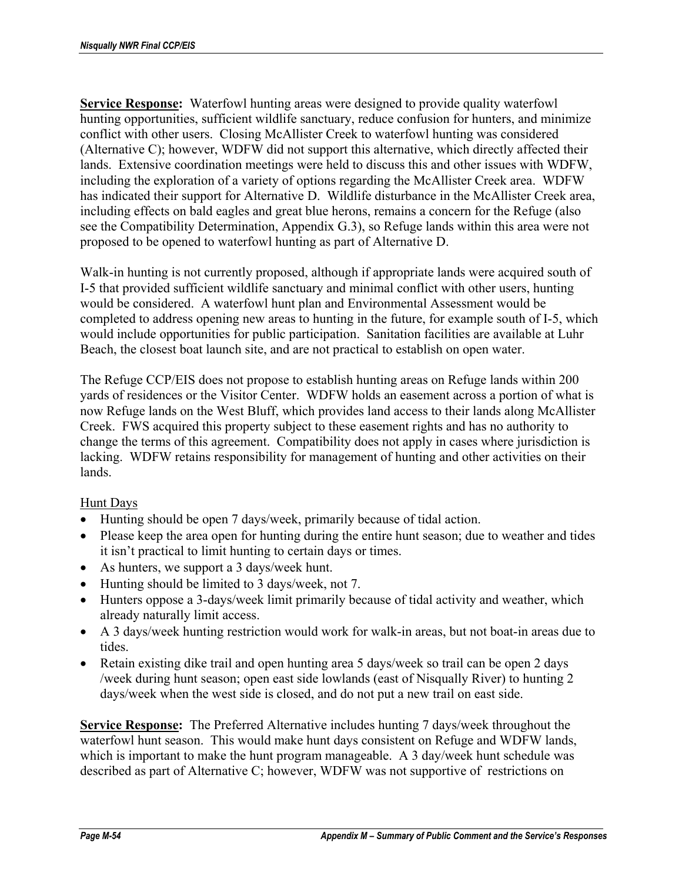**Service Response:** Waterfowl hunting areas were designed to provide quality waterfowl hunting opportunities, sufficient wildlife sanctuary, reduce confusion for hunters, and minimize conflict with other users. Closing McAllister Creek to waterfowl hunting was considered (Alternative C); however, WDFW did not support this alternative, which directly affected their lands. Extensive coordination meetings were held to discuss this and other issues with WDFW, including the exploration of a variety of options regarding the McAllister Creek area. WDFW has indicated their support for Alternative D. Wildlife disturbance in the McAllister Creek area, including effects on bald eagles and great blue herons, remains a concern for the Refuge (also see the Compatibility Determination, Appendix G.3), so Refuge lands within this area were not proposed to be opened to waterfowl hunting as part of Alternative D.

Walk-in hunting is not currently proposed, although if appropriate lands were acquired south of I-5 that provided sufficient wildlife sanctuary and minimal conflict with other users, hunting would be considered. A waterfowl hunt plan and Environmental Assessment would be completed to address opening new areas to hunting in the future, for example south of I-5, which would include opportunities for public participation. Sanitation facilities are available at Luhr Beach, the closest boat launch site, and are not practical to establish on open water.

The Refuge CCP/EIS does not propose to establish hunting areas on Refuge lands within 200 yards of residences or the Visitor Center. WDFW holds an easement across a portion of what is now Refuge lands on the West Bluff, which provides land access to their lands along McAllister Creek. FWS acquired this property subject to these easement rights and has no authority to change the terms of this agreement. Compatibility does not apply in cases where jurisdiction is lacking. WDFW retains responsibility for management of hunting and other activities on their lands.

### Hunt Days

- Hunting should be open 7 days/week, primarily because of tidal action.
- Please keep the area open for hunting during the entire hunt season; due to weather and tides it isn't practical to limit hunting to certain days or times.
- As hunters, we support a 3 days/week hunt.
- Hunting should be limited to 3 days/week, not 7.
- Hunters oppose a 3-days/week limit primarily because of tidal activity and weather, which already naturally limit access.
- A 3 days/week hunting restriction would work for walk-in areas, but not boat-in areas due to tides.
- Retain existing dike trail and open hunting area 5 days/week so trail can be open 2 days /week during hunt season; open east side lowlands (east of Nisqually River) to hunting 2 days/week when the west side is closed, and do not put a new trail on east side.

**Service Response:** The Preferred Alternative includes hunting 7 days/week throughout the waterfowl hunt season. This would make hunt days consistent on Refuge and WDFW lands, which is important to make the hunt program manageable. A 3 day/week hunt schedule was described as part of Alternative C; however, WDFW was not supportive of restrictions on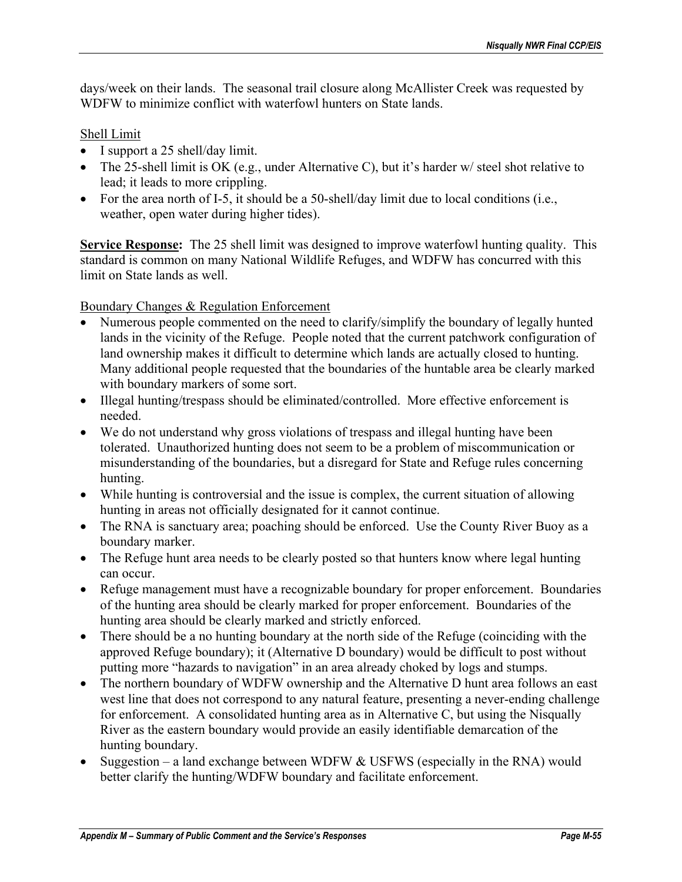days/week on their lands. The seasonal trail closure along McAllister Creek was requested by WDFW to minimize conflict with waterfowl hunters on State lands.

### Shell Limit

- I support a 25 shell/day limit.
- The 25-shell limit is OK (e.g., under Alternative C), but it's harder w/ steel shot relative to lead; it leads to more crippling.
- For the area north of I-5, it should be a 50-shell/day limit due to local conditions (i.e., weather, open water during higher tides).

**Service Response:** The 25 shell limit was designed to improve waterfowl hunting quality. This standard is common on many National Wildlife Refuges, and WDFW has concurred with this limit on State lands as well.

Boundary Changes & Regulation Enforcement

- Numerous people commented on the need to clarify/simplify the boundary of legally hunted lands in the vicinity of the Refuge. People noted that the current patchwork configuration of land ownership makes it difficult to determine which lands are actually closed to hunting. Many additional people requested that the boundaries of the huntable area be clearly marked with boundary markers of some sort.
- Illegal hunting/trespass should be eliminated/controlled. More effective enforcement is needed.
- We do not understand why gross violations of trespass and illegal hunting have been tolerated. Unauthorized hunting does not seem to be a problem of miscommunication or misunderstanding of the boundaries, but a disregard for State and Refuge rules concerning hunting.
- While hunting is controversial and the issue is complex, the current situation of allowing hunting in areas not officially designated for it cannot continue.
- The RNA is sanctuary area; poaching should be enforced. Use the County River Buoy as a boundary marker.
- The Refuge hunt area needs to be clearly posted so that hunters know where legal hunting can occur.
- Refuge management must have a recognizable boundary for proper enforcement. Boundaries of the hunting area should be clearly marked for proper enforcement. Boundaries of the hunting area should be clearly marked and strictly enforced.
- There should be a no hunting boundary at the north side of the Refuge (coinciding with the approved Refuge boundary); it (Alternative D boundary) would be difficult to post without putting more "hazards to navigation" in an area already choked by logs and stumps.
- The northern boundary of WDFW ownership and the Alternative D hunt area follows an east west line that does not correspond to any natural feature, presenting a never-ending challenge for enforcement. A consolidated hunting area as in Alternative C, but using the Nisqually River as the eastern boundary would provide an easily identifiable demarcation of the hunting boundary.
- Suggestion a land exchange between WDFW  $&$  USFWS (especially in the RNA) would better clarify the hunting/WDFW boundary and facilitate enforcement.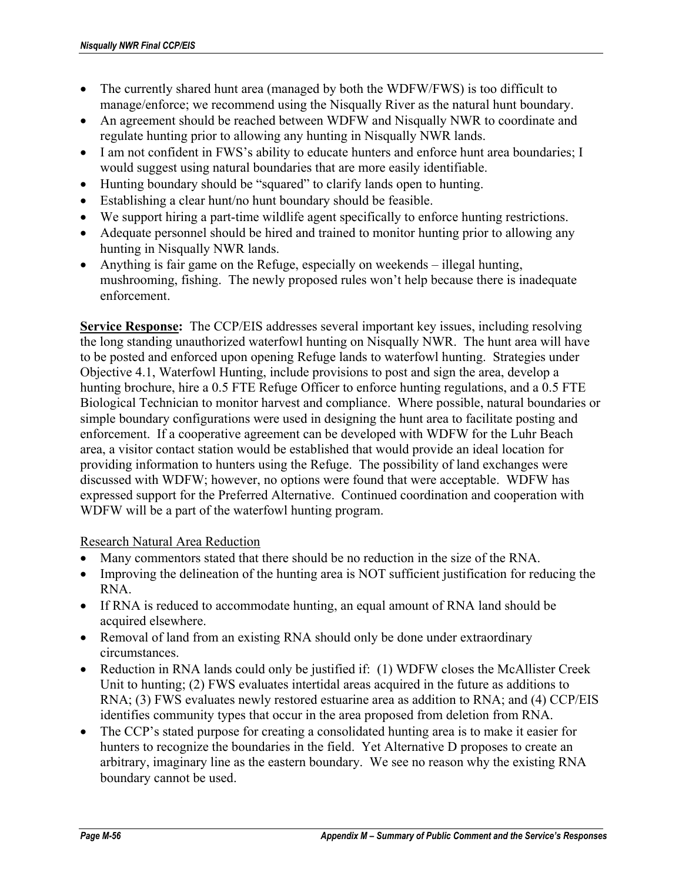- The currently shared hunt area (managed by both the WDFW/FWS) is too difficult to manage/enforce; we recommend using the Nisqually River as the natural hunt boundary.
- An agreement should be reached between WDFW and Nisqually NWR to coordinate and regulate hunting prior to allowing any hunting in Nisqually NWR lands.
- I am not confident in FWS's ability to educate hunters and enforce hunt area boundaries; I would suggest using natural boundaries that are more easily identifiable.
- Hunting boundary should be "squared" to clarify lands open to hunting.
- Establishing a clear hunt/no hunt boundary should be feasible.
- We support hiring a part-time wildlife agent specifically to enforce hunting restrictions.
- Adequate personnel should be hired and trained to monitor hunting prior to allowing any hunting in Nisqually NWR lands.
- Anything is fair game on the Refuge, especially on weekends illegal hunting, mushrooming, fishing. The newly proposed rules won't help because there is inadequate enforcement.

**Service Response:** The CCP/EIS addresses several important key issues, including resolving the long standing unauthorized waterfowl hunting on Nisqually NWR. The hunt area will have to be posted and enforced upon opening Refuge lands to waterfowl hunting. Strategies under Objective 4.1, Waterfowl Hunting, include provisions to post and sign the area, develop a hunting brochure, hire a 0.5 FTE Refuge Officer to enforce hunting regulations, and a 0.5 FTE Biological Technician to monitor harvest and compliance. Where possible, natural boundaries or simple boundary configurations were used in designing the hunt area to facilitate posting and enforcement. If a cooperative agreement can be developed with WDFW for the Luhr Beach area, a visitor contact station would be established that would provide an ideal location for providing information to hunters using the Refuge. The possibility of land exchanges were discussed with WDFW; however, no options were found that were acceptable. WDFW has expressed support for the Preferred Alternative. Continued coordination and cooperation with WDFW will be a part of the waterfowl hunting program.

Research Natural Area Reduction

- Many commentors stated that there should be no reduction in the size of the RNA.
- Improving the delineation of the hunting area is NOT sufficient justification for reducing the RNA.
- If RNA is reduced to accommodate hunting, an equal amount of RNA land should be acquired elsewhere.
- Removal of land from an existing RNA should only be done under extraordinary circumstances.
- Reduction in RNA lands could only be justified if: (1) WDFW closes the McAllister Creek Unit to hunting; (2) FWS evaluates intertidal areas acquired in the future as additions to RNA; (3) FWS evaluates newly restored estuarine area as addition to RNA; and (4) CCP/EIS identifies community types that occur in the area proposed from deletion from RNA.
- The CCP's stated purpose for creating a consolidated hunting area is to make it easier for hunters to recognize the boundaries in the field. Yet Alternative D proposes to create an arbitrary, imaginary line as the eastern boundary. We see no reason why the existing RNA boundary cannot be used.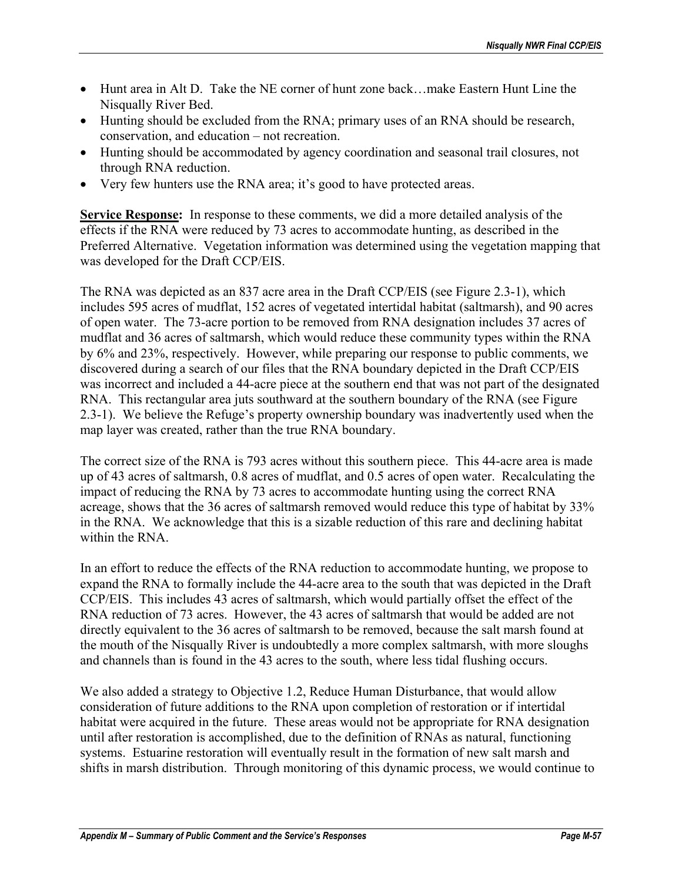- Hunt area in Alt D. Take the NE corner of hunt zone back…make Eastern Hunt Line the Nisqually River Bed.
- Hunting should be excluded from the RNA; primary uses of an RNA should be research, conservation, and education – not recreation.
- Hunting should be accommodated by agency coordination and seasonal trail closures, not through RNA reduction.
- Very few hunters use the RNA area; it's good to have protected areas.

**Service Response:** In response to these comments, we did a more detailed analysis of the effects if the RNA were reduced by 73 acres to accommodate hunting, as described in the Preferred Alternative. Vegetation information was determined using the vegetation mapping that was developed for the Draft CCP/EIS.

The RNA was depicted as an 837 acre area in the Draft CCP/EIS (see Figure 2.3-1), which includes 595 acres of mudflat, 152 acres of vegetated intertidal habitat (saltmarsh), and 90 acres of open water. The 73-acre portion to be removed from RNA designation includes 37 acres of mudflat and 36 acres of saltmarsh, which would reduce these community types within the RNA by 6% and 23%, respectively. However, while preparing our response to public comments, we discovered during a search of our files that the RNA boundary depicted in the Draft CCP/EIS was incorrect and included a 44-acre piece at the southern end that was not part of the designated RNA. This rectangular area juts southward at the southern boundary of the RNA (see Figure 2.3-1). We believe the Refuge's property ownership boundary was inadvertently used when the map layer was created, rather than the true RNA boundary.

The correct size of the RNA is 793 acres without this southern piece. This 44-acre area is made up of 43 acres of saltmarsh, 0.8 acres of mudflat, and 0.5 acres of open water. Recalculating the impact of reducing the RNA by 73 acres to accommodate hunting using the correct RNA acreage, shows that the 36 acres of saltmarsh removed would reduce this type of habitat by 33% in the RNA. We acknowledge that this is a sizable reduction of this rare and declining habitat within the RNA

In an effort to reduce the effects of the RNA reduction to accommodate hunting, we propose to expand the RNA to formally include the 44-acre area to the south that was depicted in the Draft CCP/EIS. This includes 43 acres of saltmarsh, which would partially offset the effect of the RNA reduction of 73 acres. However, the 43 acres of saltmarsh that would be added are not directly equivalent to the 36 acres of saltmarsh to be removed, because the salt marsh found at the mouth of the Nisqually River is undoubtedly a more complex saltmarsh, with more sloughs and channels than is found in the 43 acres to the south, where less tidal flushing occurs.

We also added a strategy to Objective 1.2, Reduce Human Disturbance, that would allow consideration of future additions to the RNA upon completion of restoration or if intertidal habitat were acquired in the future. These areas would not be appropriate for RNA designation until after restoration is accomplished, due to the definition of RNAs as natural, functioning systems. Estuarine restoration will eventually result in the formation of new salt marsh and shifts in marsh distribution. Through monitoring of this dynamic process, we would continue to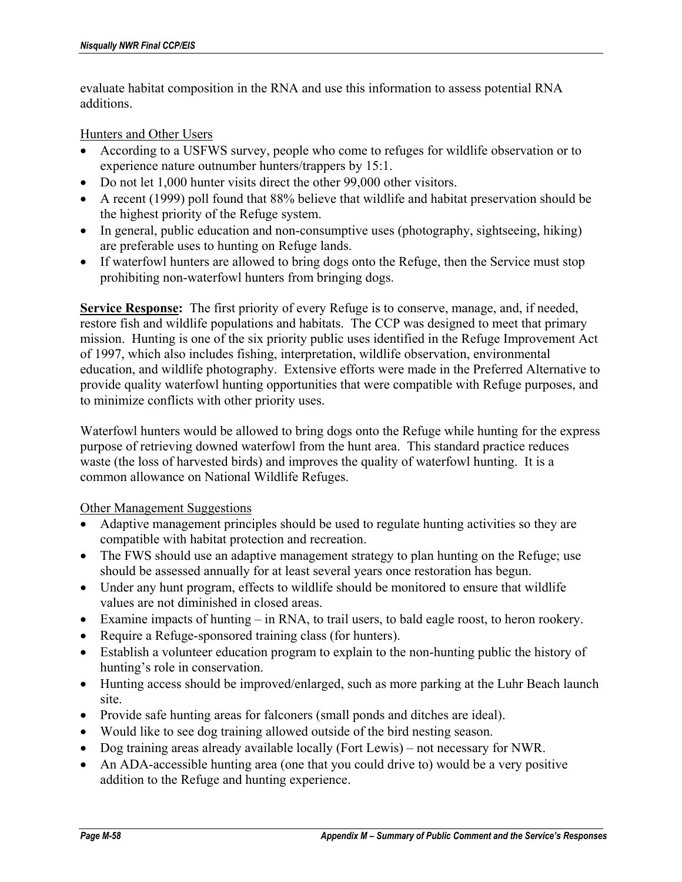evaluate habitat composition in the RNA and use this information to assess potential RNA additions.

#### Hunters and Other Users

- According to a USFWS survey, people who come to refuges for wildlife observation or to experience nature outnumber hunters/trappers by 15:1.
- Do not let 1,000 hunter visits direct the other 99,000 other visitors.
- A recent (1999) poll found that 88% believe that wildlife and habitat preservation should be the highest priority of the Refuge system.
- In general, public education and non-consumptive uses (photography, sightseeing, hiking) are preferable uses to hunting on Refuge lands.
- If waterfowl hunters are allowed to bring dogs onto the Refuge, then the Service must stop prohibiting non-waterfowl hunters from bringing dogs.

**Service Response:** The first priority of every Refuge is to conserve, manage, and, if needed, restore fish and wildlife populations and habitats. The CCP was designed to meet that primary mission. Hunting is one of the six priority public uses identified in the Refuge Improvement Act of 1997, which also includes fishing, interpretation, wildlife observation, environmental education, and wildlife photography. Extensive efforts were made in the Preferred Alternative to provide quality waterfowl hunting opportunities that were compatible with Refuge purposes, and to minimize conflicts with other priority uses.

Waterfowl hunters would be allowed to bring dogs onto the Refuge while hunting for the express purpose of retrieving downed waterfowl from the hunt area. This standard practice reduces waste (the loss of harvested birds) and improves the quality of waterfowl hunting. It is a common allowance on National Wildlife Refuges.

#### Other Management Suggestions

- Adaptive management principles should be used to regulate hunting activities so they are compatible with habitat protection and recreation.
- The FWS should use an adaptive management strategy to plan hunting on the Refuge; use should be assessed annually for at least several years once restoration has begun.
- Under any hunt program, effects to wildlife should be monitored to ensure that wildlife values are not diminished in closed areas.
- Examine impacts of hunting in RNA, to trail users, to bald eagle roost, to heron rookery.
- Require a Refuge-sponsored training class (for hunters).
- Establish a volunteer education program to explain to the non-hunting public the history of hunting's role in conservation.
- Hunting access should be improved/enlarged, such as more parking at the Luhr Beach launch site.
- Provide safe hunting areas for falconers (small ponds and ditches are ideal).
- Would like to see dog training allowed outside of the bird nesting season.
- Dog training areas already available locally (Fort Lewis) not necessary for NWR.
- An ADA-accessible hunting area (one that you could drive to) would be a very positive addition to the Refuge and hunting experience.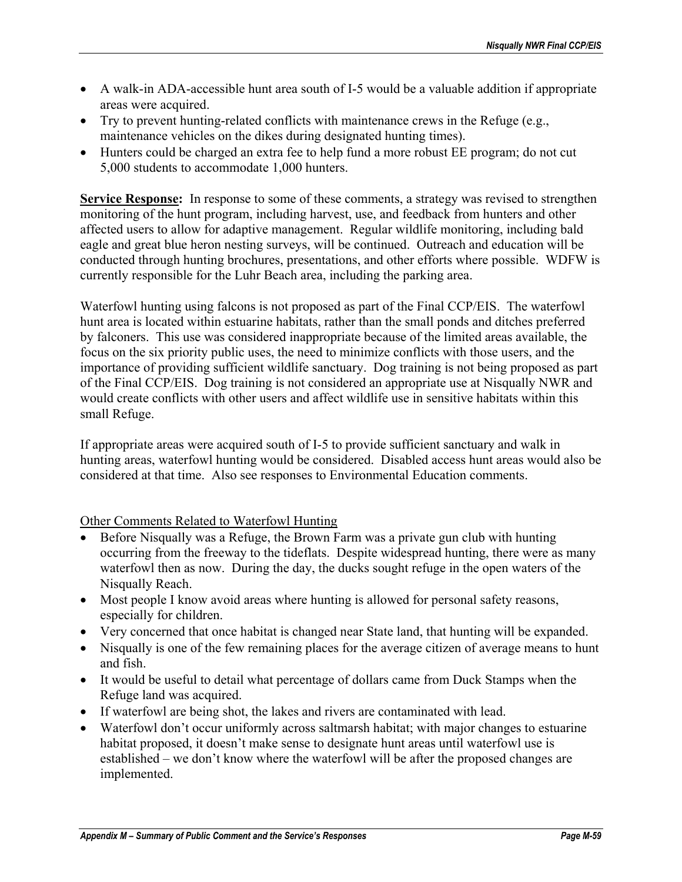- A walk-in ADA-accessible hunt area south of I-5 would be a valuable addition if appropriate areas were acquired.
- Try to prevent hunting-related conflicts with maintenance crews in the Refuge  $(e.g.,)$ maintenance vehicles on the dikes during designated hunting times).
- Hunters could be charged an extra fee to help fund a more robust EE program; do not cut 5,000 students to accommodate 1,000 hunters.

**Service Response:** In response to some of these comments, a strategy was revised to strengthen monitoring of the hunt program, including harvest, use, and feedback from hunters and other affected users to allow for adaptive management. Regular wildlife monitoring, including bald eagle and great blue heron nesting surveys, will be continued. Outreach and education will be conducted through hunting brochures, presentations, and other efforts where possible. WDFW is currently responsible for the Luhr Beach area, including the parking area.

Waterfowl hunting using falcons is not proposed as part of the Final CCP/EIS. The waterfowl hunt area is located within estuarine habitats, rather than the small ponds and ditches preferred by falconers. This use was considered inappropriate because of the limited areas available, the focus on the six priority public uses, the need to minimize conflicts with those users, and the importance of providing sufficient wildlife sanctuary. Dog training is not being proposed as part of the Final CCP/EIS. Dog training is not considered an appropriate use at Nisqually NWR and would create conflicts with other users and affect wildlife use in sensitive habitats within this small Refuge.

If appropriate areas were acquired south of I-5 to provide sufficient sanctuary and walk in hunting areas, waterfowl hunting would be considered. Disabled access hunt areas would also be considered at that time. Also see responses to Environmental Education comments.

### Other Comments Related to Waterfowl Hunting

- Before Nisqually was a Refuge, the Brown Farm was a private gun club with hunting occurring from the freeway to the tideflats. Despite widespread hunting, there were as many waterfowl then as now. During the day, the ducks sought refuge in the open waters of the Nisqually Reach.
- Most people I know avoid areas where hunting is allowed for personal safety reasons, especially for children.
- Very concerned that once habitat is changed near State land, that hunting will be expanded.
- Nisqually is one of the few remaining places for the average citizen of average means to hunt and fish.
- It would be useful to detail what percentage of dollars came from Duck Stamps when the Refuge land was acquired.
- If waterfowl are being shot, the lakes and rivers are contaminated with lead.
- Waterfowl don't occur uniformly across saltmarsh habitat; with major changes to estuarine habitat proposed, it doesn't make sense to designate hunt areas until waterfowl use is established – we don't know where the waterfowl will be after the proposed changes are implemented.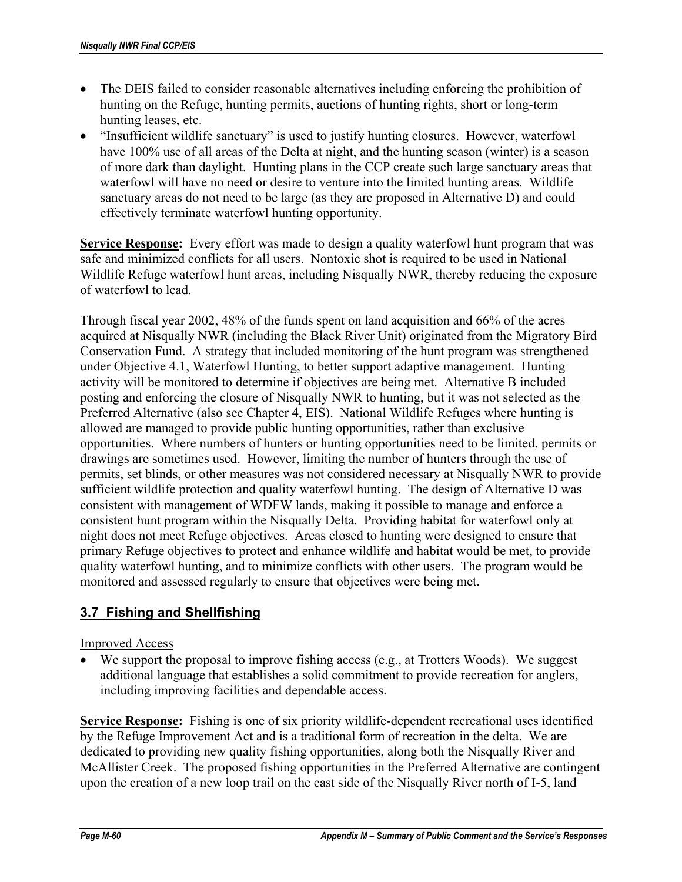- The DEIS failed to consider reasonable alternatives including enforcing the prohibition of hunting on the Refuge, hunting permits, auctions of hunting rights, short or long-term hunting leases, etc.
- "Insufficient wildlife sanctuary" is used to justify hunting closures. However, waterfowl have 100% use of all areas of the Delta at night, and the hunting season (winter) is a season of more dark than daylight. Hunting plans in the CCP create such large sanctuary areas that waterfowl will have no need or desire to venture into the limited hunting areas. Wildlife sanctuary areas do not need to be large (as they are proposed in Alternative D) and could effectively terminate waterfowl hunting opportunity.

**Service Response:** Every effort was made to design a quality waterfowl hunt program that was safe and minimized conflicts for all users. Nontoxic shot is required to be used in National Wildlife Refuge waterfowl hunt areas, including Nisqually NWR, thereby reducing the exposure of waterfowl to lead.

Through fiscal year 2002, 48% of the funds spent on land acquisition and 66% of the acres acquired at Nisqually NWR (including the Black River Unit) originated from the Migratory Bird Conservation Fund. A strategy that included monitoring of the hunt program was strengthened under Objective 4.1, Waterfowl Hunting, to better support adaptive management. Hunting activity will be monitored to determine if objectives are being met. Alternative B included posting and enforcing the closure of Nisqually NWR to hunting, but it was not selected as the Preferred Alternative (also see Chapter 4, EIS). National Wildlife Refuges where hunting is allowed are managed to provide public hunting opportunities, rather than exclusive opportunities. Where numbers of hunters or hunting opportunities need to be limited, permits or drawings are sometimes used. However, limiting the number of hunters through the use of permits, set blinds, or other measures was not considered necessary at Nisqually NWR to provide sufficient wildlife protection and quality waterfowl hunting. The design of Alternative D was consistent with management of WDFW lands, making it possible to manage and enforce a consistent hunt program within the Nisqually Delta. Providing habitat for waterfowl only at night does not meet Refuge objectives. Areas closed to hunting were designed to ensure that primary Refuge objectives to protect and enhance wildlife and habitat would be met, to provide quality waterfowl hunting, and to minimize conflicts with other users. The program would be monitored and assessed regularly to ensure that objectives were being met.

## **3.7 Fishing and Shellfishing**

### Improved Access

• We support the proposal to improve fishing access (e.g., at Trotters Woods). We suggest additional language that establishes a solid commitment to provide recreation for anglers, including improving facilities and dependable access.

**Service Response:** Fishing is one of six priority wildlife-dependent recreational uses identified by the Refuge Improvement Act and is a traditional form of recreation in the delta. We are dedicated to providing new quality fishing opportunities, along both the Nisqually River and McAllister Creek. The proposed fishing opportunities in the Preferred Alternative are contingent upon the creation of a new loop trail on the east side of the Nisqually River north of I-5, land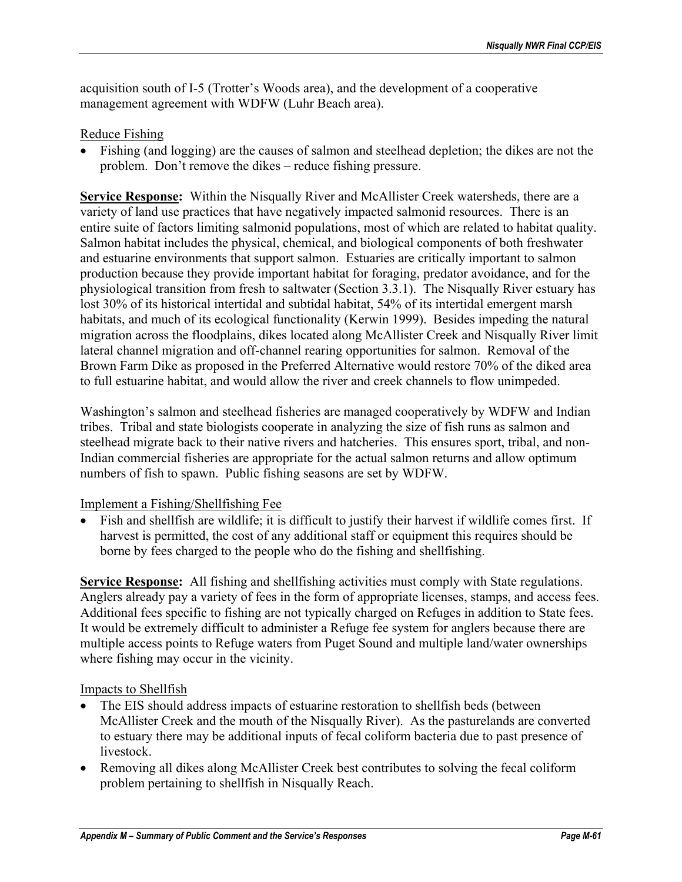acquisition south of I-5 (Trotter's Woods area), and the development of a cooperative management agreement with WDFW (Luhr Beach area).

## Reduce Fishing

• Fishing (and logging) are the causes of salmon and steelhead depletion; the dikes are not the problem. Don't remove the dikes – reduce fishing pressure.

**Service Response:** Within the Nisqually River and McAllister Creek watersheds, there are a variety of land use practices that have negatively impacted salmonid resources. There is an entire suite of factors limiting salmonid populations, most of which are related to habitat quality. Salmon habitat includes the physical, chemical, and biological components of both freshwater and estuarine environments that support salmon. Estuaries are critically important to salmon production because they provide important habitat for foraging, predator avoidance, and for the physiological transition from fresh to saltwater (Section 3.3.1). The Nisqually River estuary has lost 30% of its historical intertidal and subtidal habitat, 54% of its intertidal emergent marsh habitats, and much of its ecological functionality (Kerwin 1999). Besides impeding the natural migration across the floodplains, dikes located along McAllister Creek and Nisqually River limit lateral channel migration and off-channel rearing opportunities for salmon. Removal of the Brown Farm Dike as proposed in the Preferred Alternative would restore 70% of the diked area to full estuarine habitat, and would allow the river and creek channels to flow unimpeded.

Washington's salmon and steelhead fisheries are managed cooperatively by WDFW and Indian tribes. Tribal and state biologists cooperate in analyzing the size of fish runs as salmon and steelhead migrate back to their native rivers and hatcheries. This ensures sport, tribal, and non-Indian commercial fisheries are appropriate for the actual salmon returns and allow optimum numbers of fish to spawn. Public fishing seasons are set by WDFW.

### Implement a Fishing/Shellfishing Fee

• Fish and shellfish are wildlife; it is difficult to justify their harvest if wildlife comes first. If harvest is permitted, the cost of any additional staff or equipment this requires should be borne by fees charged to the people who do the fishing and shellfishing.

**Service Response:** All fishing and shellfishing activities must comply with State regulations. Anglers already pay a variety of fees in the form of appropriate licenses, stamps, and access fees. Additional fees specific to fishing are not typically charged on Refuges in addition to State fees. It would be extremely difficult to administer a Refuge fee system for anglers because there are multiple access points to Refuge waters from Puget Sound and multiple land/water ownerships where fishing may occur in the vicinity.

### Impacts to Shellfish

- The EIS should address impacts of estuarine restoration to shellfish beds (between McAllister Creek and the mouth of the Nisqually River). As the pasturelands are converted to estuary there may be additional inputs of fecal coliform bacteria due to past presence of livestock.
- Removing all dikes along McAllister Creek best contributes to solving the fecal coliform problem pertaining to shellfish in Nisqually Reach.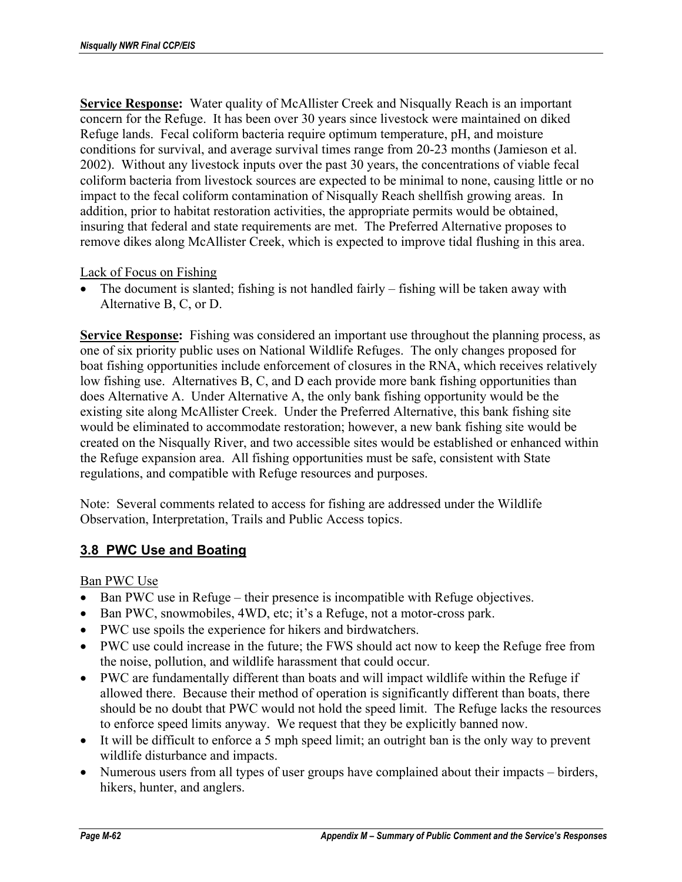**Service Response:** Water quality of McAllister Creek and Nisqually Reach is an important concern for the Refuge. It has been over 30 years since livestock were maintained on diked Refuge lands. Fecal coliform bacteria require optimum temperature, pH, and moisture conditions for survival, and average survival times range from 20-23 months (Jamieson et al. 2002). Without any livestock inputs over the past 30 years, the concentrations of viable fecal coliform bacteria from livestock sources are expected to be minimal to none, causing little or no impact to the fecal coliform contamination of Nisqually Reach shellfish growing areas. In addition, prior to habitat restoration activities, the appropriate permits would be obtained, insuring that federal and state requirements are met. The Preferred Alternative proposes to remove dikes along McAllister Creek, which is expected to improve tidal flushing in this area.

Lack of Focus on Fishing

• The document is slanted; fishing is not handled fairly – fishing will be taken away with Alternative B, C, or D.

**Service Response:** Fishing was considered an important use throughout the planning process, as one of six priority public uses on National Wildlife Refuges. The only changes proposed for boat fishing opportunities include enforcement of closures in the RNA, which receives relatively low fishing use. Alternatives B, C, and D each provide more bank fishing opportunities than does Alternative A. Under Alternative A, the only bank fishing opportunity would be the existing site along McAllister Creek. Under the Preferred Alternative, this bank fishing site would be eliminated to accommodate restoration; however, a new bank fishing site would be created on the Nisqually River, and two accessible sites would be established or enhanced within the Refuge expansion area. All fishing opportunities must be safe, consistent with State regulations, and compatible with Refuge resources and purposes.

Note: Several comments related to access for fishing are addressed under the Wildlife Observation, Interpretation, Trails and Public Access topics.

## **3.8 PWC Use and Boating**

Ban PWC Use

- Ban PWC use in Refuge their presence is incompatible with Refuge objectives.
- Ban PWC, snowmobiles, 4WD, etc; it's a Refuge, not a motor-cross park.
- PWC use spoils the experience for hikers and birdwatchers.
- PWC use could increase in the future; the FWS should act now to keep the Refuge free from the noise, pollution, and wildlife harassment that could occur.
- PWC are fundamentally different than boats and will impact wildlife within the Refuge if allowed there. Because their method of operation is significantly different than boats, there should be no doubt that PWC would not hold the speed limit. The Refuge lacks the resources to enforce speed limits anyway. We request that they be explicitly banned now.
- It will be difficult to enforce a 5 mph speed limit; an outright ban is the only way to prevent wildlife disturbance and impacts.
- Numerous users from all types of user groups have complained about their impacts birders, hikers, hunter, and anglers.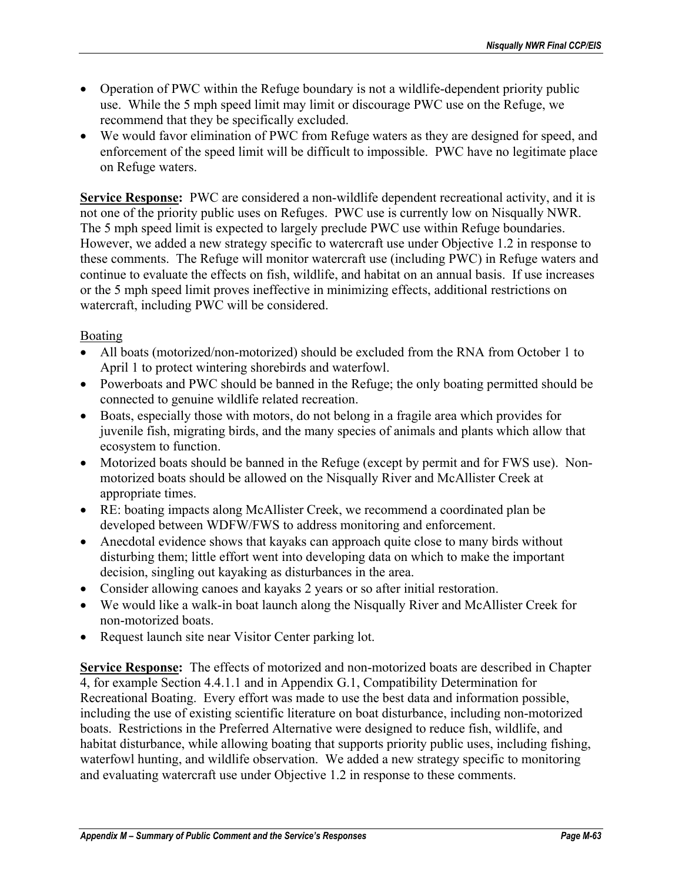- Operation of PWC within the Refuge boundary is not a wildlife-dependent priority public use. While the 5 mph speed limit may limit or discourage PWC use on the Refuge, we recommend that they be specifically excluded.
- We would favor elimination of PWC from Refuge waters as they are designed for speed, and enforcement of the speed limit will be difficult to impossible. PWC have no legitimate place on Refuge waters.

**Service Response:** PWC are considered a non-wildlife dependent recreational activity, and it is not one of the priority public uses on Refuges. PWC use is currently low on Nisqually NWR. The 5 mph speed limit is expected to largely preclude PWC use within Refuge boundaries. However, we added a new strategy specific to watercraft use under Objective 1.2 in response to these comments. The Refuge will monitor watercraft use (including PWC) in Refuge waters and continue to evaluate the effects on fish, wildlife, and habitat on an annual basis. If use increases or the 5 mph speed limit proves ineffective in minimizing effects, additional restrictions on watercraft, including PWC will be considered.

## Boating

- All boats (motorized/non-motorized) should be excluded from the RNA from October 1 to April 1 to protect wintering shorebirds and waterfowl.
- Powerboats and PWC should be banned in the Refuge; the only boating permitted should be connected to genuine wildlife related recreation.
- Boats, especially those with motors, do not belong in a fragile area which provides for juvenile fish, migrating birds, and the many species of animals and plants which allow that ecosystem to function.
- Motorized boats should be banned in the Refuge (except by permit and for FWS use). Nonmotorized boats should be allowed on the Nisqually River and McAllister Creek at appropriate times.
- RE: boating impacts along McAllister Creek, we recommend a coordinated plan be developed between WDFW/FWS to address monitoring and enforcement.
- Anecdotal evidence shows that kayaks can approach quite close to many birds without disturbing them; little effort went into developing data on which to make the important decision, singling out kayaking as disturbances in the area.
- Consider allowing canoes and kayaks 2 years or so after initial restoration.
- We would like a walk-in boat launch along the Nisqually River and McAllister Creek for non-motorized boats.
- Request launch site near Visitor Center parking lot.

**Service Response:** The effects of motorized and non-motorized boats are described in Chapter 4, for example Section 4.4.1.1 and in Appendix G.1, Compatibility Determination for Recreational Boating. Every effort was made to use the best data and information possible, including the use of existing scientific literature on boat disturbance, including non-motorized boats. Restrictions in the Preferred Alternative were designed to reduce fish, wildlife, and habitat disturbance, while allowing boating that supports priority public uses, including fishing, waterfowl hunting, and wildlife observation. We added a new strategy specific to monitoring and evaluating watercraft use under Objective 1.2 in response to these comments.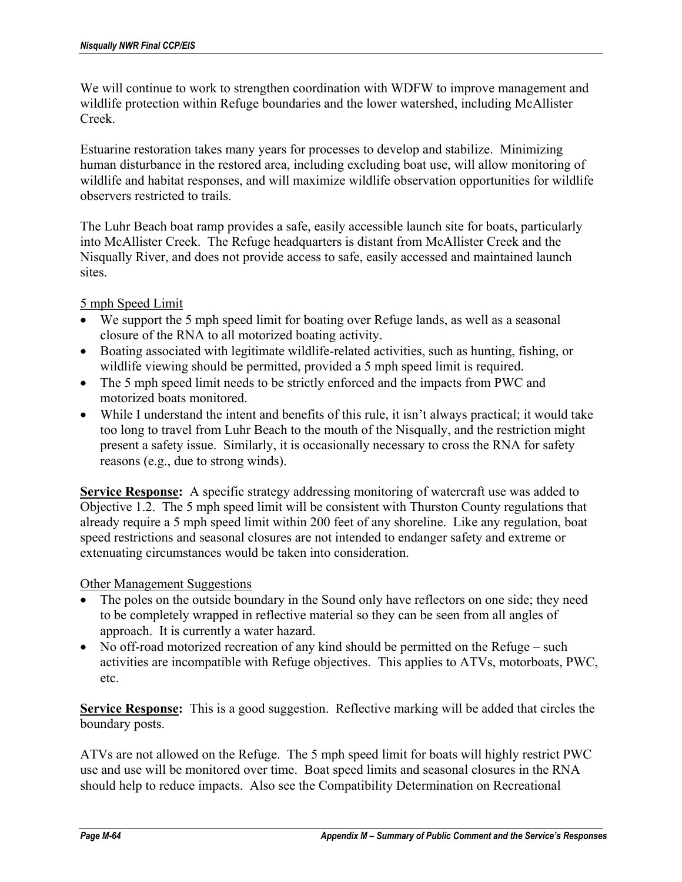We will continue to work to strengthen coordination with WDFW to improve management and wildlife protection within Refuge boundaries and the lower watershed, including McAllister Creek.

Estuarine restoration takes many years for processes to develop and stabilize. Minimizing human disturbance in the restored area, including excluding boat use, will allow monitoring of wildlife and habitat responses, and will maximize wildlife observation opportunities for wildlife observers restricted to trails.

The Luhr Beach boat ramp provides a safe, easily accessible launch site for boats, particularly into McAllister Creek. The Refuge headquarters is distant from McAllister Creek and the Nisqually River, and does not provide access to safe, easily accessed and maintained launch sites.

5 mph Speed Limit

- We support the 5 mph speed limit for boating over Refuge lands, as well as a seasonal closure of the RNA to all motorized boating activity.
- Boating associated with legitimate wildlife-related activities, such as hunting, fishing, or wildlife viewing should be permitted, provided a 5 mph speed limit is required.
- The 5 mph speed limit needs to be strictly enforced and the impacts from PWC and motorized boats monitored.
- While I understand the intent and benefits of this rule, it isn't always practical; it would take too long to travel from Luhr Beach to the mouth of the Nisqually, and the restriction might present a safety issue. Similarly, it is occasionally necessary to cross the RNA for safety reasons (e.g., due to strong winds).

**Service Response:** A specific strategy addressing monitoring of watercraft use was added to Objective 1.2. The 5 mph speed limit will be consistent with Thurston County regulations that already require a 5 mph speed limit within 200 feet of any shoreline. Like any regulation, boat speed restrictions and seasonal closures are not intended to endanger safety and extreme or extenuating circumstances would be taken into consideration.

### Other Management Suggestions

- The poles on the outside boundary in the Sound only have reflectors on one side; they need to be completely wrapped in reflective material so they can be seen from all angles of approach. It is currently a water hazard.
- No off-road motorized recreation of any kind should be permitted on the Refuge such activities are incompatible with Refuge objectives. This applies to ATVs, motorboats, PWC, etc.

**Service Response:** This is a good suggestion. Reflective marking will be added that circles the boundary posts.

ATVs are not allowed on the Refuge. The 5 mph speed limit for boats will highly restrict PWC use and use will be monitored over time. Boat speed limits and seasonal closures in the RNA should help to reduce impacts. Also see the Compatibility Determination on Recreational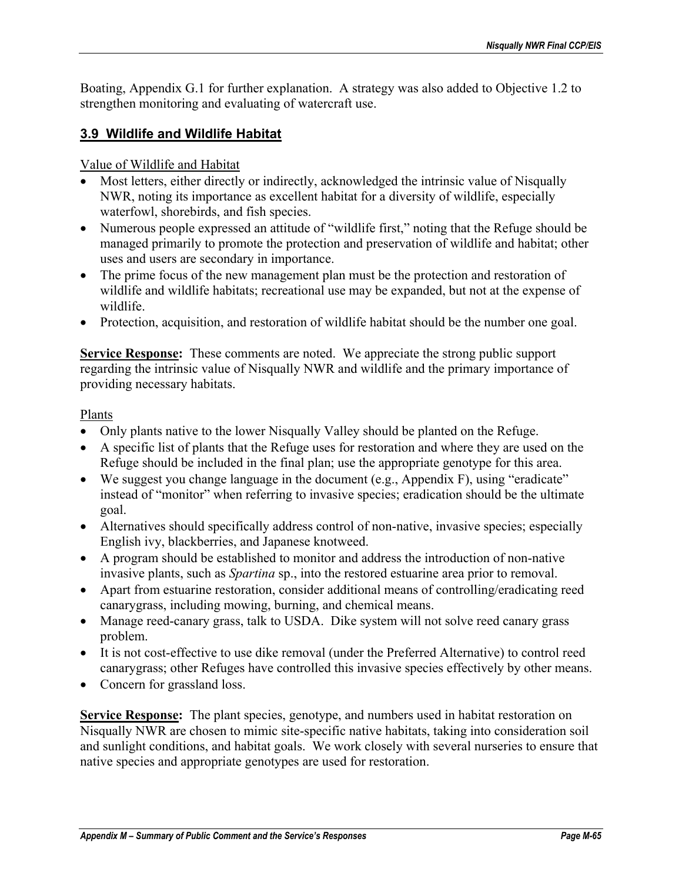Boating, Appendix G.1 for further explanation. A strategy was also added to Objective 1.2 to strengthen monitoring and evaluating of watercraft use.

# **3.9 Wildlife and Wildlife Habitat**

Value of Wildlife and Habitat

- Most letters, either directly or indirectly, acknowledged the intrinsic value of Nisqually NWR, noting its importance as excellent habitat for a diversity of wildlife, especially waterfowl, shorebirds, and fish species.
- Numerous people expressed an attitude of "wildlife first," noting that the Refuge should be managed primarily to promote the protection and preservation of wildlife and habitat; other uses and users are secondary in importance.
- The prime focus of the new management plan must be the protection and restoration of wildlife and wildlife habitats; recreational use may be expanded, but not at the expense of wildlife.
- Protection, acquisition, and restoration of wildlife habitat should be the number one goal.

**Service Response:** These comments are noted. We appreciate the strong public support regarding the intrinsic value of Nisqually NWR and wildlife and the primary importance of providing necessary habitats.

## Plants

- Only plants native to the lower Nisqually Valley should be planted on the Refuge.
- A specific list of plants that the Refuge uses for restoration and where they are used on the Refuge should be included in the final plan; use the appropriate genotype for this area.
- We suggest you change language in the document (e.g., Appendix F), using "eradicate" instead of "monitor" when referring to invasive species; eradication should be the ultimate goal.
- Alternatives should specifically address control of non-native, invasive species; especially English ivy, blackberries, and Japanese knotweed.
- A program should be established to monitor and address the introduction of non-native invasive plants, such as *Spartina* sp., into the restored estuarine area prior to removal.
- Apart from estuarine restoration, consider additional means of controlling/eradicating reed canarygrass, including mowing, burning, and chemical means.
- Manage reed-canary grass, talk to USDA. Dike system will not solve reed canary grass problem.
- It is not cost-effective to use dike removal (under the Preferred Alternative) to control reed canarygrass; other Refuges have controlled this invasive species effectively by other means.
- Concern for grassland loss.

**Service Response:** The plant species, genotype, and numbers used in habitat restoration on Nisqually NWR are chosen to mimic site-specific native habitats, taking into consideration soil and sunlight conditions, and habitat goals. We work closely with several nurseries to ensure that native species and appropriate genotypes are used for restoration.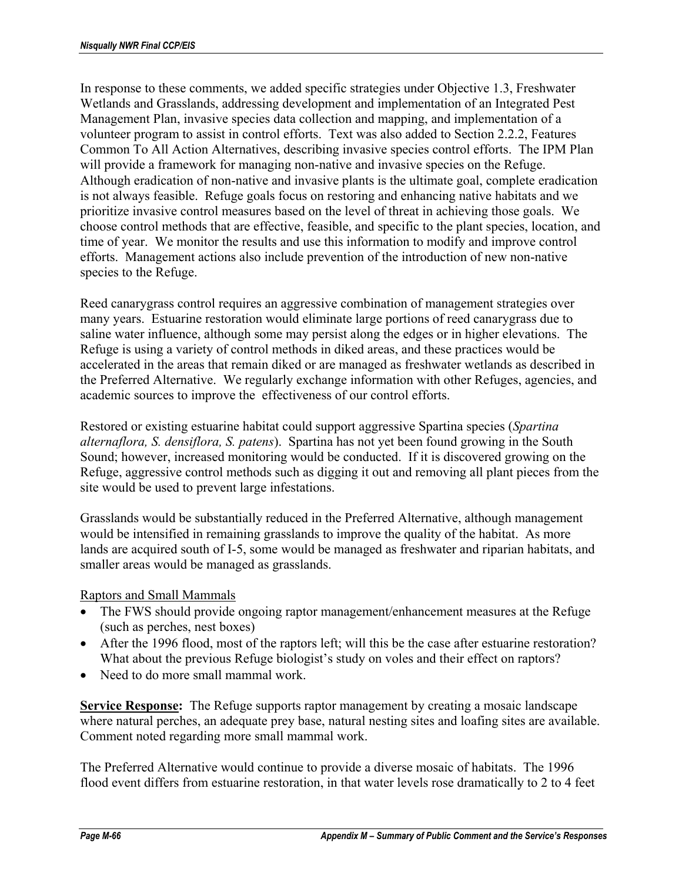In response to these comments, we added specific strategies under Objective 1.3, Freshwater Wetlands and Grasslands, addressing development and implementation of an Integrated Pest Management Plan, invasive species data collection and mapping, and implementation of a volunteer program to assist in control efforts. Text was also added to Section 2.2.2, Features Common To All Action Alternatives, describing invasive species control efforts. The IPM Plan will provide a framework for managing non-native and invasive species on the Refuge. Although eradication of non-native and invasive plants is the ultimate goal, complete eradication is not always feasible. Refuge goals focus on restoring and enhancing native habitats and we prioritize invasive control measures based on the level of threat in achieving those goals. We choose control methods that are effective, feasible, and specific to the plant species, location, and time of year. We monitor the results and use this information to modify and improve control efforts. Management actions also include prevention of the introduction of new non-native species to the Refuge.

Reed canarygrass control requires an aggressive combination of management strategies over many years. Estuarine restoration would eliminate large portions of reed canarygrass due to saline water influence, although some may persist along the edges or in higher elevations. The Refuge is using a variety of control methods in diked areas, and these practices would be accelerated in the areas that remain diked or are managed as freshwater wetlands as described in the Preferred Alternative. We regularly exchange information with other Refuges, agencies, and academic sources to improve the effectiveness of our control efforts.

Restored or existing estuarine habitat could support aggressive Spartina species (*Spartina alternaflora, S. densiflora, S. patens*). Spartina has not yet been found growing in the South Sound; however, increased monitoring would be conducted. If it is discovered growing on the Refuge, aggressive control methods such as digging it out and removing all plant pieces from the site would be used to prevent large infestations.

Grasslands would be substantially reduced in the Preferred Alternative, although management would be intensified in remaining grasslands to improve the quality of the habitat. As more lands are acquired south of I-5, some would be managed as freshwater and riparian habitats, and smaller areas would be managed as grasslands.

### Raptors and Small Mammals

- The FWS should provide ongoing raptor management/enhancement measures at the Refuge (such as perches, nest boxes)
- After the 1996 flood, most of the raptors left; will this be the case after estuarine restoration? What about the previous Refuge biologist's study on voles and their effect on raptors?
- Need to do more small mammal work

**Service Response:** The Refuge supports raptor management by creating a mosaic landscape where natural perches, an adequate prey base, natural nesting sites and loafing sites are available. Comment noted regarding more small mammal work.

The Preferred Alternative would continue to provide a diverse mosaic of habitats. The 1996 flood event differs from estuarine restoration, in that water levels rose dramatically to 2 to 4 feet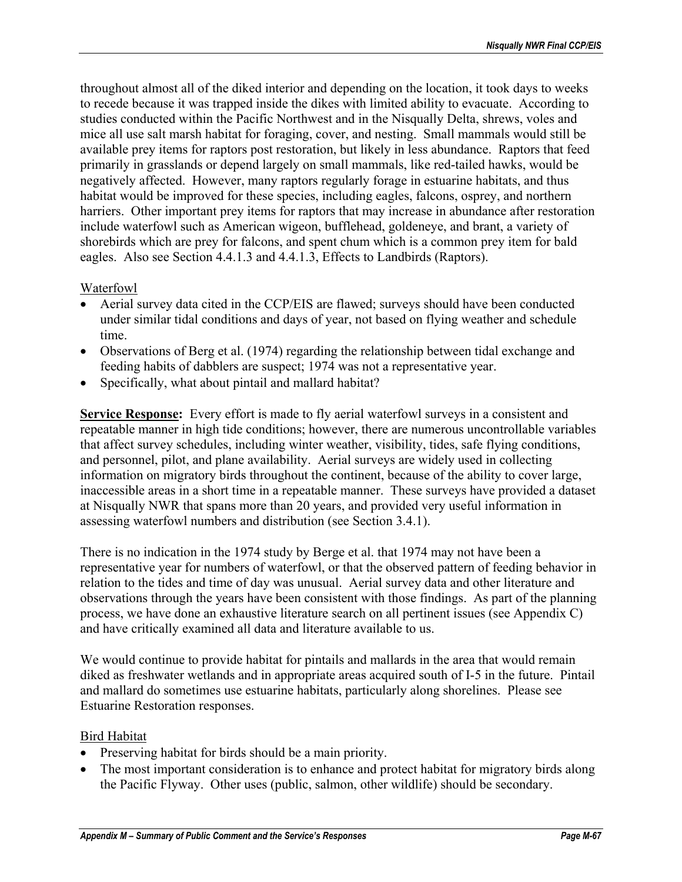throughout almost all of the diked interior and depending on the location, it took days to weeks to recede because it was trapped inside the dikes with limited ability to evacuate. According to studies conducted within the Pacific Northwest and in the Nisqually Delta, shrews, voles and mice all use salt marsh habitat for foraging, cover, and nesting. Small mammals would still be available prey items for raptors post restoration, but likely in less abundance. Raptors that feed primarily in grasslands or depend largely on small mammals, like red-tailed hawks, would be negatively affected. However, many raptors regularly forage in estuarine habitats, and thus habitat would be improved for these species, including eagles, falcons, osprey, and northern harriers. Other important prey items for raptors that may increase in abundance after restoration include waterfowl such as American wigeon, bufflehead, goldeneye, and brant, a variety of shorebirds which are prey for falcons, and spent chum which is a common prey item for bald eagles. Also see Section 4.4.1.3 and 4.4.1.3, Effects to Landbirds (Raptors).

## Waterfowl

- Aerial survey data cited in the CCP/EIS are flawed; surveys should have been conducted under similar tidal conditions and days of year, not based on flying weather and schedule time.
- Observations of Berg et al. (1974) regarding the relationship between tidal exchange and feeding habits of dabblers are suspect; 1974 was not a representative year.
- Specifically, what about pintail and mallard habitat?

**Service Response:** Every effort is made to fly aerial waterfowl surveys in a consistent and repeatable manner in high tide conditions; however, there are numerous uncontrollable variables that affect survey schedules, including winter weather, visibility, tides, safe flying conditions, and personnel, pilot, and plane availability. Aerial surveys are widely used in collecting information on migratory birds throughout the continent, because of the ability to cover large, inaccessible areas in a short time in a repeatable manner. These surveys have provided a dataset at Nisqually NWR that spans more than 20 years, and provided very useful information in assessing waterfowl numbers and distribution (see Section 3.4.1).

There is no indication in the 1974 study by Berge et al. that 1974 may not have been a representative year for numbers of waterfowl, or that the observed pattern of feeding behavior in relation to the tides and time of day was unusual. Aerial survey data and other literature and observations through the years have been consistent with those findings. As part of the planning process, we have done an exhaustive literature search on all pertinent issues (see Appendix C) and have critically examined all data and literature available to us.

We would continue to provide habitat for pintails and mallards in the area that would remain diked as freshwater wetlands and in appropriate areas acquired south of I-5 in the future. Pintail and mallard do sometimes use estuarine habitats, particularly along shorelines. Please see Estuarine Restoration responses.

### Bird Habitat

- Preserving habitat for birds should be a main priority.
- The most important consideration is to enhance and protect habitat for migratory birds along the Pacific Flyway. Other uses (public, salmon, other wildlife) should be secondary.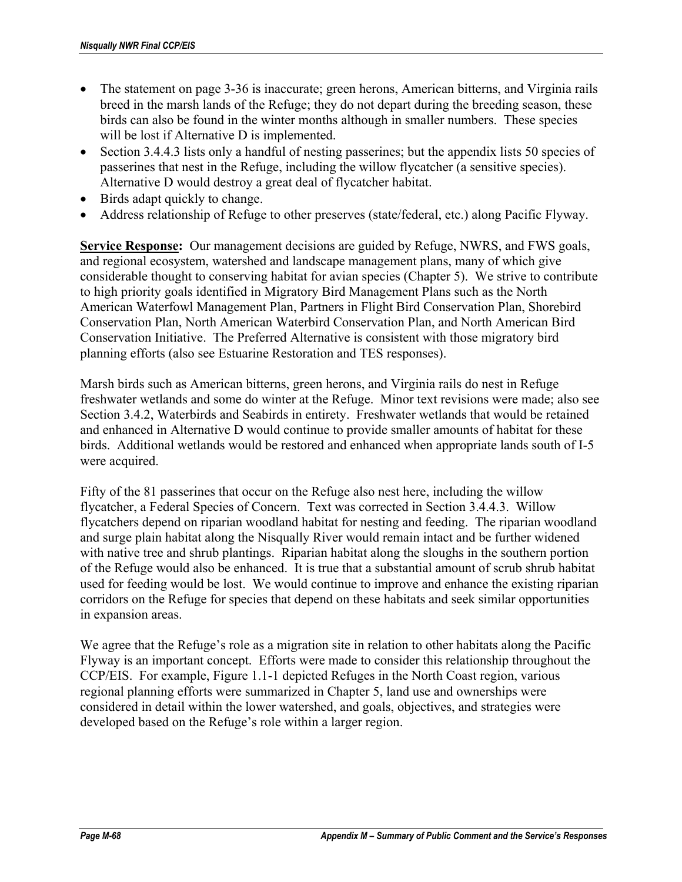- The statement on page 3-36 is inaccurate; green herons, American bitterns, and Virginia rails breed in the marsh lands of the Refuge; they do not depart during the breeding season, these birds can also be found in the winter months although in smaller numbers. These species will be lost if Alternative D is implemented.
- Section 3.4.4.3 lists only a handful of nesting passerines; but the appendix lists 50 species of passerines that nest in the Refuge, including the willow flycatcher (a sensitive species). Alternative D would destroy a great deal of flycatcher habitat.
- Birds adapt quickly to change.
- Address relationship of Refuge to other preserves (state/federal, etc.) along Pacific Flyway.

**Service Response:** Our management decisions are guided by Refuge, NWRS, and FWS goals, and regional ecosystem, watershed and landscape management plans, many of which give considerable thought to conserving habitat for avian species (Chapter 5). We strive to contribute to high priority goals identified in Migratory Bird Management Plans such as the North American Waterfowl Management Plan, Partners in Flight Bird Conservation Plan, Shorebird Conservation Plan, North American Waterbird Conservation Plan, and North American Bird Conservation Initiative. The Preferred Alternative is consistent with those migratory bird planning efforts (also see Estuarine Restoration and TES responses).

Marsh birds such as American bitterns, green herons, and Virginia rails do nest in Refuge freshwater wetlands and some do winter at the Refuge. Minor text revisions were made; also see Section 3.4.2, Waterbirds and Seabirds in entirety. Freshwater wetlands that would be retained and enhanced in Alternative D would continue to provide smaller amounts of habitat for these birds. Additional wetlands would be restored and enhanced when appropriate lands south of I-5 were acquired.

Fifty of the 81 passerines that occur on the Refuge also nest here, including the willow flycatcher, a Federal Species of Concern. Text was corrected in Section 3.4.4.3. Willow flycatchers depend on riparian woodland habitat for nesting and feeding. The riparian woodland and surge plain habitat along the Nisqually River would remain intact and be further widened with native tree and shrub plantings. Riparian habitat along the sloughs in the southern portion of the Refuge would also be enhanced. It is true that a substantial amount of scrub shrub habitat used for feeding would be lost. We would continue to improve and enhance the existing riparian corridors on the Refuge for species that depend on these habitats and seek similar opportunities in expansion areas.

We agree that the Refuge's role as a migration site in relation to other habitats along the Pacific Flyway is an important concept. Efforts were made to consider this relationship throughout the CCP/EIS. For example, Figure 1.1-1 depicted Refuges in the North Coast region, various regional planning efforts were summarized in Chapter 5, land use and ownerships were considered in detail within the lower watershed, and goals, objectives, and strategies were developed based on the Refuge's role within a larger region.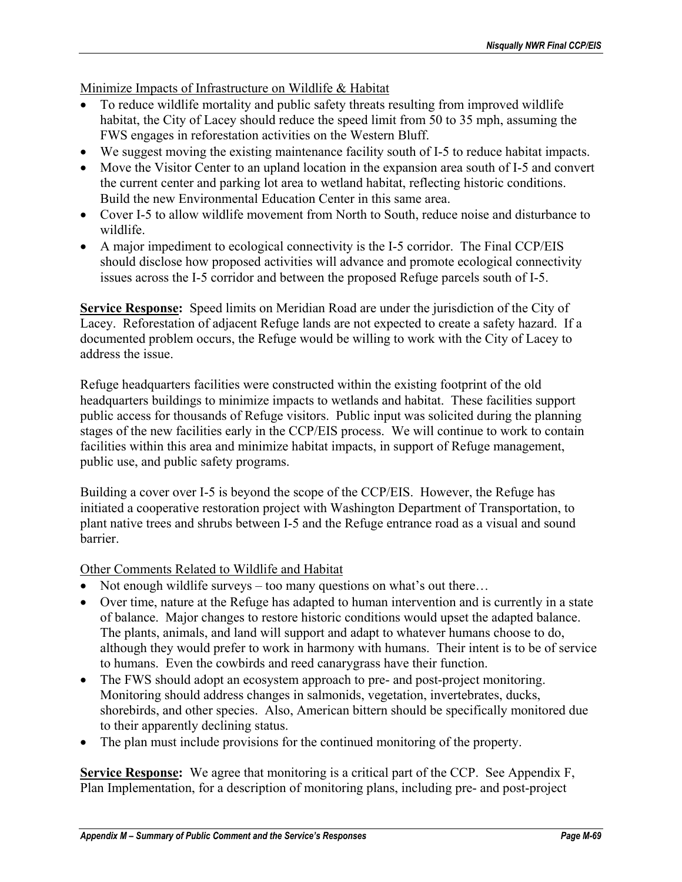Minimize Impacts of Infrastructure on Wildlife & Habitat

- To reduce wildlife mortality and public safety threats resulting from improved wildlife habitat, the City of Lacey should reduce the speed limit from 50 to 35 mph, assuming the FWS engages in reforestation activities on the Western Bluff.
- We suggest moving the existing maintenance facility south of I-5 to reduce habitat impacts.
- Move the Visitor Center to an upland location in the expansion area south of I-5 and convert the current center and parking lot area to wetland habitat, reflecting historic conditions. Build the new Environmental Education Center in this same area.
- Cover I-5 to allow wildlife movement from North to South, reduce noise and disturbance to wildlife.
- A major impediment to ecological connectivity is the I-5 corridor. The Final CCP/EIS should disclose how proposed activities will advance and promote ecological connectivity issues across the I-5 corridor and between the proposed Refuge parcels south of I-5.

**Service Response:** Speed limits on Meridian Road are under the jurisdiction of the City of Lacey. Reforestation of adjacent Refuge lands are not expected to create a safety hazard. If a documented problem occurs, the Refuge would be willing to work with the City of Lacey to address the issue.

Refuge headquarters facilities were constructed within the existing footprint of the old headquarters buildings to minimize impacts to wetlands and habitat. These facilities support public access for thousands of Refuge visitors. Public input was solicited during the planning stages of the new facilities early in the CCP/EIS process. We will continue to work to contain facilities within this area and minimize habitat impacts, in support of Refuge management, public use, and public safety programs.

Building a cover over I-5 is beyond the scope of the CCP/EIS. However, the Refuge has initiated a cooperative restoration project with Washington Department of Transportation, to plant native trees and shrubs between I-5 and the Refuge entrance road as a visual and sound barrier.

Other Comments Related to Wildlife and Habitat

- Not enough wildlife surveys too many questions on what's out there...
- Over time, nature at the Refuge has adapted to human intervention and is currently in a state of balance. Major changes to restore historic conditions would upset the adapted balance. The plants, animals, and land will support and adapt to whatever humans choose to do, although they would prefer to work in harmony with humans. Their intent is to be of service to humans. Even the cowbirds and reed canarygrass have their function.
- The FWS should adopt an ecosystem approach to pre- and post-project monitoring. Monitoring should address changes in salmonids, vegetation, invertebrates, ducks, shorebirds, and other species. Also, American bittern should be specifically monitored due to their apparently declining status.
- The plan must include provisions for the continued monitoring of the property.

**Service Response:** We agree that monitoring is a critical part of the CCP. See Appendix F, Plan Implementation, for a description of monitoring plans, including pre- and post-project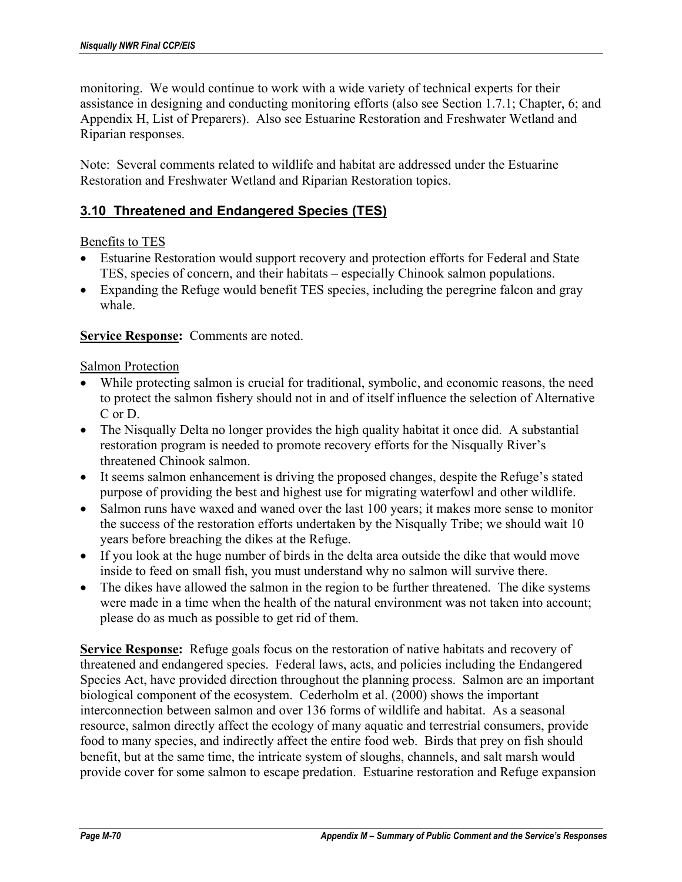monitoring. We would continue to work with a wide variety of technical experts for their assistance in designing and conducting monitoring efforts (also see Section 1.7.1; Chapter, 6; and Appendix H, List of Preparers). Also see Estuarine Restoration and Freshwater Wetland and Riparian responses.

Note: Several comments related to wildlife and habitat are addressed under the Estuarine Restoration and Freshwater Wetland and Riparian Restoration topics.

## **3.10 Threatened and Endangered Species (TES)**

### Benefits to TES

- Estuarine Restoration would support recovery and protection efforts for Federal and State TES, species of concern, and their habitats – especially Chinook salmon populations.
- Expanding the Refuge would benefit TES species, including the peregrine falcon and gray whale.

### **Service Response:** Comments are noted.

### Salmon Protection

- While protecting salmon is crucial for traditional, symbolic, and economic reasons, the need to protect the salmon fishery should not in and of itself influence the selection of Alternative C or D.
- The Nisqually Delta no longer provides the high quality habitat it once did. A substantial restoration program is needed to promote recovery efforts for the Nisqually River's threatened Chinook salmon.
- It seems salmon enhancement is driving the proposed changes, despite the Refuge's stated purpose of providing the best and highest use for migrating waterfowl and other wildlife.
- Salmon runs have waxed and waned over the last 100 years; it makes more sense to monitor the success of the restoration efforts undertaken by the Nisqually Tribe; we should wait 10 years before breaching the dikes at the Refuge.
- If you look at the huge number of birds in the delta area outside the dike that would move inside to feed on small fish, you must understand why no salmon will survive there.
- The dikes have allowed the salmon in the region to be further threatened. The dike systems were made in a time when the health of the natural environment was not taken into account; please do as much as possible to get rid of them.

**Service Response:** Refuge goals focus on the restoration of native habitats and recovery of threatened and endangered species. Federal laws, acts, and policies including the Endangered Species Act, have provided direction throughout the planning process. Salmon are an important biological component of the ecosystem. Cederholm et al. (2000) shows the important interconnection between salmon and over 136 forms of wildlife and habitat. As a seasonal resource, salmon directly affect the ecology of many aquatic and terrestrial consumers, provide food to many species, and indirectly affect the entire food web. Birds that prey on fish should benefit, but at the same time, the intricate system of sloughs, channels, and salt marsh would provide cover for some salmon to escape predation. Estuarine restoration and Refuge expansion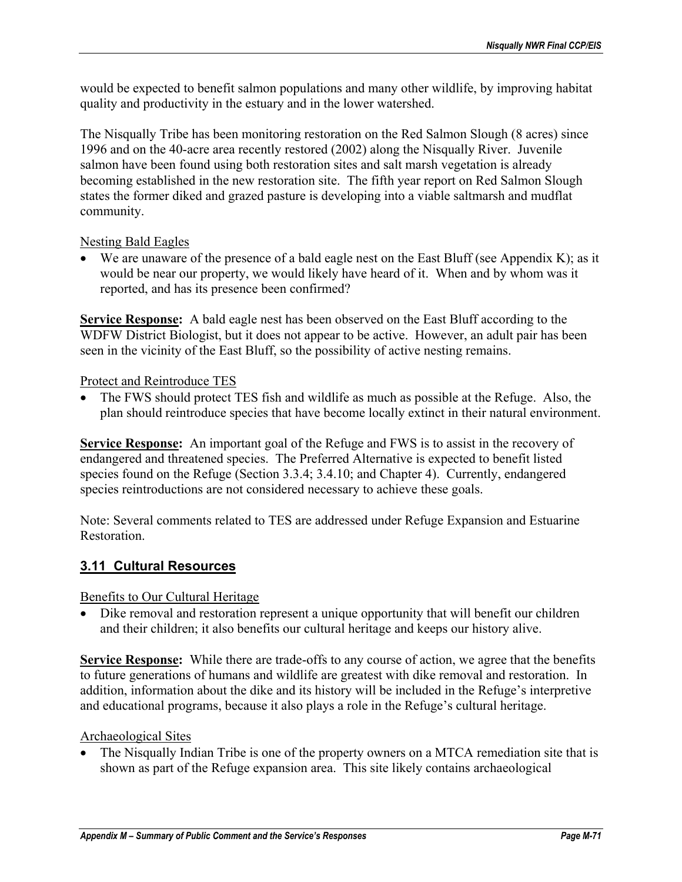would be expected to benefit salmon populations and many other wildlife, by improving habitat quality and productivity in the estuary and in the lower watershed.

The Nisqually Tribe has been monitoring restoration on the Red Salmon Slough (8 acres) since 1996 and on the 40-acre area recently restored (2002) along the Nisqually River. Juvenile salmon have been found using both restoration sites and salt marsh vegetation is already becoming established in the new restoration site. The fifth year report on Red Salmon Slough states the former diked and grazed pasture is developing into a viable saltmarsh and mudflat community.

Nesting Bald Eagles

• We are unaware of the presence of a bald eagle nest on the East Bluff (see Appendix K); as it would be near our property, we would likely have heard of it. When and by whom was it reported, and has its presence been confirmed?

**Service Response:** A bald eagle nest has been observed on the East Bluff according to the WDFW District Biologist, but it does not appear to be active. However, an adult pair has been seen in the vicinity of the East Bluff, so the possibility of active nesting remains.

Protect and Reintroduce TES

• The FWS should protect TES fish and wildlife as much as possible at the Refuge. Also, the plan should reintroduce species that have become locally extinct in their natural environment.

**Service Response:** An important goal of the Refuge and FWS is to assist in the recovery of endangered and threatened species. The Preferred Alternative is expected to benefit listed species found on the Refuge (Section 3.3.4; 3.4.10; and Chapter 4). Currently, endangered species reintroductions are not considered necessary to achieve these goals.

Note: Several comments related to TES are addressed under Refuge Expansion and Estuarine **Restoration** 

# **3.11 Cultural Resources**

Benefits to Our Cultural Heritage

• Dike removal and restoration represent a unique opportunity that will benefit our children and their children; it also benefits our cultural heritage and keeps our history alive.

**Service Response:** While there are trade-offs to any course of action, we agree that the benefits to future generations of humans and wildlife are greatest with dike removal and restoration. In addition, information about the dike and its history will be included in the Refuge's interpretive and educational programs, because it also plays a role in the Refuge's cultural heritage.

## Archaeological Sites

• The Nisqually Indian Tribe is one of the property owners on a MTCA remediation site that is shown as part of the Refuge expansion area. This site likely contains archaeological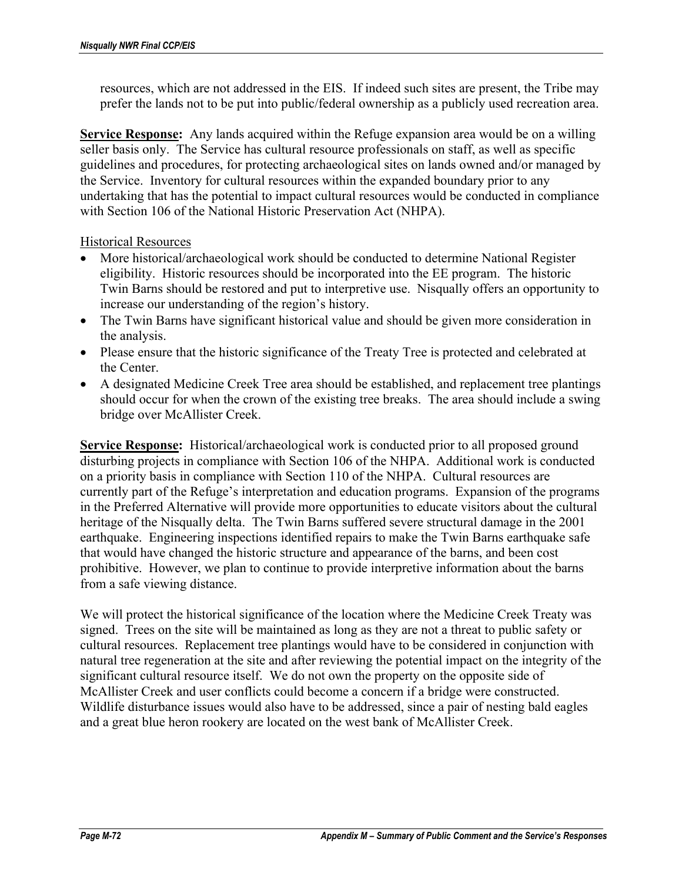resources, which are not addressed in the EIS. If indeed such sites are present, the Tribe may prefer the lands not to be put into public/federal ownership as a publicly used recreation area.

**Service Response:** Any lands acquired within the Refuge expansion area would be on a willing seller basis only. The Service has cultural resource professionals on staff, as well as specific guidelines and procedures, for protecting archaeological sites on lands owned and/or managed by the Service. Inventory for cultural resources within the expanded boundary prior to any undertaking that has the potential to impact cultural resources would be conducted in compliance with Section 106 of the National Historic Preservation Act (NHPA).

Historical Resources

- More historical/archaeological work should be conducted to determine National Register eligibility. Historic resources should be incorporated into the EE program. The historic Twin Barns should be restored and put to interpretive use. Nisqually offers an opportunity to increase our understanding of the region's history.
- The Twin Barns have significant historical value and should be given more consideration in the analysis.
- Please ensure that the historic significance of the Treaty Tree is protected and celebrated at the Center.
- A designated Medicine Creek Tree area should be established, and replacement tree plantings should occur for when the crown of the existing tree breaks. The area should include a swing bridge over McAllister Creek.

**Service Response:** Historical/archaeological work is conducted prior to all proposed ground disturbing projects in compliance with Section 106 of the NHPA. Additional work is conducted on a priority basis in compliance with Section 110 of the NHPA. Cultural resources are currently part of the Refuge's interpretation and education programs. Expansion of the programs in the Preferred Alternative will provide more opportunities to educate visitors about the cultural heritage of the Nisqually delta. The Twin Barns suffered severe structural damage in the 2001 earthquake. Engineering inspections identified repairs to make the Twin Barns earthquake safe that would have changed the historic structure and appearance of the barns, and been cost prohibitive. However, we plan to continue to provide interpretive information about the barns from a safe viewing distance.

We will protect the historical significance of the location where the Medicine Creek Treaty was signed. Trees on the site will be maintained as long as they are not a threat to public safety or cultural resources. Replacement tree plantings would have to be considered in conjunction with natural tree regeneration at the site and after reviewing the potential impact on the integrity of the significant cultural resource itself. We do not own the property on the opposite side of McAllister Creek and user conflicts could become a concern if a bridge were constructed. Wildlife disturbance issues would also have to be addressed, since a pair of nesting bald eagles and a great blue heron rookery are located on the west bank of McAllister Creek.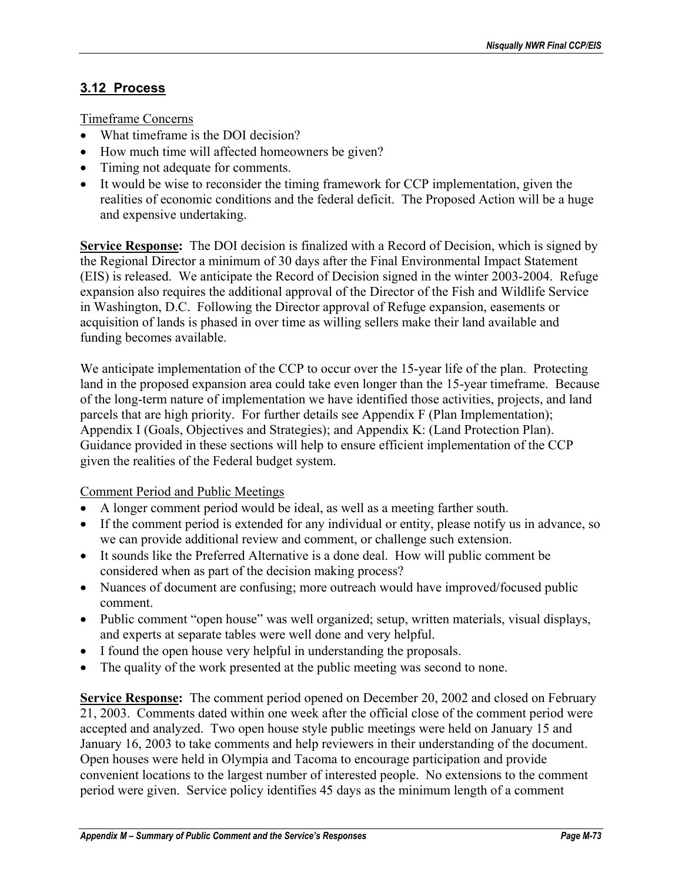# **3.12 Process**

Timeframe Concerns

- What timeframe is the DOI decision?
- How much time will affected homeowners be given?
- Timing not adequate for comments.
- It would be wise to reconsider the timing framework for CCP implementation, given the realities of economic conditions and the federal deficit. The Proposed Action will be a huge and expensive undertaking.

**Service Response:** The DOI decision is finalized with a Record of Decision, which is signed by the Regional Director a minimum of 30 days after the Final Environmental Impact Statement (EIS) is released. We anticipate the Record of Decision signed in the winter 2003-2004. Refuge expansion also requires the additional approval of the Director of the Fish and Wildlife Service in Washington, D.C. Following the Director approval of Refuge expansion, easements or acquisition of lands is phased in over time as willing sellers make their land available and funding becomes available.

We anticipate implementation of the CCP to occur over the 15-year life of the plan. Protecting land in the proposed expansion area could take even longer than the 15-year timeframe. Because of the long-term nature of implementation we have identified those activities, projects, and land parcels that are high priority. For further details see Appendix F (Plan Implementation); Appendix I (Goals, Objectives and Strategies); and Appendix K: (Land Protection Plan). Guidance provided in these sections will help to ensure efficient implementation of the CCP given the realities of the Federal budget system.

Comment Period and Public Meetings

- A longer comment period would be ideal, as well as a meeting farther south.
- If the comment period is extended for any individual or entity, please notify us in advance, so we can provide additional review and comment, or challenge such extension.
- It sounds like the Preferred Alternative is a done deal. How will public comment be considered when as part of the decision making process?
- Nuances of document are confusing; more outreach would have improved/focused public comment.
- Public comment "open house" was well organized; setup, written materials, visual displays, and experts at separate tables were well done and very helpful.
- I found the open house very helpful in understanding the proposals.
- The quality of the work presented at the public meeting was second to none.

**Service Response:** The comment period opened on December 20, 2002 and closed on February 21, 2003. Comments dated within one week after the official close of the comment period were accepted and analyzed. Two open house style public meetings were held on January 15 and January 16, 2003 to take comments and help reviewers in their understanding of the document. Open houses were held in Olympia and Tacoma to encourage participation and provide convenient locations to the largest number of interested people. No extensions to the comment period were given. Service policy identifies 45 days as the minimum length of a comment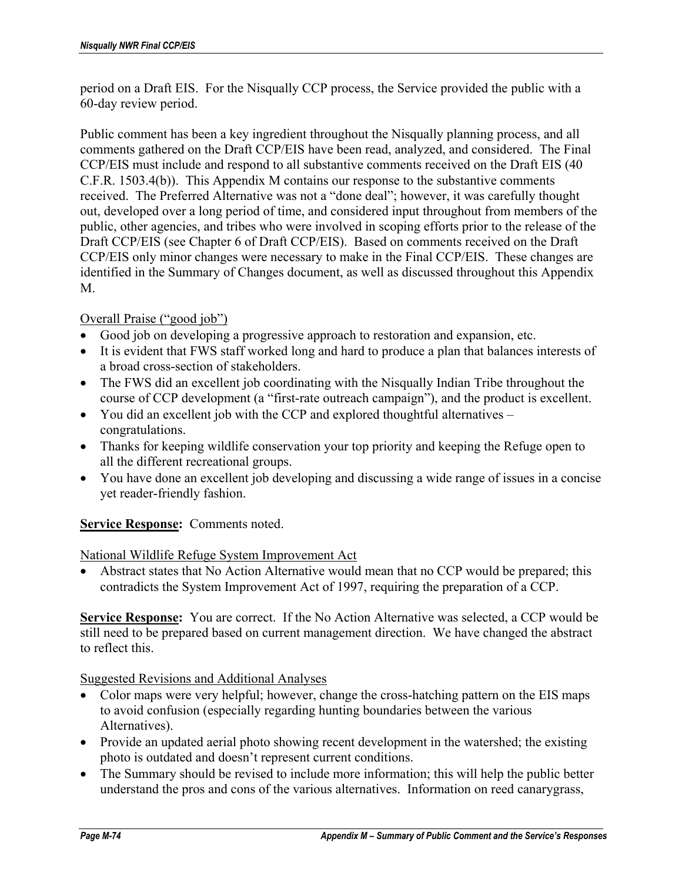period on a Draft EIS. For the Nisqually CCP process, the Service provided the public with a 60-day review period.

Public comment has been a key ingredient throughout the Nisqually planning process, and all comments gathered on the Draft CCP/EIS have been read, analyzed, and considered. The Final CCP/EIS must include and respond to all substantive comments received on the Draft EIS (40 C.F.R. 1503.4(b)). This Appendix M contains our response to the substantive comments received. The Preferred Alternative was not a "done deal"; however, it was carefully thought out, developed over a long period of time, and considered input throughout from members of the public, other agencies, and tribes who were involved in scoping efforts prior to the release of the Draft CCP/EIS (see Chapter 6 of Draft CCP/EIS). Based on comments received on the Draft CCP/EIS only minor changes were necessary to make in the Final CCP/EIS. These changes are identified in the Summary of Changes document, as well as discussed throughout this Appendix M.

## Overall Praise ("good job")

- Good job on developing a progressive approach to restoration and expansion, etc.
- It is evident that FWS staff worked long and hard to produce a plan that balances interests of a broad cross-section of stakeholders.
- The FWS did an excellent job coordinating with the Nisqually Indian Tribe throughout the course of CCP development (a "first-rate outreach campaign"), and the product is excellent.
- You did an excellent job with the CCP and explored thoughtful alternatives congratulations.
- Thanks for keeping wildlife conservation your top priority and keeping the Refuge open to all the different recreational groups.
- You have done an excellent job developing and discussing a wide range of issues in a concise yet reader-friendly fashion.

### **Service Response:** Comments noted.

### National Wildlife Refuge System Improvement Act

• Abstract states that No Action Alternative would mean that no CCP would be prepared; this contradicts the System Improvement Act of 1997, requiring the preparation of a CCP.

**Service Response:** You are correct. If the No Action Alternative was selected, a CCP would be still need to be prepared based on current management direction. We have changed the abstract to reflect this.

Suggested Revisions and Additional Analyses

- Color maps were very helpful; however, change the cross-hatching pattern on the EIS maps to avoid confusion (especially regarding hunting boundaries between the various Alternatives).
- Provide an updated aerial photo showing recent development in the watershed; the existing photo is outdated and doesn't represent current conditions.
- The Summary should be revised to include more information; this will help the public better understand the pros and cons of the various alternatives. Information on reed canarygrass,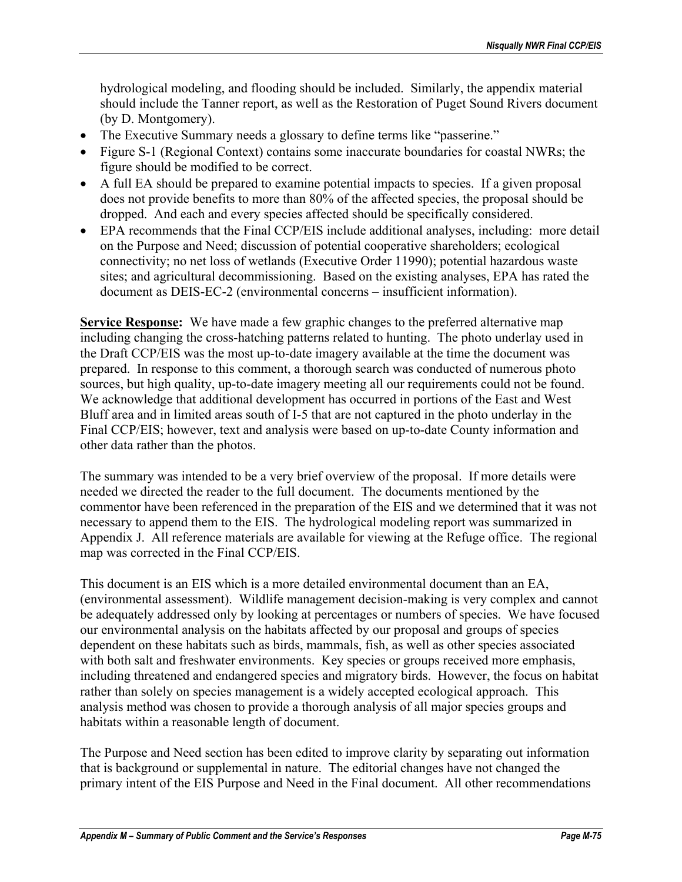hydrological modeling, and flooding should be included. Similarly, the appendix material should include the Tanner report, as well as the Restoration of Puget Sound Rivers document (by D. Montgomery).

- The Executive Summary needs a glossary to define terms like "passerine."
- Figure S-1 (Regional Context) contains some inaccurate boundaries for coastal NWRs; the figure should be modified to be correct.
- A full EA should be prepared to examine potential impacts to species. If a given proposal does not provide benefits to more than 80% of the affected species, the proposal should be dropped. And each and every species affected should be specifically considered.
- EPA recommends that the Final CCP/EIS include additional analyses, including: more detail on the Purpose and Need; discussion of potential cooperative shareholders; ecological connectivity; no net loss of wetlands (Executive Order 11990); potential hazardous waste sites; and agricultural decommissioning. Based on the existing analyses, EPA has rated the document as DEIS-EC-2 (environmental concerns – insufficient information).

**Service Response:** We have made a few graphic changes to the preferred alternative map including changing the cross-hatching patterns related to hunting. The photo underlay used in the Draft CCP/EIS was the most up-to-date imagery available at the time the document was prepared. In response to this comment, a thorough search was conducted of numerous photo sources, but high quality, up-to-date imagery meeting all our requirements could not be found. We acknowledge that additional development has occurred in portions of the East and West Bluff area and in limited areas south of I-5 that are not captured in the photo underlay in the Final CCP/EIS; however, text and analysis were based on up-to-date County information and other data rather than the photos.

The summary was intended to be a very brief overview of the proposal. If more details were needed we directed the reader to the full document. The documents mentioned by the commentor have been referenced in the preparation of the EIS and we determined that it was not necessary to append them to the EIS. The hydrological modeling report was summarized in Appendix J. All reference materials are available for viewing at the Refuge office. The regional map was corrected in the Final CCP/EIS.

This document is an EIS which is a more detailed environmental document than an EA, (environmental assessment). Wildlife management decision-making is very complex and cannot be adequately addressed only by looking at percentages or numbers of species. We have focused our environmental analysis on the habitats affected by our proposal and groups of species dependent on these habitats such as birds, mammals, fish, as well as other species associated with both salt and freshwater environments. Key species or groups received more emphasis, including threatened and endangered species and migratory birds. However, the focus on habitat rather than solely on species management is a widely accepted ecological approach. This analysis method was chosen to provide a thorough analysis of all major species groups and habitats within a reasonable length of document.

The Purpose and Need section has been edited to improve clarity by separating out information that is background or supplemental in nature. The editorial changes have not changed the primary intent of the EIS Purpose and Need in the Final document. All other recommendations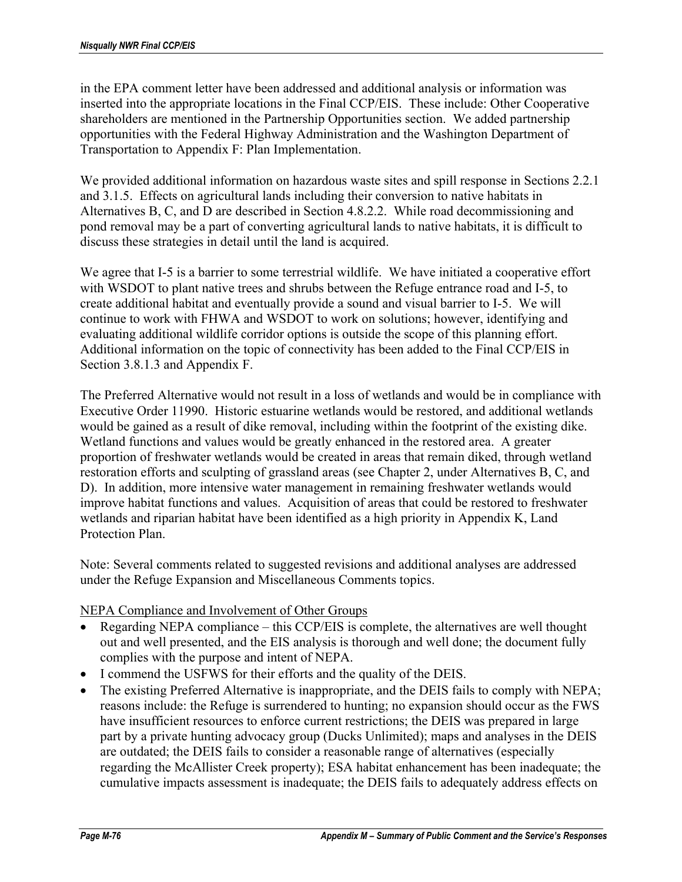in the EPA comment letter have been addressed and additional analysis or information was inserted into the appropriate locations in the Final CCP/EIS. These include: Other Cooperative shareholders are mentioned in the Partnership Opportunities section. We added partnership opportunities with the Federal Highway Administration and the Washington Department of Transportation to Appendix F: Plan Implementation.

We provided additional information on hazardous waste sites and spill response in Sections 2.2.1 and 3.1.5. Effects on agricultural lands including their conversion to native habitats in Alternatives B, C, and D are described in Section 4.8.2.2. While road decommissioning and pond removal may be a part of converting agricultural lands to native habitats, it is difficult to discuss these strategies in detail until the land is acquired.

We agree that I-5 is a barrier to some terrestrial wildlife. We have initiated a cooperative effort with WSDOT to plant native trees and shrubs between the Refuge entrance road and I-5, to create additional habitat and eventually provide a sound and visual barrier to I-5. We will continue to work with FHWA and WSDOT to work on solutions; however, identifying and evaluating additional wildlife corridor options is outside the scope of this planning effort. Additional information on the topic of connectivity has been added to the Final CCP/EIS in Section 3.8.1.3 and Appendix F.

The Preferred Alternative would not result in a loss of wetlands and would be in compliance with Executive Order 11990. Historic estuarine wetlands would be restored, and additional wetlands would be gained as a result of dike removal, including within the footprint of the existing dike. Wetland functions and values would be greatly enhanced in the restored area. A greater proportion of freshwater wetlands would be created in areas that remain diked, through wetland restoration efforts and sculpting of grassland areas (see Chapter 2, under Alternatives B, C, and D). In addition, more intensive water management in remaining freshwater wetlands would improve habitat functions and values. Acquisition of areas that could be restored to freshwater wetlands and riparian habitat have been identified as a high priority in Appendix K, Land Protection Plan.

Note: Several comments related to suggested revisions and additional analyses are addressed under the Refuge Expansion and Miscellaneous Comments topics.

## NEPA Compliance and Involvement of Other Groups

- Regarding NEPA compliance this CCP/EIS is complete, the alternatives are well thought out and well presented, and the EIS analysis is thorough and well done; the document fully complies with the purpose and intent of NEPA.
- I commend the USFWS for their efforts and the quality of the DEIS.
- The existing Preferred Alternative is inappropriate, and the DEIS fails to comply with NEPA; reasons include: the Refuge is surrendered to hunting; no expansion should occur as the FWS have insufficient resources to enforce current restrictions; the DEIS was prepared in large part by a private hunting advocacy group (Ducks Unlimited); maps and analyses in the DEIS are outdated; the DEIS fails to consider a reasonable range of alternatives (especially regarding the McAllister Creek property); ESA habitat enhancement has been inadequate; the cumulative impacts assessment is inadequate; the DEIS fails to adequately address effects on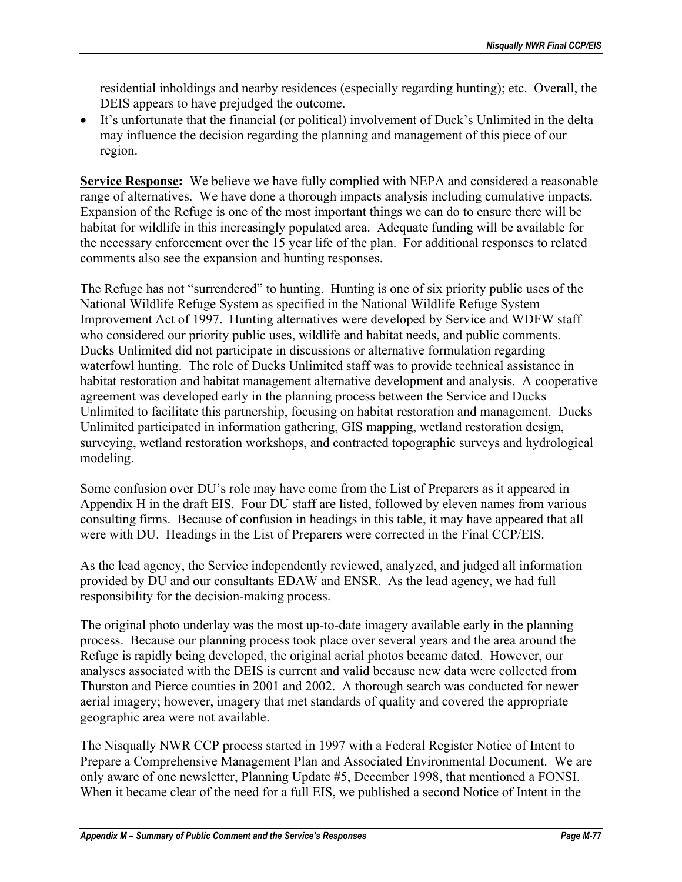residential inholdings and nearby residences (especially regarding hunting); etc. Overall, the DEIS appears to have prejudged the outcome.

• It's unfortunate that the financial (or political) involvement of Duck's Unlimited in the delta may influence the decision regarding the planning and management of this piece of our region.

**Service Response:** We believe we have fully complied with NEPA and considered a reasonable range of alternatives. We have done a thorough impacts analysis including cumulative impacts. Expansion of the Refuge is one of the most important things we can do to ensure there will be habitat for wildlife in this increasingly populated area. Adequate funding will be available for the necessary enforcement over the 15 year life of the plan. For additional responses to related comments also see the expansion and hunting responses.

The Refuge has not "surrendered" to hunting. Hunting is one of six priority public uses of the National Wildlife Refuge System as specified in the National Wildlife Refuge System Improvement Act of 1997. Hunting alternatives were developed by Service and WDFW staff who considered our priority public uses, wildlife and habitat needs, and public comments. Ducks Unlimited did not participate in discussions or alternative formulation regarding waterfowl hunting. The role of Ducks Unlimited staff was to provide technical assistance in habitat restoration and habitat management alternative development and analysis. A cooperative agreement was developed early in the planning process between the Service and Ducks Unlimited to facilitate this partnership, focusing on habitat restoration and management. Ducks Unlimited participated in information gathering, GIS mapping, wetland restoration design, surveying, wetland restoration workshops, and contracted topographic surveys and hydrological modeling.

Some confusion over DU's role may have come from the List of Preparers as it appeared in Appendix H in the draft EIS. Four DU staff are listed, followed by eleven names from various consulting firms. Because of confusion in headings in this table, it may have appeared that all were with DU. Headings in the List of Preparers were corrected in the Final CCP/EIS.

As the lead agency, the Service independently reviewed, analyzed, and judged all information provided by DU and our consultants EDAW and ENSR. As the lead agency, we had full responsibility for the decision-making process.

The original photo underlay was the most up-to-date imagery available early in the planning process. Because our planning process took place over several years and the area around the Refuge is rapidly being developed, the original aerial photos became dated. However, our analyses associated with the DEIS is current and valid because new data were collected from Thurston and Pierce counties in 2001 and 2002. A thorough search was conducted for newer aerial imagery; however, imagery that met standards of quality and covered the appropriate geographic area were not available.

The Nisqually NWR CCP process started in 1997 with a Federal Register Notice of Intent to Prepare a Comprehensive Management Plan and Associated Environmental Document. We are only aware of one newsletter, Planning Update #5, December 1998, that mentioned a FONSI. When it became clear of the need for a full EIS, we published a second Notice of Intent in the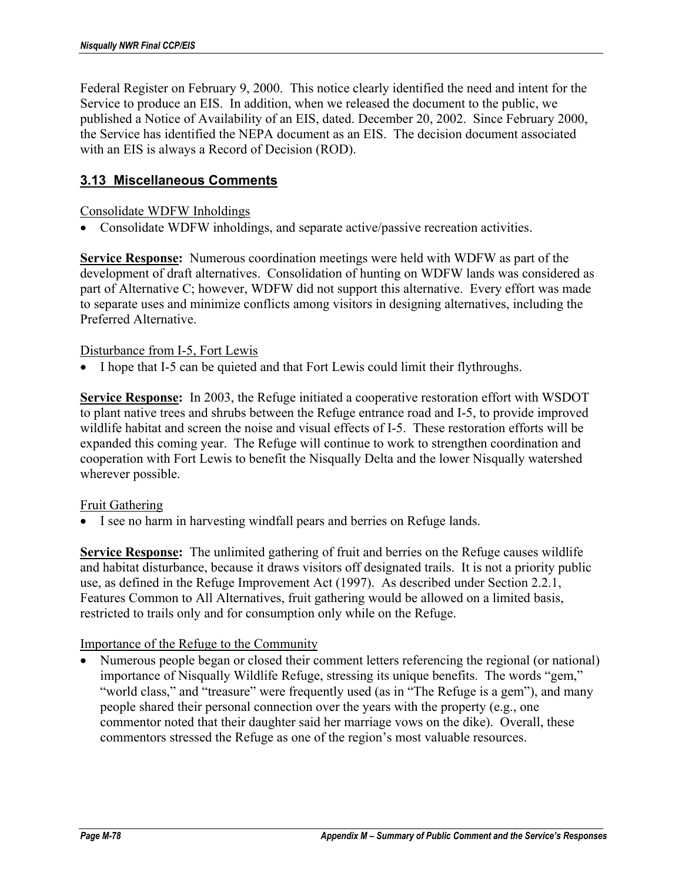Federal Register on February 9, 2000. This notice clearly identified the need and intent for the Service to produce an EIS. In addition, when we released the document to the public, we published a Notice of Availability of an EIS, dated. December 20, 2002. Since February 2000, the Service has identified the NEPA document as an EIS. The decision document associated with an EIS is always a Record of Decision (ROD).

## **3.13 Miscellaneous Comments**

### Consolidate WDFW Inholdings

• Consolidate WDFW inholdings, and separate active/passive recreation activities.

**Service Response:** Numerous coordination meetings were held with WDFW as part of the development of draft alternatives. Consolidation of hunting on WDFW lands was considered as part of Alternative C; however, WDFW did not support this alternative. Every effort was made to separate uses and minimize conflicts among visitors in designing alternatives, including the Preferred Alternative.

### Disturbance from I-5, Fort Lewis

• I hope that I-5 can be quieted and that Fort Lewis could limit their flythroughs.

**Service Response:** In 2003, the Refuge initiated a cooperative restoration effort with WSDOT to plant native trees and shrubs between the Refuge entrance road and I-5, to provide improved wildlife habitat and screen the noise and visual effects of I-5. These restoration efforts will be expanded this coming year. The Refuge will continue to work to strengthen coordination and cooperation with Fort Lewis to benefit the Nisqually Delta and the lower Nisqually watershed wherever possible.

### Fruit Gathering

• I see no harm in harvesting windfall pears and berries on Refuge lands.

**Service Response:** The unlimited gathering of fruit and berries on the Refuge causes wildlife and habitat disturbance, because it draws visitors off designated trails. It is not a priority public use, as defined in the Refuge Improvement Act (1997). As described under Section 2.2.1, Features Common to All Alternatives, fruit gathering would be allowed on a limited basis, restricted to trails only and for consumption only while on the Refuge.

### Importance of the Refuge to the Community

• Numerous people began or closed their comment letters referencing the regional (or national) importance of Nisqually Wildlife Refuge, stressing its unique benefits. The words "gem," "world class," and "treasure" were frequently used (as in "The Refuge is a gem"), and many people shared their personal connection over the years with the property (e.g., one commentor noted that their daughter said her marriage vows on the dike). Overall, these commentors stressed the Refuge as one of the region's most valuable resources.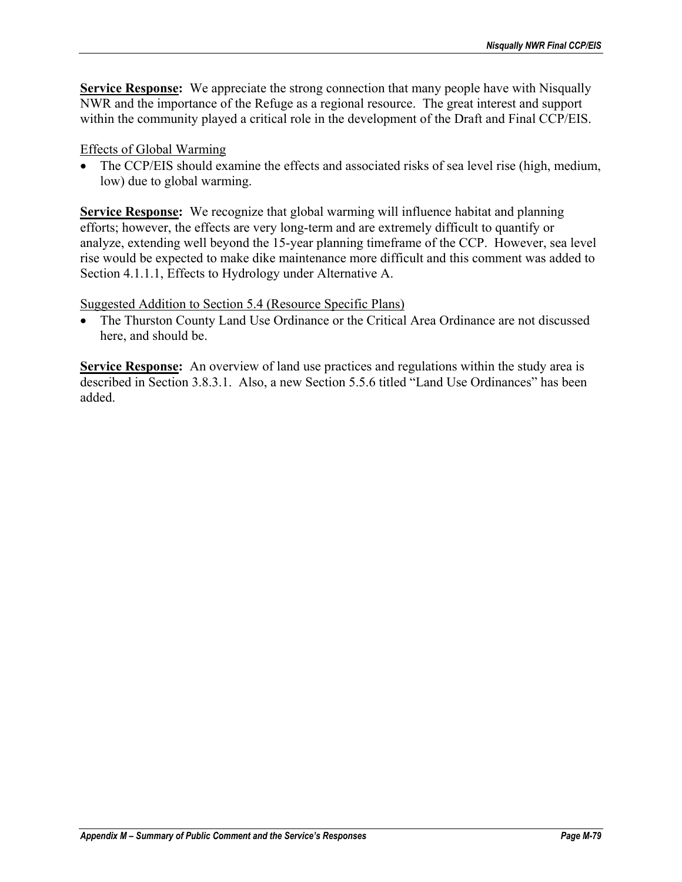**Service Response:** We appreciate the strong connection that many people have with Nisqually NWR and the importance of the Refuge as a regional resource. The great interest and support within the community played a critical role in the development of the Draft and Final CCP/EIS.

## Effects of Global Warming

• The CCP/EIS should examine the effects and associated risks of sea level rise (high, medium, low) due to global warming.

**Service Response:** We recognize that global warming will influence habitat and planning efforts; however, the effects are very long-term and are extremely difficult to quantify or analyze, extending well beyond the 15-year planning timeframe of the CCP. However, sea level rise would be expected to make dike maintenance more difficult and this comment was added to Section 4.1.1.1, Effects to Hydrology under Alternative A.

## Suggested Addition to Section 5.4 (Resource Specific Plans)

• The Thurston County Land Use Ordinance or the Critical Area Ordinance are not discussed here, and should be.

**Service Response:** An overview of land use practices and regulations within the study area is described in Section 3.8.3.1. Also, a new Section 5.5.6 titled "Land Use Ordinances" has been added.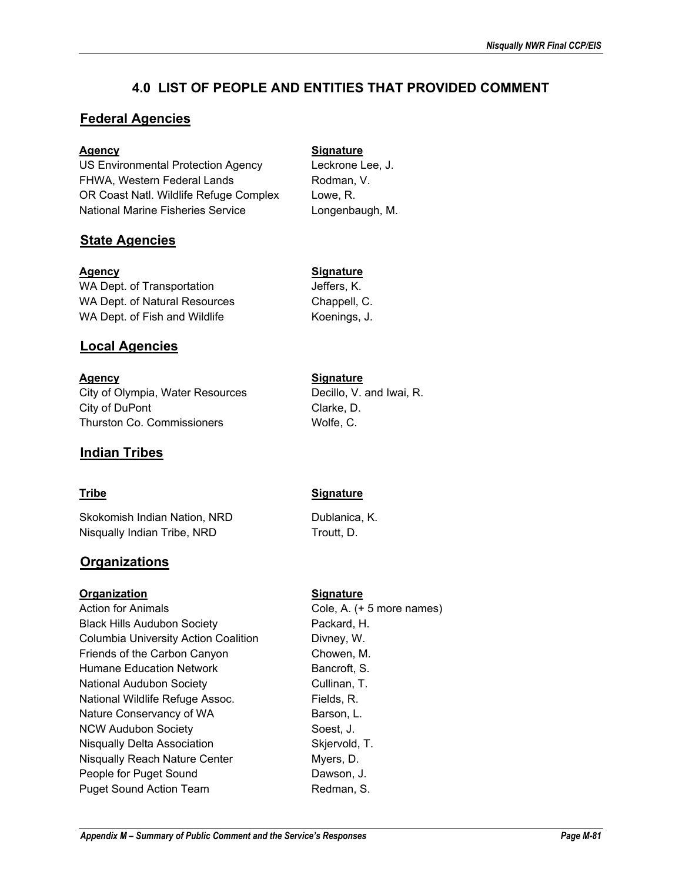# **4.0 LIST OF PEOPLE AND ENTITIES THAT PROVIDED COMMENT**

## **Federal Agencies**

### Agency **Signature**

US Environmental Protection Agency Leckrone Lee, J. FHWA, Western Federal Lands Rodman, V. OR Coast Natl. Wildlife Refuge Complex Lowe, R. National Marine Fisheries Service Longenbaugh, M.

## **State Agencies**

### Agency **Signature**

WA Dept. of Transportation and Deffers, K. WA Dept. of Natural Resources Chappell, C. WA Dept. of Fish and Wildlife Koenings, J.

## **Local Agencies**

Agency **Signature** City of Olympia, Water Resources Decillo, V. and Iwai, R. City of DuPont Clarke, D. Thurston Co. Commissioners Wolfe, C.

## **Indian Tribes**

Skokomish Indian Nation, NRD Dublanica, K. Nisqually Indian Tribe, NRD Troutt, D.

## **Organizations**

### **Organization Signature**

Action for Animals **Cole, A.** (+ 5 more names) Black Hills Audubon Society **Packard, H.** Columbia University Action Coalition Divney, W. Friends of the Carbon Canyon Chowen, M. Humane Education Network **Bancroft**, S. National Audubon Society **Cullinan, T.** National Wildlife Refuge Assoc. Fields, R. Nature Conservancy of WA Barson, L. NCW Audubon Society **Solution** Society Soest, J. Nisqually Delta Association Skiervold, T. Nisqually Reach Nature Center Myers, D. People for Puget Sound Dawson, J. Puget Sound Action Team Redman, S.

## **Tribe Signature**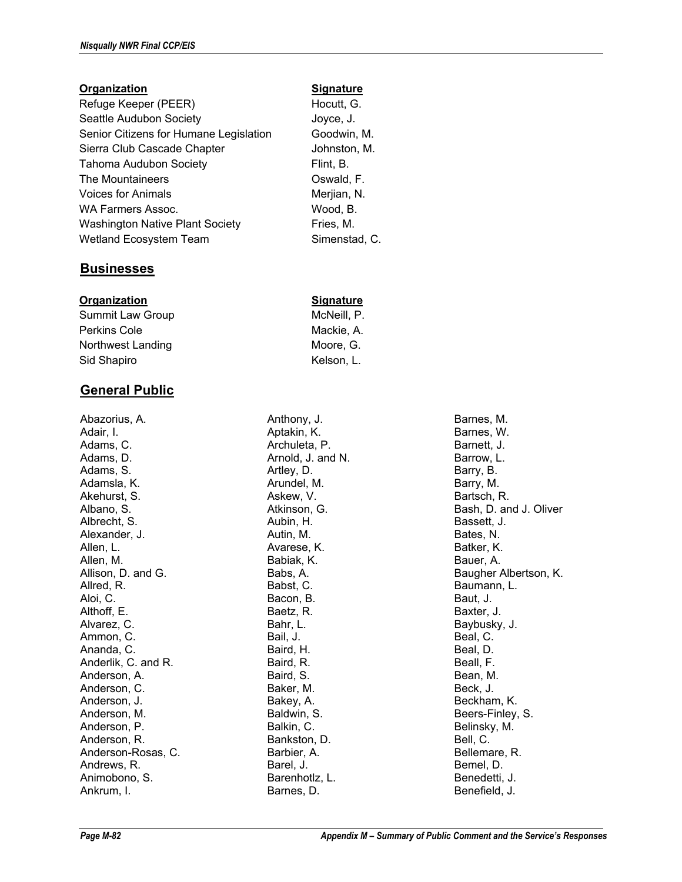#### **Organization Signature**

Refuge Keeper (PEER) Hocutt, G. Seattle Audubon Society **Seattle Audubon Society** Joyce, J. Senior Citizens for Humane Legislation Goodwin, M. Sierra Club Cascade Chapter **Johnston, M.** Tahoma Audubon Society Flint, B. The Mountaineers **Canadian Control Control** Coswald, F. Voices for Animals Merjian, N. WA Farmers Assoc. Wood, B. Washington Native Plant Society Fries, M. Wetland Ecosystem Team Simenstad, C.

### **Businesses**

#### **Organization Signature**

Summit Law Group McNeill, P. Perkins Cole Mackie, A. Northwest Landing Moore, G. Sid Shapiro **Kelson, L.** Kelson, L.

## **General Public**

Abazorius, A. Adair, I. Adams, C. Adams, D. Adams, S. Adamsla, K. Akehurst, S. Albano, S. Albrecht, S. Alexander, J. Allen, L. Allen, M. Allison, D. and G. Allred, R. Aloi, C. Althoff, E. Alvarez, C. Ammon, C. Ananda, C. Anderlik, C. and R. Anderson, A. Anderson, C. Anderson, J. Anderson, M. Anderson, P. Anderson, R. Anderson-Rosas, C. Andrews, R. Animobono, S. Ankrum, I.

Anthony, J. Aptakin, K. Archuleta, P. Arnold, J. and N. Artley, D. Arundel, M. Askew, V. Atkinson, G. Aubin, H. Autin, M. Avarese, K. Babiak, K. Babs, A. Babst, C. Bacon, B. Baetz, R. Bahr, L. Bail, J. Baird, H. Baird, R. Baird, S. Baker, M. Bakey, A. Baldwin, S. Balkin, C. Bankston, D. Barbier, A. Barel, J. Barenhotlz, L. Barnes, D.

Barnes, M. Barnes, W. Barnett, J. Barrow, L. Barry, B. Barry, M. Bartsch, R. Bash, D. and J. Oliver Bassett, J. Bates, N. Batker, K. Bauer, A. Baugher Albertson, K. Baumann, L. Baut, J. Baxter, J. Baybusky, J. Beal, C. Beal, D. Beall, F. Bean, M. Beck, J. Beckham, K. Beers-Finley, S. Belinsky, M. Bell, C. Bellemare, R. Bemel, D. Benedetti, J. Benefield, J.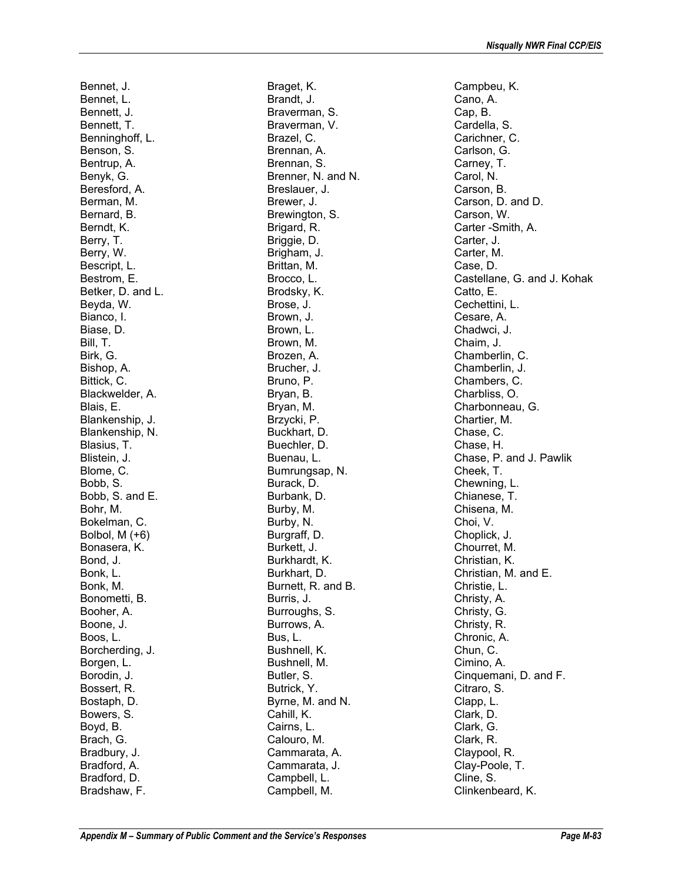Bennet, J. Bennet, L. Bennett, J. Bennett, T. Benninghoff, L. Benson, S. Bentrup, A. Benyk, G. Beresford, A. Berman, M. Bernard, B. Berndt, K. Berry, T. Berry, W. Bescript, L. Bestrom, E. Betker, D. and L. Beyda, W. Bianco, I. Biase, D. Bill, T. Birk, G. Bishop, A. Bittick, C. Blackwelder, A. Blais, E. Blankenship, J. Blankenship, N. Blasius, T. Blistein, J. Blome, C. Bobb, S. Bobb, S. and E. Bohr, M. Bokelman, C. Bolbol, M (+6) Bonasera, K. Bond, J. Bonk, L. Bonk, M. Bonometti, B. Booher, A. Boone, J. Boos, L. Borcherding, J. Borgen, L. Borodin, J. Bossert, R. Bostaph, D. Bowers, S. Boyd, B. Brach, G. Bradbury, J. Bradford, A. Bradford, D. Bradshaw, F.

Braget, K. Brandt, J. Braverman, S. Braverman, V. Brazel, C. Brennan, A. Brennan, S. Brenner, N. and N. Breslauer, J. Brewer, J. Brewington, S. Brigard, R. Briggie, D. Brigham, J. Brittan, M. Brocco, L. Brodsky, K. Brose, J. Brown, J. Brown, L. Brown, M. Brozen, A. Brucher, J. Bruno, P. Bryan, B. Bryan, M. Brzycki, P. Buckhart, D. Buechler, D. Buenau, L. Bumrungsap, N. Burack, D. Burbank, D. Burby, M. Burby, N. Burgraff, D. Burkett, J. Burkhardt, K. Burkhart, D. Burnett, R. and B. Burris, J. Burroughs, S. Burrows, A. Bus, L. Bushnell, K. Bushnell, M. Butler, S. Butrick, Y. Byrne, M. and N. Cahill, K. Cairns, L. Calouro, M. Cammarata, A. Cammarata, J. Campbell, L. Campbell, M.

Campbeu, K. Cano, A. Cap, B. Cardella, S. Carichner, C. Carlson, G. Carney, T. Carol, N. Carson, B. Carson, D. and D. Carson, W. Carter -Smith, A. Carter, J. Carter, M. Case, D. Castellane, G. and J. Kohak Catto, E. Cechettini, L. Cesare, A. Chadwci, J. Chaim, J. Chamberlin, C. Chamberlin, J. Chambers, C. Charbliss, O. Charbonneau, G. Chartier, M. Chase, C. Chase, H. Chase, P. and J. Pawlik Cheek, T. Chewning, L. Chianese, T. Chisena, M. Choi, V. Choplick, J. Chourret, M. Christian, K. Christian, M. and E. Christie, L. Christy, A. Christy, G. Christy, R. Chronic, A. Chun, C. Cimino, A. Cinquemani, D. and F. Citraro, S. Clapp, L. Clark, D. Clark, G. Clark, R. Claypool, R. Clay-Poole, T. Cline, S. Clinkenbeard, K.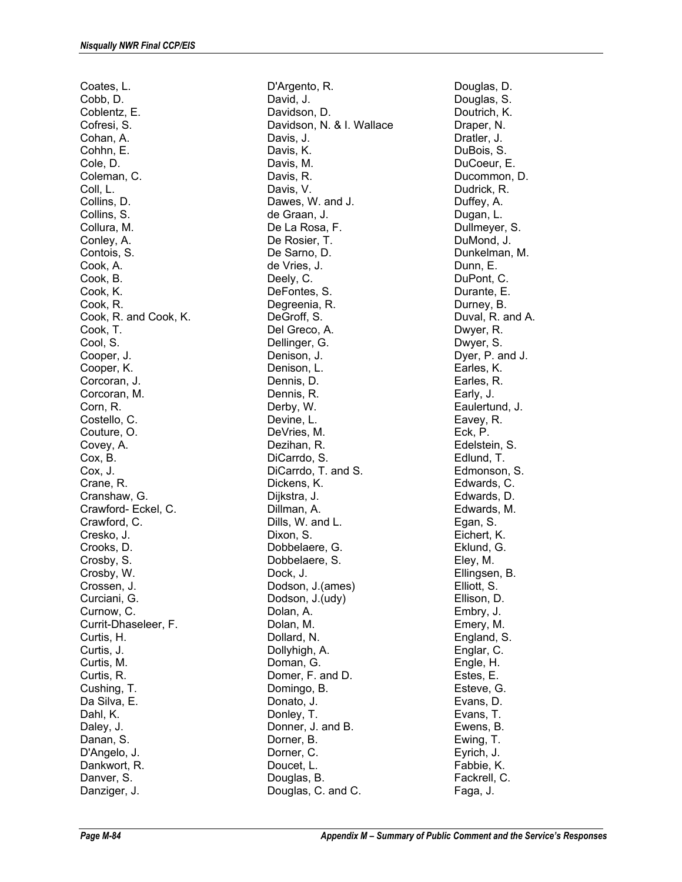Coates, L. Cobb, D. Coblentz, E. Cofresi, S. Cohan, A. Cohhn, E. Cole, D. Coleman, C. Coll, L. Collins, D. Collins, S. Collura, M. Conley, A. Contois, S. Cook, A. Cook, B. Cook, K. Cook, R. Cook, R. and Cook, K. Cook, T. Cool, S. Cooper, J. Cooper, K. Corcoran, J. Corcoran, M. Corn, R. Costello, C. Couture, O. Covey, A. Cox, B. Cox, J. Crane, R. Cranshaw, G. Crawford- Eckel, C. Crawford, C. Cresko, J. Crooks, D. Crosby, S. Crosby, W. Crossen, J. Curciani, G. Curnow, C. Currit-Dhaseleer, F. Curtis, H. Curtis, J. Curtis, M. Curtis, R. Cushing, T. Da Silva, E. Dahl, K. Daley, J. Danan, S. D'Angelo, J. Dankwort, R. Danver, S. Danziger, J.

D'Argento, R. David, J. Davidson, D. Davidson, N. & I. Wallace Davis, J. Davis, K. Davis, M. Davis, R. Davis, V. Dawes, W. and J. de Graan, J. De La Rosa, F. De Rosier, T. De Sarno, D. de Vries, J. Deely, C. DeFontes, S. Degreenia, R. DeGroff, S. Del Greco, A. Dellinger, G. Denison, J. Denison, L. Dennis, D. Dennis, R. Derby, W. Devine, L. DeVries, M. Dezihan, R. DiCarrdo, S. DiCarrdo, T. and S. Dickens, K. Dijkstra, J. Dillman, A. Dills, W. and L. Dixon, S. Dobbelaere, G. Dobbelaere, S. Dock, J. Dodson, J.(ames) Dodson, J.(udy) Dolan, A. Dolan, M. Dollard, N. Dollyhigh, A. Doman, G. Domer, F. and D. Domingo, B. Donato, J. Donley, T. Donner, J. and B. Dorner, B. Dorner, C. Doucet, L. Douglas, B. Douglas, C. and C.

Douglas, D. Douglas, S. Doutrich, K. Draper, N. Dratler, J. DuBois, S. DuCoeur, E. Ducommon, D. Dudrick, R. Duffey, A. Dugan, L. Dullmeyer, S. DuMond, J. Dunkelman, M. Dunn, E. DuPont, C. Durante, E. Durney, B. Duval, R. and A. Dwyer, R. Dwyer, S. Dyer, P. and J. Earles, K. Earles, R. Early, J. Eaulertund, J. Eavey, R. Eck, P. Edelstein, S. Edlund, T. Edmonson, S. Edwards, C. Edwards, D. Edwards, M. Egan, S. Eichert, K. Eklund, G. Eley, M. Ellingsen, B. Elliott, S. Ellison, D. Embry, J. Emery, M. England, S. Englar, C. Engle, H. Estes, E. Esteve, G. Evans, D. Evans, T. Ewens, B. Ewing, T. Eyrich, J. Fabbie, K. Fackrell, C. Faga, J.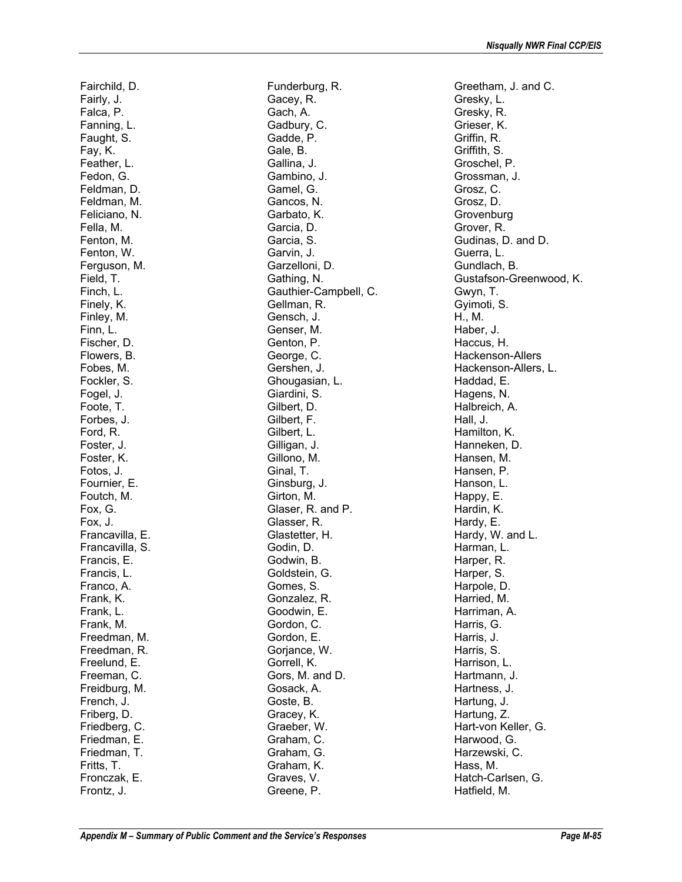Fairchild, D. Fairly, J. Falca, P. Fanning, L. Faught, S. Fay, K. Feather, L. Fedon, G. Feldman, D. Feldman, M. Feliciano, N. Fella, M. Fenton, M. Fenton, W. Ferguson, M. Field, T. Finch, L. Finely, K. Finley, M. Finn, L. Fischer, D. Flowers, B. Fobes, M. Fockler, S. Fogel, J. Foote, T. Forbes, J. Ford, R. Foster, J. Foster, K. Fotos, J. Fournier, E. Foutch, M. Fox, G. Fox, J. Francavilla, E. Francavilla, S. Francis, E. Francis, L. Franco, A. Frank, K. Frank, L. Frank, M. Freedman, M. Freedman, R. Freelund, E. Freeman, C. Freidburg, M. French, J. Friberg, D. Friedberg, C. Friedman, E. Friedman, T. Fritts, T. Fronczak, E. Frontz, J.

Funderburg, R. Gacey, R. Gach, A. Gadbury, C. Gadde, P. Gale, B. Gallina, J. Gambino, J. Gamel, G. Gancos, N. Garbato, K. Garcia, D. Garcia, S. Garvin, J. Garzelloni, D. Gathing, N. Gauthier-Campbell, C. Gellman, R. Gensch, J. Genser, M. Genton, P. George, C. Gershen, J. Ghougasian, L. Giardini, S. Gilbert, D. Gilbert, F. Gilbert, L. Gilligan, J. Gillono, M. Ginal, T. Ginsburg, J. Girton, M. Glaser, R. and P. Glasser, R. Glastetter, H. Godin, D. Godwin, B. Goldstein, G. Gomes, S. Gonzalez, R. Goodwin, E. Gordon, C. Gordon, E. Goriance, W. Gorrell, K. Gors, M. and D. Gosack, A. Goste, B. Gracey, K. Graeber, W. Graham, C. Graham, G. Graham, K. Graves, V. Greene, P.

Greetham, J. and C. Gresky, L. Gresky, R. Grieser, K. Griffin, R. Griffith, S. Groschel, P. Grossman, J. Grosz, C. Grosz, D. **Grovenburg** Grover, R. Gudinas, D. and D. Guerra, L. Gundlach, B. Gustafson-Greenwood, K. Gwyn, T. Gyimoti, S. H., M. Haber, J. Haccus, H. Hackenson-Allers Hackenson-Allers, L. Haddad, E. Hagens, N. Halbreich, A. Hall, J. Hamilton, K. Hanneken, D. Hansen, M. Hansen, P. Hanson, L. Happy, E. Hardin, K. Hardy, E. Hardy, W. and L. Harman, L. Harper, R. Harper, S. Harpole, D. Harried, M. Harriman, A. Harris, G. Harris, J. Harris, S. Harrison, L. Hartmann, J. Hartness, J. Hartung, J. Hartung, Z. Hart-von Keller, G. Harwood, G. Harzewski, C. Hass, M. Hatch-Carlsen, G. Hatfield, M.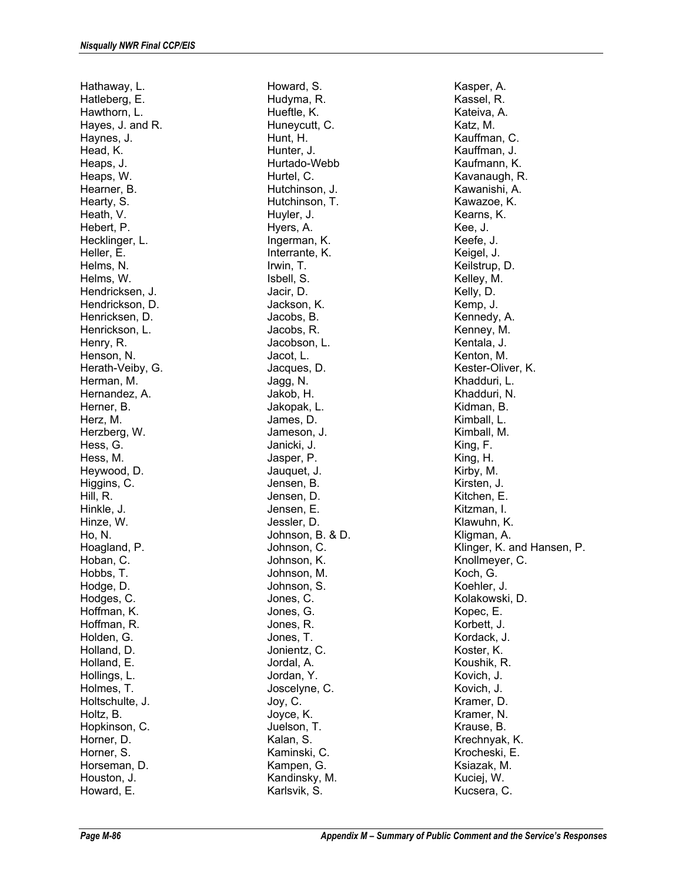Hathaway, L. Hatleberg, E. Hawthorn, L. Hayes, J. and R. Haynes, J. Head, K. Heaps, J. Heaps, W. Hearner, B. Hearty, S. Heath, V. Hebert, P. Hecklinger, L. Heller, E. Helms, N. Helms, W. Hendricksen, J. Hendrickson, D. Henricksen, D. Henrickson, L. Henry, R. Henson, N. Herath-Veiby, G. Herman, M. Hernandez, A. Herner, B. Herz, M. Herzberg, W. Hess, G. Hess, M. Heywood, D. Higgins, C. Hill, R. Hinkle, J. Hinze, W. Ho, N. Hoagland, P. Hoban, C. Hobbs, T. Hodge, D. Hodges, C. Hoffman, K. Hoffman, R. Holden, G. Holland, D. Holland, E. Hollings, L. Holmes, T. Holtschulte, J. Holtz, B. Hopkinson, C. Horner, D. Horner, S. Horseman, D. Houston, J. Howard, E.

Howard, S. Hudyma, R. Hueftle, K. Huneycutt, C. Hunt, H. Hunter, J. Hurtado-Webb Hurtel, C. Hutchinson, J. Hutchinson, T. Huyler, J. Hyers, A. Ingerman, K. Interrante, K. Irwin, T. Isbell, S. Jacir, D. Jackson, K. Jacobs, B. Jacobs, R. Jacobson, L. Jacot, L. Jacques, D. Jagg, N. Jakob, H. Jakopak, L. James, D. Jameson, J. Janicki, J. Jasper, P. Jauquet, J. Jensen, B. Jensen, D. Jensen, E. Jessler, D. Johnson, B. & D. Johnson, C. Johnson, K. Johnson, M. Johnson, S. Jones, C. Jones, G. Jones, R. Jones, T. Jonientz, C. Jordal, A. Jordan, Y. Joscelyne, C. Joy, C. Joyce, K. Juelson, T. Kalan, S. Kaminski, C. Kampen, G. Kandinsky, M. Karlsvik, S.

Kasper, A. Kassel, R. Kateiva, A. Katz, M. Kauffman, C. Kauffman, J. Kaufmann, K. Kavanaugh, R. Kawanishi, A. Kawazoe, K. Kearns, K. Kee, J. Keefe, J. Keigel, J. Keilstrup, D. Kelley, M. Kelly, D. Kemp, J. Kennedy, A. Kenney, M. Kentala, J. Kenton, M. Kester-Oliver, K. Khadduri, L. Khadduri, N. Kidman, B. Kimball, L. Kimball, M. King, F. King, H. Kirby, M. Kirsten, J. Kitchen, E. Kitzman, I. Klawuhn, K. Kligman, A. Klinger, K. and Hansen, P. Knollmeyer, C. Koch, G. Koehler, J. Kolakowski, D. Kopec, E. Korbett, J. Kordack, J. Koster, K. Koushik, R. Kovich, J. Kovich, J. Kramer, D. Kramer, N. Krause, B. Krechnyak, K. Krocheski, E. Ksiazak, M. Kuciej, W. Kucsera, C.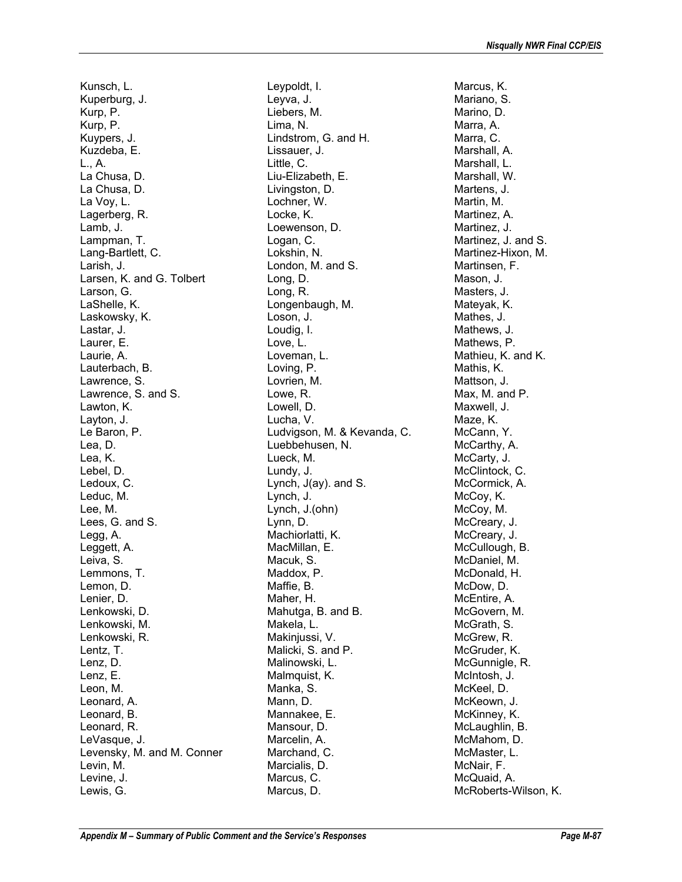Kunsch, L. Kuperburg, J. Kurp, P. Kurp, P. Kuypers, J. Kuzdeba, E. L., A. La Chusa, D. La Chusa, D. La Voy, L. Lagerberg, R. Lamb, J. Lampman, T. Lang-Bartlett, C. Larish, J. Larsen, K. and G. Tolbert Larson, G. LaShelle, K. Laskowsky, K. Lastar, J. Laurer, E. Laurie, A. Lauterbach, B. Lawrence, S. Lawrence, S. and S. Lawton, K. Layton, J. Le Baron, P. Lea, D. Lea, K. Lebel, D. Ledoux, C. Leduc, M. Lee, M. Lees, G. and S. Legg, A. Leggett, A. Leiva, S. Lemmons, T. Lemon, D. Lenier, D. Lenkowski, D. Lenkowski, M. Lenkowski, R. Lentz, T. Lenz, D. Lenz, E. Leon, M. Leonard, A. Leonard, B. Leonard, R. LeVasque, J. Levensky, M. and M. Conner Levin, M. Levine, J. Lewis, G.

Leypoldt, I. Leyva, J. Liebers, M. Lima, N. Lindstrom, G. and H. Lissauer, J. Little, C. Liu-Elizabeth, E. Livingston, D. Lochner, W. Locke, K. Loewenson, D. Logan, C. Lokshin, N. London, M. and S. Long, D. Long, R. Longenbaugh, M. Loson, J. Loudig, I. Love, L. Loveman, L. Loving, P. Lovrien, M. Lowe, R. Lowell, D. Lucha, V. Ludvigson, M. & Kevanda, C. Luebbehusen, N. Lueck, M. Lundy, J. Lynch, J(ay). and S. Lynch, J. Lynch, J.(ohn) Lynn, D. Machiorlatti, K. MacMillan, E. Macuk, S. Maddox, P. Maffie, B. Maher, H. Mahutga, B. and B. Makela, L. Makinjussi, V. Malicki, S. and P. Malinowski, L. Malmquist, K. Manka, S. Mann, D. Mannakee, E. Mansour, D. Marcelin, A. Marchand, C. Marcialis, D. Marcus, C. Marcus, D.

Marcus, K. Mariano, S. Marino, D. Marra, A. Marra, C. Marshall, A. Marshall, L. Marshall, W. Martens, J. Martin, M. Martinez, A. Martinez, J. Martinez, J. and S. Martinez-Hixon, M. Martinsen, F. Mason, J. Masters, J. Mateyak, K. Mathes, J. Mathews, J. Mathews, P. Mathieu, K. and K. Mathis, K. Mattson, J. Max, M. and P. Maxwell, J. Maze, K. McCann, Y. McCarthy, A. McCarty, J. McClintock, C. McCormick, A. McCoy, K. McCoy, M. McCreary, J. McCreary, J. McCullough, B. McDaniel, M. McDonald, H. McDow, D. McEntire, A. McGovern, M. McGrath, S. McGrew, R. McGruder, K. McGunnigle, R. McIntosh, J. McKeel, D. McKeown, J. McKinney, K. McLaughlin, B. McMahom, D. McMaster, L. McNair, F. McQuaid, A. McRoberts-Wilson, K.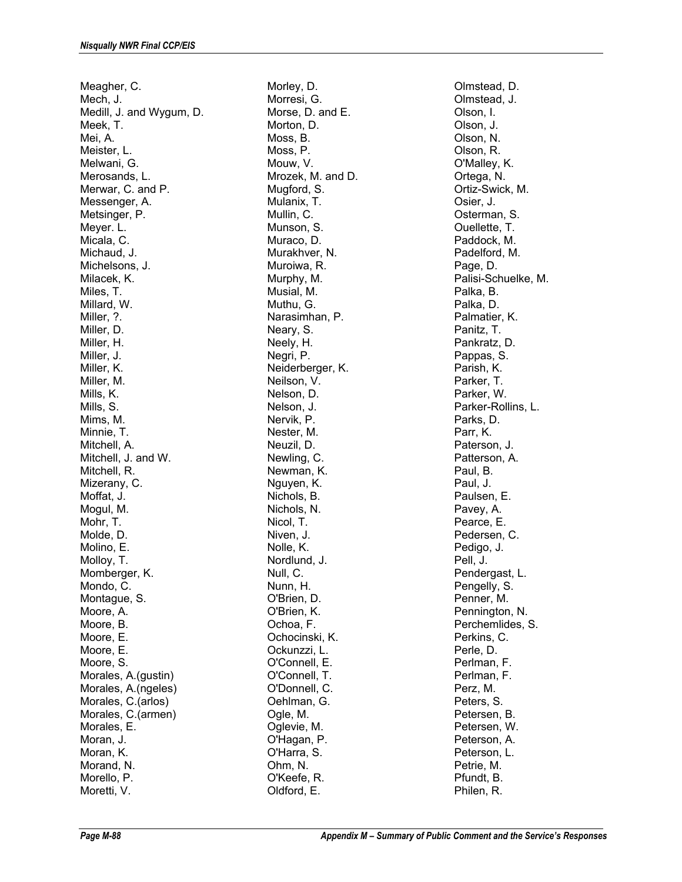Meagher, C. Mech, J. Medill, J. and Wygum, D. Meek, T. Mei, A. Meister, L. Melwani, G. Merosands, L. Merwar, C. and P. Messenger, A. Metsinger, P. Meyer. L. Micala, C. Michaud, J. Michelsons, J. Milacek, K. Miles, T. Millard, W. Miller, ?. Miller, D. Miller, H. Miller, J. Miller, K. Miller, M. Mills, K. Mills, S. Mims, M. Minnie, T. Mitchell, A. Mitchell, J. and W. Mitchell, R. Mizerany, C. Moffat, J. Mogul, M. Mohr, T. Molde, D. Molino, E. Molloy, T. Momberger, K. Mondo, C. Montague, S. Moore, A. Moore, B. Moore, E. Moore, E. Moore, S. Morales, A.(gustin) Morales, A.(ngeles) Morales, C.(arlos) Morales, C.(armen) Morales, E. Moran, J. Moran, K. Morand, N. Morello, P. Moretti, V.

Morley, D. Morresi, G. Morse, D. and E. Morton, D. Moss, B. Moss, P. Mouw, V. Mrozek, M. and D. Mugford, S. Mulanix, T. Mullin, C. Munson, S. Muraco, D. Murakhver, N. Muroiwa, R. Murphy, M. Musial, M. Muthu, G. Narasimhan, P. Neary, S. Neely, H. Negri, P. Neiderberger, K. Neilson, V. Nelson, D. Nelson, J. Nervik, P. Nester, M. Neuzil, D. Newling, C. Newman, K. Nguyen, K. Nichols, B. Nichols, N. Nicol, T. Niven, J. Nolle, K. Nordlund, J. Null, C. Nunn, H. O'Brien, D. O'Brien, K. Ochoa, F. Ochocinski, K. Ockunzzi, L. O'Connell, E. O'Connell, T. O'Donnell, C. Oehlman, G. Ogle, M. Oglevie, M. O'Hagan, P. O'Harra, S. Ohm, N. O'Keefe, R. Oldford, E.

Olmstead, D. Olmstead, J. Olson, I. Olson, J. Olson, N. Olson, R. O'Malley, K. Ortega, N. Ortiz-Swick, M. Osier, J. Osterman, S. Ouellette, T. Paddock, M. Padelford, M. Page, D. Palisi-Schuelke, M. Palka, B. Palka, D. Palmatier, K. Panitz, T. Pankratz, D. Pappas, S. Parish, K. Parker, T. Parker, W. Parker-Rollins, L. Parks, D. Parr, K. Paterson, J. Patterson, A. Paul, B. Paul, J. Paulsen, E. Pavey, A. Pearce, E. Pedersen, C. Pedigo, J. Pell, J. Pendergast, L. Pengelly, S. Penner, M. Pennington, N. Perchemlides, S. Perkins, C. Perle, D. Perlman, F. Perlman, F. Perz, M. Peters, S. Petersen, B. Petersen, W. Peterson, A. Peterson, L. Petrie, M. Pfundt, B. Philen, R.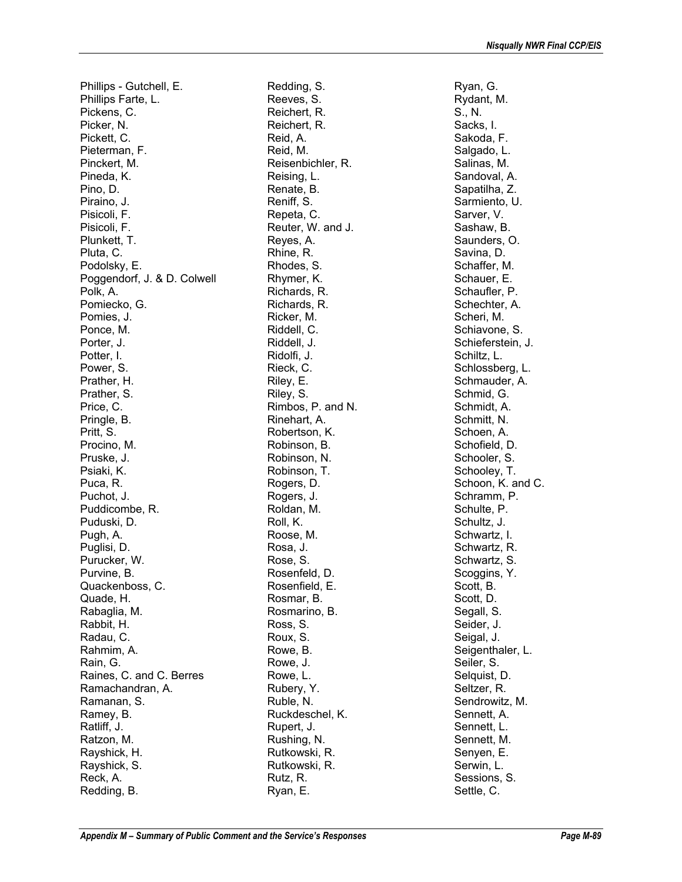Phillips - Gutchell, E. Phillips Farte, L. Pickens, C. Picker, N. Pickett, C. Pieterman, F. Pinckert, M. Pineda, K. Pino, D. Piraino, J. Pisicoli, F. Pisicoli, F. Plunkett, T. Pluta, C. Podolsky, E. Poggendorf, J. & D. Colwell Polk, A. Pomiecko, G. Pomies, J. Ponce, M. Porter, J. Potter, I. Power, S. Prather, H. Prather, S. Price, C. Pringle, B. Pritt, S. Procino, M. Pruske, J. Psiaki, K. Puca, R. Puchot, J. Puddicombe, R. Puduski, D. Pugh, A. Puglisi, D. Purucker, W. Purvine, B. Quackenboss, C. Quade, H. Rabaglia, M. Rabbit, H. Radau, C. Rahmim, A. Rain, G. Raines, C. and C. Berres Ramachandran, A. Ramanan, S. Ramey, B. Ratliff, J. Ratzon, M. Rayshick, H. Rayshick, S. Reck, A. Redding, B.

Redding, S. Reeves, S. Reichert, R. Reichert, R. Reid, A. Reid, M. Reisenbichler, R. Reising, L. Renate, B. Reniff, S. Repeta, C. Reuter, W. and J. Reyes, A. Rhine, R. Rhodes, S. Rhymer, K. Richards, R. Richards, R. Ricker, M. Riddell, C. Riddell, J. Ridolfi, J. Rieck, C. Riley, E. Riley, S. Rimbos, P. and N. Rinehart, A. Robertson, K. Robinson, B. Robinson, N. Robinson, T. Rogers, D. Rogers, J. Roldan, M. Roll, K. Roose, M. Rosa, J. Rose, S. Rosenfeld, D. Rosenfield, E. Rosmar, B. Rosmarino, B. Ross, S. Roux, S. Rowe, B. Rowe, J. Rowe, L. Rubery, Y. Ruble, N. Ruckdeschel, K. Rupert, J. Rushing, N. Rutkowski, R. Rutkowski, R. Rutz, R. Ryan, E.

Ryan, G. Rydant, M. S., N. Sacks, I. Sakoda, F. Salgado, L. Salinas, M. Sandoval, A. Sapatilha, Z. Sarmiento, U. Sarver, V. Sashaw, B. Saunders, O. Savina, D. Schaffer, M. Schauer, E. Schaufler, P. Schechter, A. Scheri, M. Schiavone, S. Schieferstein, J. Schiltz, L. Schlossberg, L. Schmauder, A. Schmid, G. Schmidt, A. Schmitt, N. Schoen, A. Schofield, D. Schooler, S. Schooley, T. Schoon, K. and C. Schramm, P. Schulte, P. Schultz, J. Schwartz, I. Schwartz, R. Schwartz, S. Scoggins, Y. Scott, B. Scott, D. Segall, S. Seider, J. Seigal, J. Seigenthaler, L. Seiler, S. Selquist, D. Seltzer, R. Sendrowitz, M. Sennett, A. Sennett, L. Sennett, M. Senyen, E. Serwin, L. Sessions, S. Settle, C.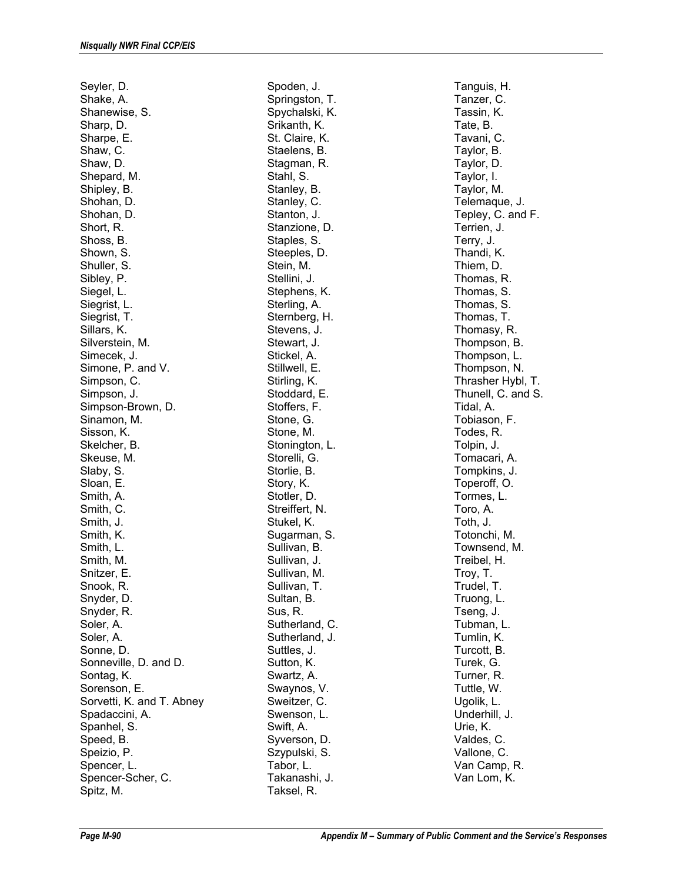Seyler, D. Shake, A. Shanewise, S. Sharp, D. Sharpe, E. Shaw, C. Shaw, D. Shepard, M. Shipley, B. Shohan, D. Shohan, D. Short, R. Shoss, B. Shown, S. Shuller, S. Sibley, P. Siegel, L. Siegrist, L. Siegrist, T. Sillars, K. Silverstein, M. Simecek, J. Simone, P. and V. Simpson, C. Simpson, J. Simpson-Brown, D. Sinamon, M. Sisson, K. Skelcher, B. Skeuse, M. Slaby, S. Sloan, E. Smith, A. Smith, C. Smith, J. Smith, K. Smith, L. Smith, M. Snitzer, E. Snook, R. Snyder, D. Snyder, R. Soler, A. Soler, A. Sonne, D. Sonneville, D. and D. Sontag, K. Sorenson, E. Sorvetti, K. and T. Abney Spadaccini, A. Spanhel, S. Speed, B. Speizio, P. Spencer, L. Spencer-Scher, C. Spitz, M.

Spoden, J. Springston, T. Spychalski, K. Srikanth, K. St. Claire, K. Staelens, B. Stagman, R. Stahl, S. Stanley, B. Stanley, C. Stanton, J. Stanzione, D. Staples, S. Steeples, D. Stein, M. Stellini, J. Stephens, K. Sterling, A. Sternberg, H. Stevens, J. Stewart, J. Stickel, A. Stillwell, E. Stirling, K. Stoddard, E. Stoffers, F. Stone, G. Stone, M. Stonington, L. Storelli, G. Storlie, B. Story, K. Stotler, D. Streiffert, N. Stukel, K. Sugarman, S. Sullivan, B. Sullivan, J. Sullivan, M. Sullivan, T. Sultan, B. Sus, R. Sutherland, C. Sutherland, J. Suttles, J. Sutton, K. Swartz, A. Swaynos, V. Sweitzer, C. Swenson, L. Swift, A. Syverson, D. Szypulski, S. Tabor, L. Takanashi, J. Taksel, R.

Tanguis, H. Tanzer, C. Tassin, K. Tate, B. Tavani, C. Taylor, B. Taylor, D. Taylor, I. Taylor, M. Telemaque, J. Tepley, C. and F. Terrien, J. Terry, J. Thandi, K. Thiem, D. Thomas, R. Thomas, S. Thomas, S. Thomas, T. Thomasy, R. Thompson, B. Thompson, L. Thompson, N. Thrasher Hybl, T. Thunell, C. and S. Tidal, A. Tobiason, F. Todes, R. Tolpin, J. Tomacari, A. Tompkins, J. Toperoff, O. Tormes, L. Toro, A. Toth, J. Totonchi, M. Townsend, M. Treibel, H. Troy, T. Trudel, T. Truong, L. Tseng, J. Tubman, L. Tumlin, K. Turcott, B. Turek, G. Turner, R. Tuttle, W. Ugolik, L. Underhill, J. Urie, K. Valdes, C. Vallone, C. Van Camp, R. Van Lom, K.